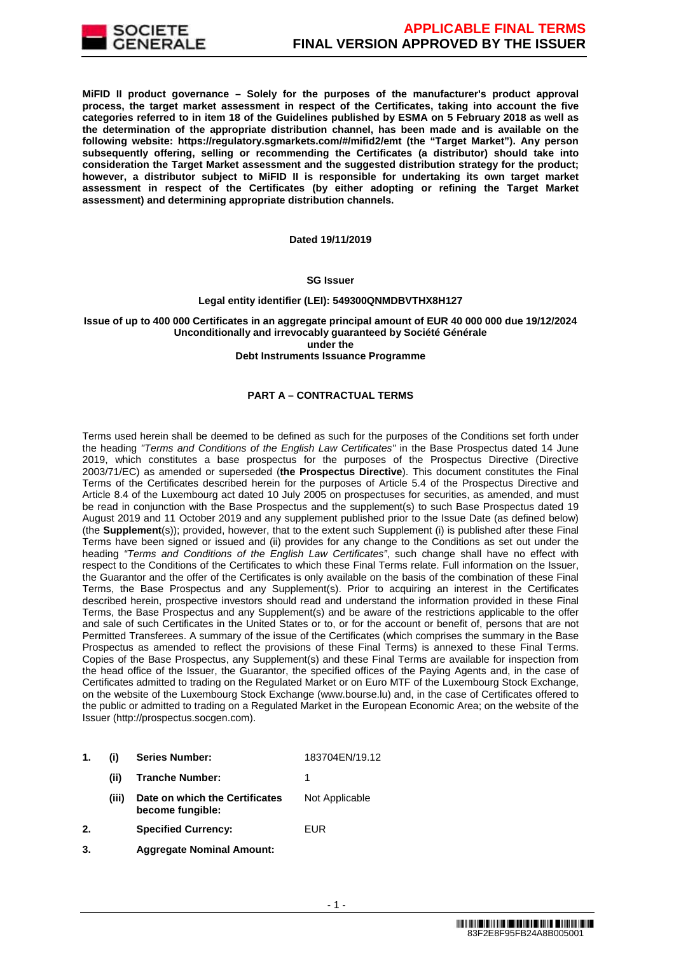

**MiFID II product governance – Solely for the purposes of the manufacturer's product approval process, the target market assessment in respect of the Certificates, taking into account the five categories referred to in item 18 of the Guidelines published by ESMA on 5 February 2018 as well as the determination of the appropriate distribution channel, has been made and is available on the following website: https://regulatory.sgmarkets.com/#/mifid2/emt (the "Target Market"). Any person subsequently offering, selling or recommending the Certificates (a distributor) should take into consideration the Target Market assessment and the suggested distribution strategy for the product; however, a distributor subject to MiFID II is responsible for undertaking its own target market assessment in respect of the Certificates (by either adopting or refining the Target Market assessment) and determining appropriate distribution channels.**

#### **Dated 19/11/2019**

#### **SG Issuer**

### **Legal entity identifier (LEI): 549300QNMDBVTHX8H127**

#### **Issue of up to 400 000 Certificates in an aggregate principal amount of EUR 40 000 000 due 19/12/2024 Unconditionally and irrevocably guaranteed by Société Générale under the**

#### **Debt Instruments Issuance Programme**

### **PART A – CONTRACTUAL TERMS**

Terms used herein shall be deemed to be defined as such for the purposes of the Conditions set forth under the heading "Terms and Conditions of the English Law Certificates" in the Base Prospectus dated 14 June 2019, which constitutes a base prospectus for the purposes of the Prospectus Directive (Directive 2003/71/EC) as amended or superseded (**the Prospectus Directive**). This document constitutes the Final Terms of the Certificates described herein for the purposes of Article 5.4 of the Prospectus Directive and Article 8.4 of the Luxembourg act dated 10 July 2005 on prospectuses for securities, as amended, and must be read in conjunction with the Base Prospectus and the supplement(s) to such Base Prospectus dated 19 August 2019 and 11 October 2019 and any supplement published prior to the Issue Date (as defined below) (the **Supplement**(s)); provided, however, that to the extent such Supplement (i) is published after these Final Terms have been signed or issued and (ii) provides for any change to the Conditions as set out under the heading "Terms and Conditions of the English Law Certificates", such change shall have no effect with respect to the Conditions of the Certificates to which these Final Terms relate. Full information on the Issuer, the Guarantor and the offer of the Certificates is only available on the basis of the combination of these Final Terms, the Base Prospectus and any Supplement(s). Prior to acquiring an interest in the Certificates described herein, prospective investors should read and understand the information provided in these Final Terms, the Base Prospectus and any Supplement(s) and be aware of the restrictions applicable to the offer and sale of such Certificates in the United States or to, or for the account or benefit of, persons that are not Permitted Transferees. A summary of the issue of the Certificates (which comprises the summary in the Base Prospectus as amended to reflect the provisions of these Final Terms) is annexed to these Final Terms. Copies of the Base Prospectus, any Supplement(s) and these Final Terms are available for inspection from the head office of the Issuer, the Guarantor, the specified offices of the Paying Agents and, in the case of Certificates admitted to trading on the Regulated Market or on Euro MTF of the Luxembourg Stock Exchange, on the website of the Luxembourg Stock Exchange (www.bourse.lu) and, in the case of Certificates offered to the public or admitted to trading on a Regulated Market in the European Economic Area; on the website of the Issuer (http://prospectus.socgen.com).

- **1. (i) Series Number:** 183704EN/19.12 **(ii) Tranche Number:** 1
	- **(iii) Date on which the Certificates become fungible:** Not Applicable
- **2. Specified Currency:** EUR
- **3. Aggregate Nominal Amount:**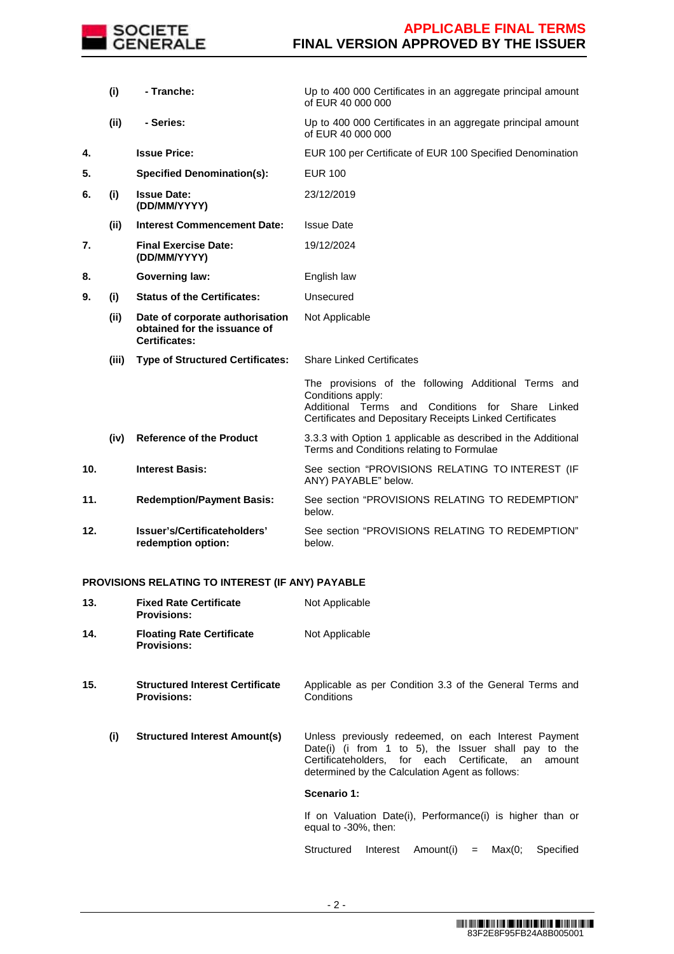

|     | (i)   | - Tranche:                                                                              | Up to 400 000 Certificates in an aggregate principal amount<br>of EUR 40 000 000                                                                                                                   |
|-----|-------|-----------------------------------------------------------------------------------------|----------------------------------------------------------------------------------------------------------------------------------------------------------------------------------------------------|
|     | (ii)  | - Series:                                                                               | Up to 400 000 Certificates in an aggregate principal amount<br>of EUR 40 000 000                                                                                                                   |
| 4.  |       | <b>Issue Price:</b>                                                                     | EUR 100 per Certificate of EUR 100 Specified Denomination                                                                                                                                          |
| 5.  |       | <b>Specified Denomination(s):</b>                                                       | <b>EUR 100</b>                                                                                                                                                                                     |
| 6.  | (i)   | <b>Issue Date:</b><br>(DD/MM/YYYY)                                                      | 23/12/2019                                                                                                                                                                                         |
|     | (ii)  | <b>Interest Commencement Date:</b>                                                      | <b>Issue Date</b>                                                                                                                                                                                  |
| 7.  |       | <b>Final Exercise Date:</b><br>(DD/MM/YYYY)                                             | 19/12/2024                                                                                                                                                                                         |
| 8.  |       | <b>Governing law:</b>                                                                   | English law                                                                                                                                                                                        |
| 9.  | (i)   | <b>Status of the Certificates:</b>                                                      | Unsecured                                                                                                                                                                                          |
|     | (ii)  | Date of corporate authorisation<br>obtained for the issuance of<br><b>Certificates:</b> | Not Applicable                                                                                                                                                                                     |
|     | (iii) | <b>Type of Structured Certificates:</b>                                                 | <b>Share Linked Certificates</b>                                                                                                                                                                   |
|     |       |                                                                                         | The provisions of the following Additional Terms and<br>Conditions apply:<br>Additional Terms<br>Conditions for Share<br>and<br>Linked<br>Certificates and Depositary Receipts Linked Certificates |
|     | (iv)  | <b>Reference of the Product</b>                                                         | 3.3.3 with Option 1 applicable as described in the Additional<br>Terms and Conditions relating to Formulae                                                                                         |
| 10. |       | <b>Interest Basis:</b>                                                                  | See section "PROVISIONS RELATING TO INTEREST (IF<br>ANY) PAYABLE" below.                                                                                                                           |
| 11. |       | <b>Redemption/Payment Basis:</b>                                                        | See section "PROVISIONS RELATING TO REDEMPTION"<br>below.                                                                                                                                          |
| 12. |       | Issuer's/Certificateholders'<br>redemption option:                                      | See section "PROVISIONS RELATING TO REDEMPTION"<br>below.                                                                                                                                          |

## **PROVISIONS RELATING TO INTEREST (IF ANY) PAYABLE**

| 13. | <b>Fixed Rate Certificate</b><br><b>Provisions:</b>          | Not Applicable                                                                                                                                                                                                            |  |  |  |
|-----|--------------------------------------------------------------|---------------------------------------------------------------------------------------------------------------------------------------------------------------------------------------------------------------------------|--|--|--|
| 14. | <b>Floating Rate Certificate</b><br><b>Provisions:</b>       | Not Applicable                                                                                                                                                                                                            |  |  |  |
| 15. | <b>Structured Interest Certificate</b><br><b>Provisions:</b> | Applicable as per Condition 3.3 of the General Terms and<br>Conditions                                                                                                                                                    |  |  |  |
| (i) | <b>Structured Interest Amount(s)</b>                         | Unless previously redeemed, on each Interest Payment<br>Date(i) (i from 1 to 5), the Issuer shall pay to the<br>Certificateholders, for each Certificate, an<br>amount<br>determined by the Calculation Agent as follows: |  |  |  |
|     |                                                              | Scenario 1:                                                                                                                                                                                                               |  |  |  |
|     |                                                              | If on Valuation Date(i), Performance(i) is higher than or<br>equal to -30%, then:                                                                                                                                         |  |  |  |
|     |                                                              | Structured<br>Interest<br>Amount(i)<br>Max(0;<br>Specified<br>$=$                                                                                                                                                         |  |  |  |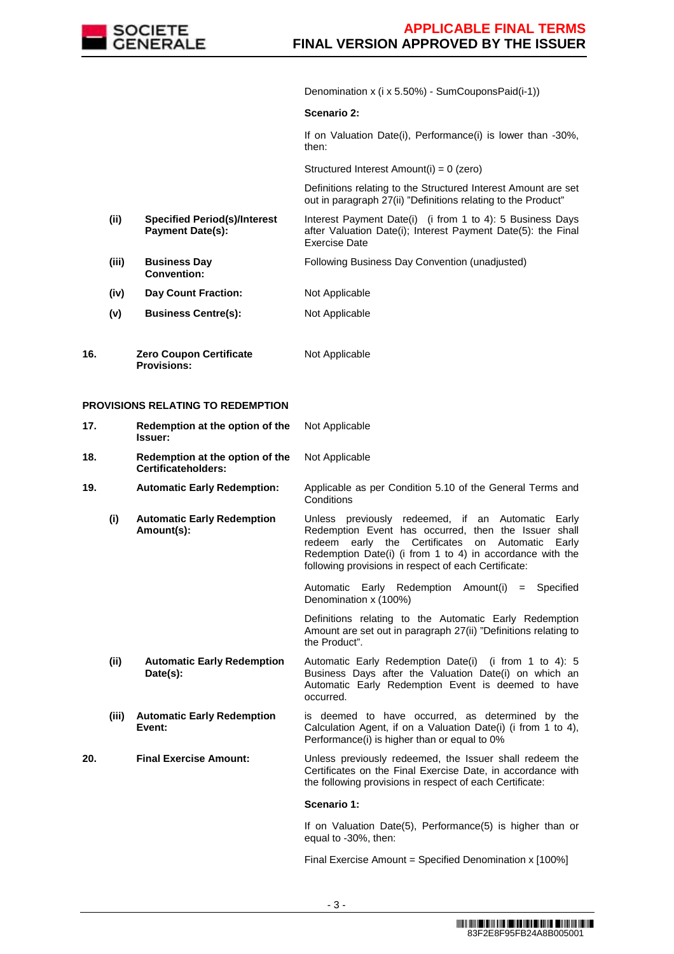

Denomination x (i x 5.50%) - SumCouponsPaid(i-1))

#### **Scenario 2:**

If on Valuation Date(i), Performance(i) is lower than -30%, then:

Structured Interest Amount(i) = 0 (zero)

 Definitions relating to the Structured Interest Amount are set out in paragraph 27(ii) "Definitions relating to the Product"

- **(ii) Specified Period(s)/Interest Payment Date(s):**  Interest Payment Date(i) (i from 1 to 4): 5 Business Days after Valuation Date(i); Interest Payment Date(5): the Final Exercise Date
- **(iii) Business Day Convention:** Following Business Day Convention (unadjusted)
- **(iv) Day Count Fraction:** Not Applicable
- **(v) Business Centre(s):** Not Applicable
- **16. Zero Coupon Certificate Provisions:** Not Applicable

## **PROVISIONS RELATING TO REDEMPTION**

| 17. |       | Redemption at the option of the<br>Issuer:                    | Not Applicable                                                                                                                                                                                                                                                                              |
|-----|-------|---------------------------------------------------------------|---------------------------------------------------------------------------------------------------------------------------------------------------------------------------------------------------------------------------------------------------------------------------------------------|
| 18. |       | Redemption at the option of the<br><b>Certificateholders:</b> | Not Applicable                                                                                                                                                                                                                                                                              |
| 19. |       | <b>Automatic Early Redemption:</b>                            | Applicable as per Condition 5.10 of the General Terms and<br>Conditions                                                                                                                                                                                                                     |
|     | (i)   | <b>Automatic Early Redemption</b><br>Amount(s):               | Unless previously redeemed, if an Automatic Early<br>Redemption Event has occurred, then the Issuer shall<br>early the Certificates<br>redeem<br>on Automatic<br>Early<br>Redemption Date(i) (i from 1 to 4) in accordance with the<br>following provisions in respect of each Certificate: |
|     |       |                                                               | Automatic Early Redemption Amount(i) = Specified<br>Denomination x (100%)                                                                                                                                                                                                                   |
|     |       |                                                               | Definitions relating to the Automatic Early Redemption<br>Amount are set out in paragraph 27(ii) "Definitions relating to<br>the Product".                                                                                                                                                  |
|     | (ii)  | <b>Automatic Early Redemption</b><br>Date(s):                 | Automatic Early Redemption Date(i) (i from 1 to 4): 5<br>Business Days after the Valuation Date(i) on which an<br>Automatic Early Redemption Event is deemed to have<br>occurred.                                                                                                           |
|     | (iii) | <b>Automatic Early Redemption</b><br>Event:                   | is deemed to have occurred, as determined by the<br>Calculation Agent, if on a Valuation Date(i) (i from 1 to 4),<br>Performance(i) is higher than or equal to 0%                                                                                                                           |
| 20. |       | <b>Final Exercise Amount:</b>                                 | Unless previously redeemed, the Issuer shall redeem the<br>Certificates on the Final Exercise Date, in accordance with<br>the following provisions in respect of each Certificate:                                                                                                          |
|     |       |                                                               | Scenario 1:                                                                                                                                                                                                                                                                                 |
|     |       |                                                               | If on Valuation Date(5), Performance(5) is higher than or<br>equal to -30%, then:                                                                                                                                                                                                           |

Final Exercise Amount = Specified Denomination x [100%]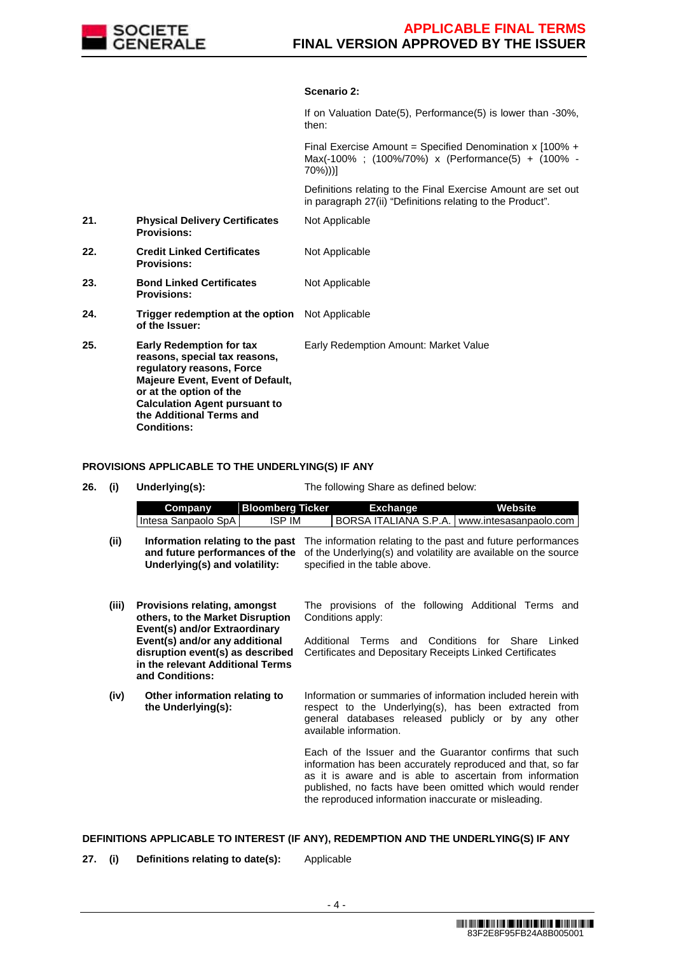

### **Scenario 2:**

|     |                                                                                                                                                                                                                                                               | If on Valuation Date(5), Performance(5) is lower than -30%,<br>then:                                                        |
|-----|---------------------------------------------------------------------------------------------------------------------------------------------------------------------------------------------------------------------------------------------------------------|-----------------------------------------------------------------------------------------------------------------------------|
|     |                                                                                                                                                                                                                                                               | Final Exercise Amount = Specified Denomination x $100\% +$<br>Max(-100%; (100%/70%) x (Performance(5) + (100% -<br>70%))]   |
|     |                                                                                                                                                                                                                                                               | Definitions relating to the Final Exercise Amount are set out<br>in paragraph 27(ii) "Definitions relating to the Product". |
| 21. | <b>Physical Delivery Certificates</b><br><b>Provisions:</b>                                                                                                                                                                                                   | Not Applicable                                                                                                              |
| 22. | <b>Credit Linked Certificates</b><br><b>Provisions:</b>                                                                                                                                                                                                       | Not Applicable                                                                                                              |
| 23. | <b>Bond Linked Certificates</b><br><b>Provisions:</b>                                                                                                                                                                                                         | Not Applicable                                                                                                              |
| 24. | Trigger redemption at the option Not Applicable<br>of the Issuer:                                                                                                                                                                                             |                                                                                                                             |
| 25. | <b>Early Redemption for tax</b><br>reasons, special tax reasons,<br>regulatory reasons, Force<br><b>Majeure Event, Event of Default,</b><br>or at the option of the<br><b>Calculation Agent pursuant to</b><br>the Additional Terms and<br><b>Conditions:</b> | Early Redemption Amount: Market Value                                                                                       |

**PROVISIONS APPLICABLE TO THE UNDERLYING(S) IF ANY**

**26. (i) Underlying(s):** The following Share as defined below:

|      | Company              | Bloomberg Ticker | Exchange | Website                                                                                       |
|------|----------------------|------------------|----------|-----------------------------------------------------------------------------------------------|
|      | Intesa Sanpaolo SpAI | ISP IM           |          | <b>IBORSA ITALIANA S.P.A.   www.intesasanpaolo.com  </b>                                      |
| (ii) |                      |                  |          | Information relating to the past The information relating to the past and future performances |

- and future performances of the of the Underlying(s) and volatility are available on the source **Underlying(s) and volatility:** specified in the table above.
- **(iii) Provisions relating, amongst others, to the Market Disruption Event(s) and/or Extraordinary Event(s) and/or any additional disruption event(s) as described in the relevant Additional Terms and Conditions:** The provisions of the following Additional Terms and Conditions apply: Additional Terms and Conditions for Share Linked Certificates and Depositary Receipts Linked Certificates
- **(iv) Other information relating to the Underlying(s):** Information or summaries of information included herein with respect to the Underlying(s), has been extracted from general databases released publicly or by any other available information.

Each of the Issuer and the Guarantor confirms that such information has been accurately reproduced and that, so far as it is aware and is able to ascertain from information published, no facts have been omitted which would render the reproduced information inaccurate or misleading.

### **DEFINITIONS APPLICABLE TO INTEREST (IF ANY), REDEMPTION AND THE UNDERLYING(S) IF ANY**

**27. (i) Definitions relating to date(s):** Applicable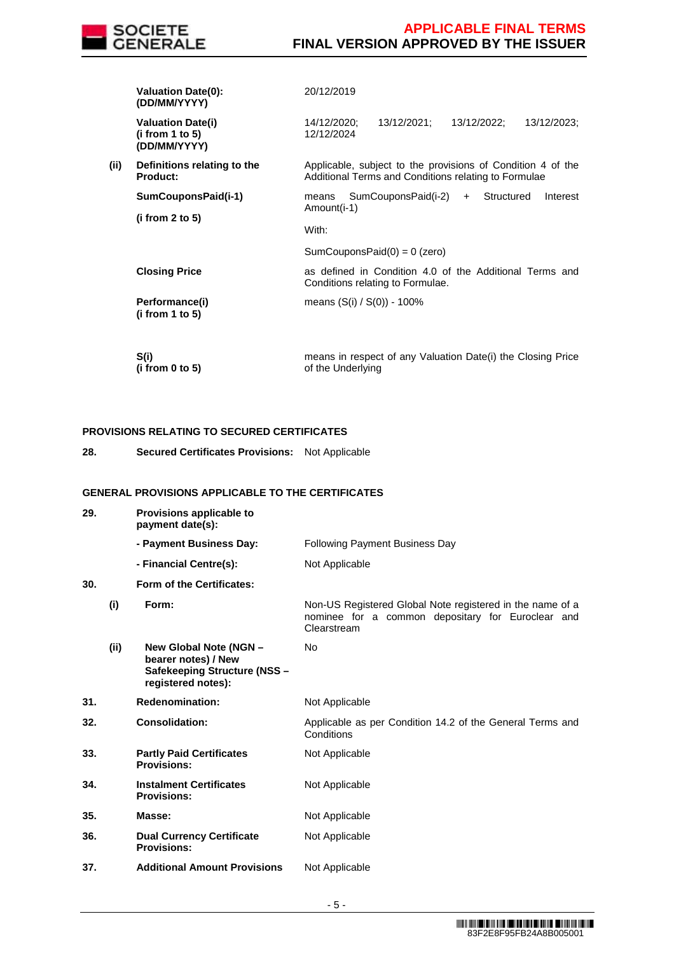

|      | <b>Valuation Date(0):</b><br>(DD/MM/YYYY)                   | 20/12/2019                                                                                                          |
|------|-------------------------------------------------------------|---------------------------------------------------------------------------------------------------------------------|
|      | <b>Valuation Date(i)</b><br>(i from 1 to 5)<br>(DD/MM/YYYY) | 13/12/2021;<br>13/12/2022:<br>13/12/2023;<br>14/12/2020:<br>12/12/2024                                              |
| (ii) | Definitions relating to the<br>Product:                     | Applicable, subject to the provisions of Condition 4 of the<br>Additional Terms and Conditions relating to Formulae |
|      | SumCouponsPaid(i-1)                                         | SumCouponsPaid(i-2)<br>Structured<br>Interest<br>means<br>$+$<br>Amount(i-1)                                        |
|      | (i from 2 to 5)                                             | With:                                                                                                               |
|      |                                                             | SumCouponsPaid $(0) = 0$ (zero)                                                                                     |
|      | <b>Closing Price</b>                                        | as defined in Condition 4.0 of the Additional Terms and<br>Conditions relating to Formulae.                         |
|      | Performance(i)<br>(i from 1 to 5)                           | means $(S(i) / S(0)) - 100\%$                                                                                       |
|      | S(i)<br>(i from 0 to 5)                                     | means in respect of any Valuation Date(i) the Closing Price<br>of the Underlying                                    |

## **PROVISIONS RELATING TO SECURED CERTIFICATES**

**28. Secured Certificates Provisions:** Not Applicable

## **GENERAL PROVISIONS APPLICABLE TO THE CERTIFICATES**

| 29. |      | Provisions applicable to<br>payment date(s):                                                        |                                                                                                                               |
|-----|------|-----------------------------------------------------------------------------------------------------|-------------------------------------------------------------------------------------------------------------------------------|
|     |      | - Payment Business Day:                                                                             | <b>Following Payment Business Day</b>                                                                                         |
|     |      | - Financial Centre(s):                                                                              | Not Applicable                                                                                                                |
| 30. |      | Form of the Certificates:                                                                           |                                                                                                                               |
|     | (i)  | Form:                                                                                               | Non-US Registered Global Note registered in the name of a<br>nominee for a common depositary for Euroclear and<br>Clearstream |
|     | (ii) | New Global Note (NGN -<br>bearer notes) / New<br>Safekeeping Structure (NSS -<br>registered notes): | No                                                                                                                            |
| 31. |      | <b>Redenomination:</b>                                                                              | Not Applicable                                                                                                                |
| 32. |      | <b>Consolidation:</b>                                                                               | Applicable as per Condition 14.2 of the General Terms and<br>Conditions                                                       |
| 33. |      | <b>Partly Paid Certificates</b><br><b>Provisions:</b>                                               | Not Applicable                                                                                                                |
| 34. |      | <b>Instalment Certificates</b><br><b>Provisions:</b>                                                | Not Applicable                                                                                                                |
| 35. |      | Masse:                                                                                              | Not Applicable                                                                                                                |
| 36. |      | <b>Dual Currency Certificate</b><br><b>Provisions:</b>                                              | Not Applicable                                                                                                                |
| 37. |      | <b>Additional Amount Provisions</b>                                                                 | Not Applicable                                                                                                                |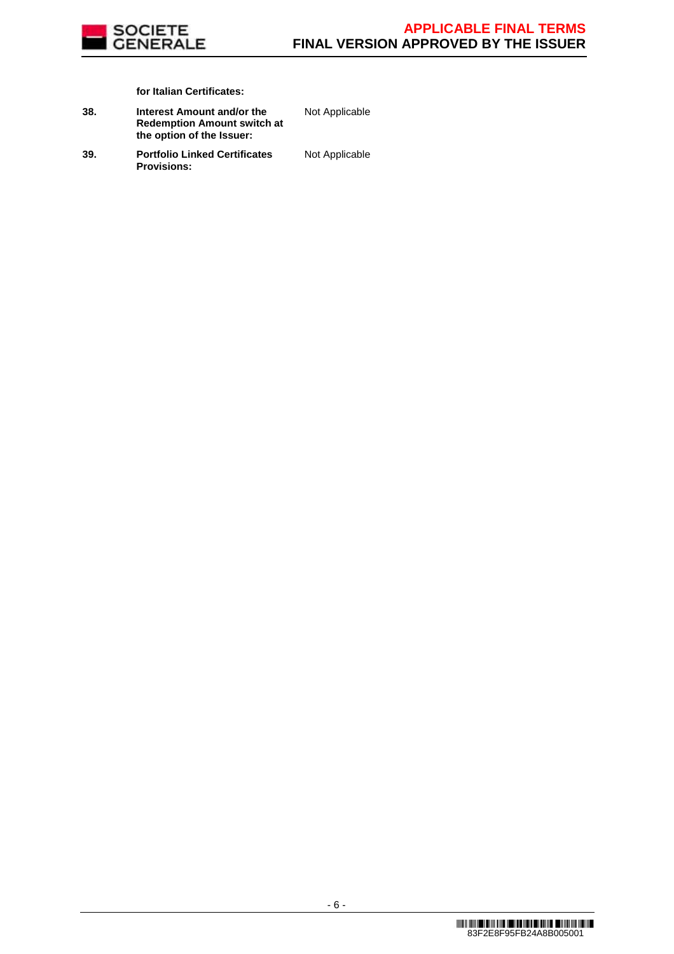

**for Italian Certificates:**

| 38. | Interest Amount and/or the         |
|-----|------------------------------------|
|     | <b>Redemption Amount switch at</b> |
|     | the option of the Issuer:          |

Not Applicable

**39. Portfolio Linked Certificates Provisions:**

Not Applicable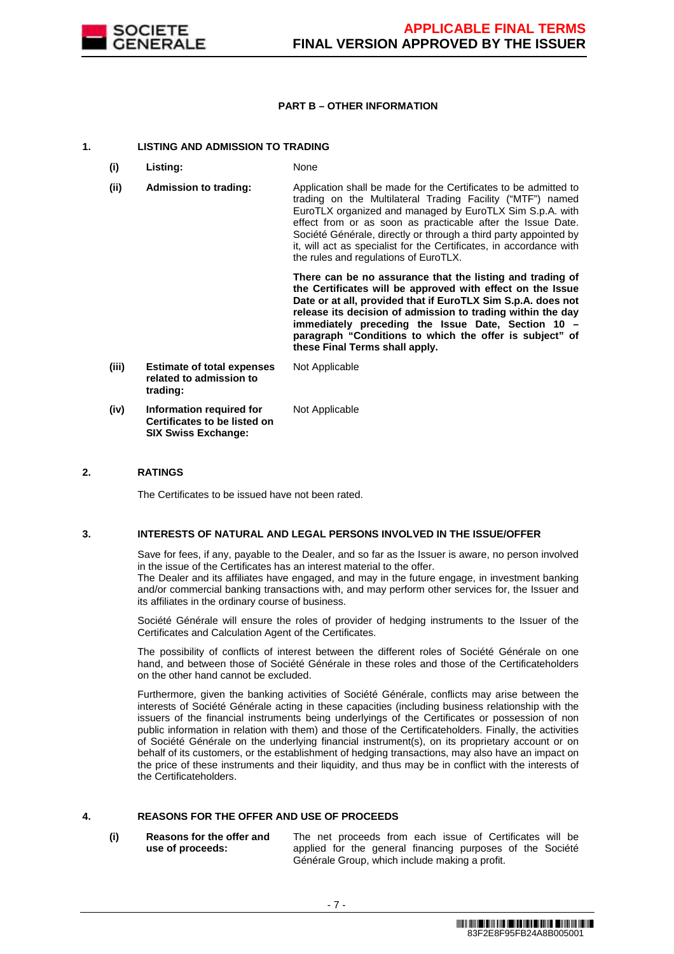

#### **PART B – OTHER INFORMATION**

#### **1. LISTING AND ADMISSION TO TRADING**

- **(i) Listing:** None
- **(ii) Admission to trading:** Application shall be made for the Certificates to be admitted to trading on the Multilateral Trading Facility ("MTF") named EuroTLX organized and managed by EuroTLX Sim S.p.A. with effect from or as soon as practicable after the Issue Date. Société Générale, directly or through a third party appointed by it, will act as specialist for the Certificates, in accordance with the rules and regulations of EuroTLX.

 **There can be no assurance that the listing and trading of the Certificates will be approved with effect on the Issue Date or at all, provided that if EuroTLX Sim S.p.A. does not release its decision of admission to trading within the day immediately preceding the Issue Date, Section 10 – paragraph "Conditions to which the offer is subject" of these Final Terms shall apply.**

**(iii) Estimate of total expenses related to admission to trading:** Not Applicable **(iv) Information required for Certificates to be listed on SIX Swiss Exchange:** Not Applicable

#### **2. RATINGS**

The Certificates to be issued have not been rated.

#### **3. INTERESTS OF NATURAL AND LEGAL PERSONS INVOLVED IN THE ISSUE/OFFER**

 Save for fees, if any, payable to the Dealer, and so far as the Issuer is aware, no person involved in the issue of the Certificates has an interest material to the offer.

The Dealer and its affiliates have engaged, and may in the future engage, in investment banking and/or commercial banking transactions with, and may perform other services for, the Issuer and its affiliates in the ordinary course of business.

 Société Générale will ensure the roles of provider of hedging instruments to the Issuer of the Certificates and Calculation Agent of the Certificates.

 The possibility of conflicts of interest between the different roles of Société Générale on one hand, and between those of Société Générale in these roles and those of the Certificateholders on the other hand cannot be excluded.

 Furthermore, given the banking activities of Société Générale, conflicts may arise between the interests of Société Générale acting in these capacities (including business relationship with the issuers of the financial instruments being underlyings of the Certificates or possession of non public information in relation with them) and those of the Certificateholders. Finally, the activities of Société Générale on the underlying financial instrument(s), on its proprietary account or on behalf of its customers, or the establishment of hedging transactions, may also have an impact on the price of these instruments and their liquidity, and thus may be in conflict with the interests of the Certificateholders.

## **4. REASONS FOR THE OFFER AND USE OF PROCEEDS**

**(i) Reasons for the offer and use of proceeds:**

The net proceeds from each issue of Certificates will be applied for the general financing purposes of the Société Générale Group, which include making a profit.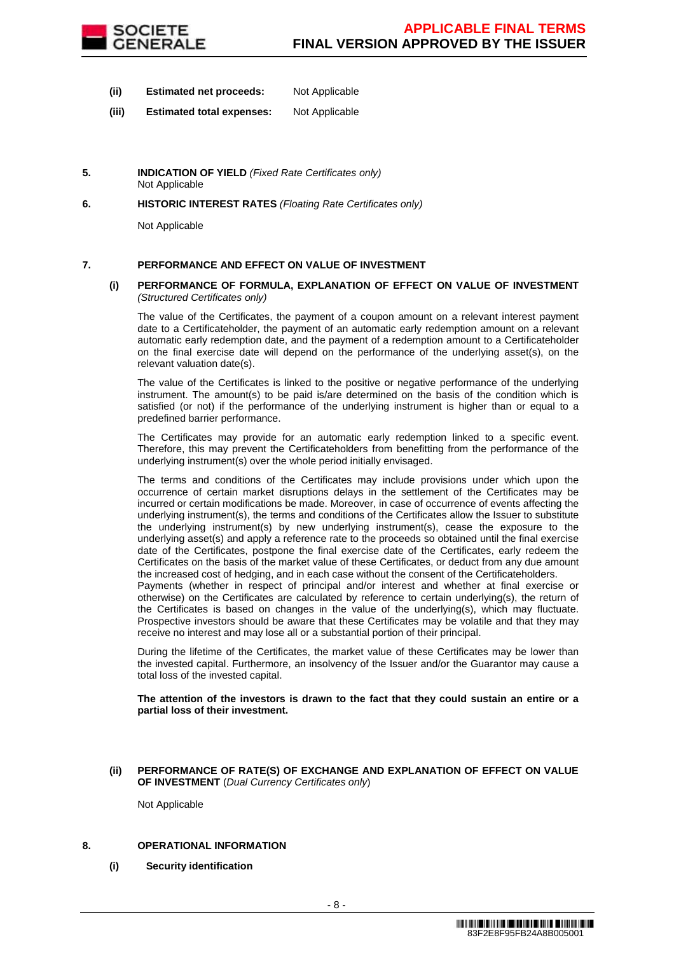

- **(ii) Estimated net proceeds:** Not Applicable
- **(iii) Estimated total expenses:** Not Applicable
- **5. INDICATION OF YIELD** (Fixed Rate Certificates only) Not Applicable
- **6. HISTORIC INTEREST RATES** (Floating Rate Certificates only)

Not Applicable

### **7. PERFORMANCE AND EFFECT ON VALUE OF INVESTMENT**

#### **(i) PERFORMANCE OF FORMULA, EXPLANATION OF EFFECT ON VALUE OF INVESTMENT**  (Structured Certificates only)

 The value of the Certificates, the payment of a coupon amount on a relevant interest payment date to a Certificateholder, the payment of an automatic early redemption amount on a relevant automatic early redemption date, and the payment of a redemption amount to a Certificateholder on the final exercise date will depend on the performance of the underlying asset(s), on the relevant valuation date(s).

 The value of the Certificates is linked to the positive or negative performance of the underlying instrument. The amount(s) to be paid is/are determined on the basis of the condition which is satisfied (or not) if the performance of the underlying instrument is higher than or equal to a predefined barrier performance.

 The Certificates may provide for an automatic early redemption linked to a specific event. Therefore, this may prevent the Certificateholders from benefitting from the performance of the underlying instrument(s) over the whole period initially envisaged.

 The terms and conditions of the Certificates may include provisions under which upon the occurrence of certain market disruptions delays in the settlement of the Certificates may be incurred or certain modifications be made. Moreover, in case of occurrence of events affecting the underlying instrument(s), the terms and conditions of the Certificates allow the Issuer to substitute the underlying instrument(s) by new underlying instrument(s), cease the exposure to the underlying asset(s) and apply a reference rate to the proceeds so obtained until the final exercise date of the Certificates, postpone the final exercise date of the Certificates, early redeem the Certificates on the basis of the market value of these Certificates, or deduct from any due amount the increased cost of hedging, and in each case without the consent of the Certificateholders.

Payments (whether in respect of principal and/or interest and whether at final exercise or otherwise) on the Certificates are calculated by reference to certain underlying(s), the return of the Certificates is based on changes in the value of the underlying(s), which may fluctuate. Prospective investors should be aware that these Certificates may be volatile and that they may receive no interest and may lose all or a substantial portion of their principal.

 During the lifetime of the Certificates, the market value of these Certificates may be lower than the invested capital. Furthermore, an insolvency of the Issuer and/or the Guarantor may cause a total loss of the invested capital.

**The attention of the investors is drawn to the fact that they could sustain an entire or a partial loss of their investment.**

#### **(ii) PERFORMANCE OF RATE(S) OF EXCHANGE AND EXPLANATION OF EFFECT ON VALUE OF INVESTMENT** (Dual Currency Certificates only)

Not Applicable

### **8. OPERATIONAL INFORMATION**

**(i) Security identification**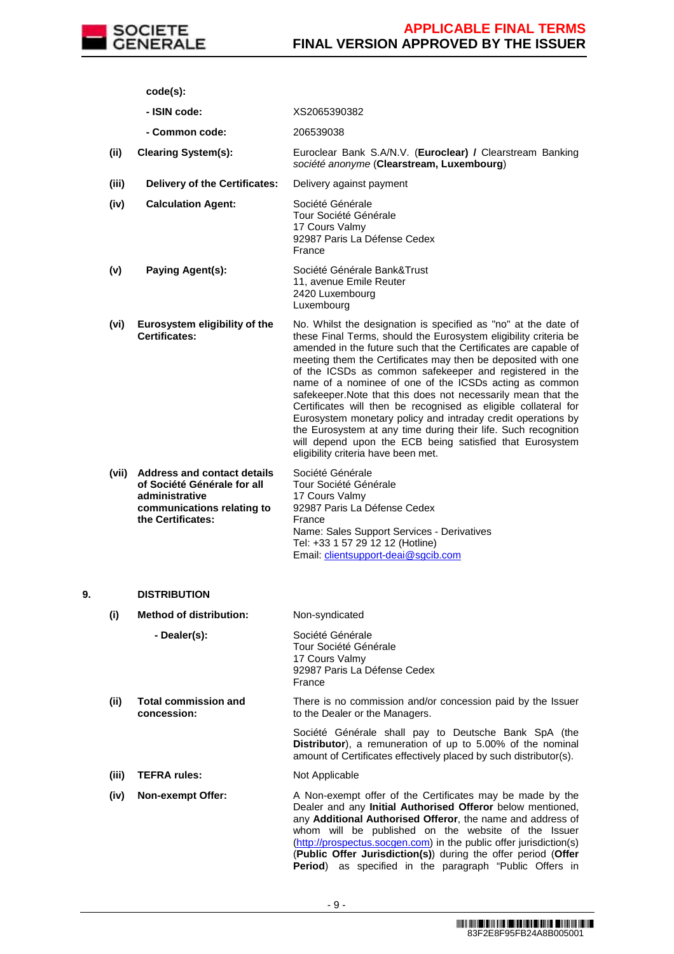

**code(s):**

- **ISIN code:** XS2065390382
- **Common code:** 206539038
- **(ii) Clearing System(s):** Euroclear Bank S.A/N.V. (**Euroclear) /** Clearstream Banking société anonyme (**Clearstream, Luxembourg**)
- **(iii) Delivery of the Certificates:** Delivery against payment

**(iv) Calculation Agent:** Société Générale Tour Société Générale 17 Cours Valmy 92987 Paris La Défense Cedex France

- **(v) Paying Agent(s):** Société Générale Bank&Trust 11, avenue Emile Reuter 2420 Luxembourg Luxembourg
- **(vi) Eurosystem eligibility of the Certificates:** No. Whilst the designation is specified as "no" at the date of these Final Terms, should the Eurosystem eligibility criteria be amended in the future such that the Certificates are capable of meeting them the Certificates may then be deposited with one of the ICSDs as common safekeeper and registered in the name of a nominee of one of the ICSDs acting as common safekeeper.Note that this does not necessarily mean that the Certificates will then be recognised as eligible collateral for Eurosystem monetary policy and intraday credit operations by the Eurosystem at any time during their life. Such recognition will depend upon the ECB being satisfied that Eurosystem eligibility criteria have been met.

| (vii) | <b>Address and contact details</b> | Société Générale                           |
|-------|------------------------------------|--------------------------------------------|
|       | of Société Générale for all        | Tour Société Générale                      |
|       | administrative                     | 17 Cours Valmy                             |
|       | communications relating to         | 92987 Paris La Défense Cedex               |
|       | the Certificates:                  | France                                     |
|       |                                    | Name: Sales Support Services - Derivatives |
|       |                                    | Tel: +33 1 57 29 12 12 (Hotline)           |
|       |                                    | Email: clientsupport-deai@sgcib.com        |

### **9. DISTRIBUTION**

**(i) Method of distribution:** Non-syndicated **- Dealer(s):** Société Générale Tour Société Générale 17 Cours Valmy 92987 Paris La Défense Cedex France **(ii) Total commission and concession:** There is no commission and/or concession paid by the Issuer to the Dealer or the Managers. Société Générale shall pay to Deutsche Bank SpA (the **Distributor**), a remuneration of up to 5.00% of the nominal amount of Certificates effectively placed by such distributor(s). **(iii) TEFRA rules:** Not Applicable **(iv) Non-exempt Offer:** A Non-exempt offer of the Certificates may be made by the Dealer and any **Initial Authorised Offeror** below mentioned, any **Additional Authorised Offeror**, the name and address of whom will be published on the website of the Issuer (http://prospectus.socgen.com) in the public offer jurisdiction(s) (**Public Offer Jurisdiction(s)**) during the offer period (**Offer** 

**Period**) as specified in the paragraph "Public Offers in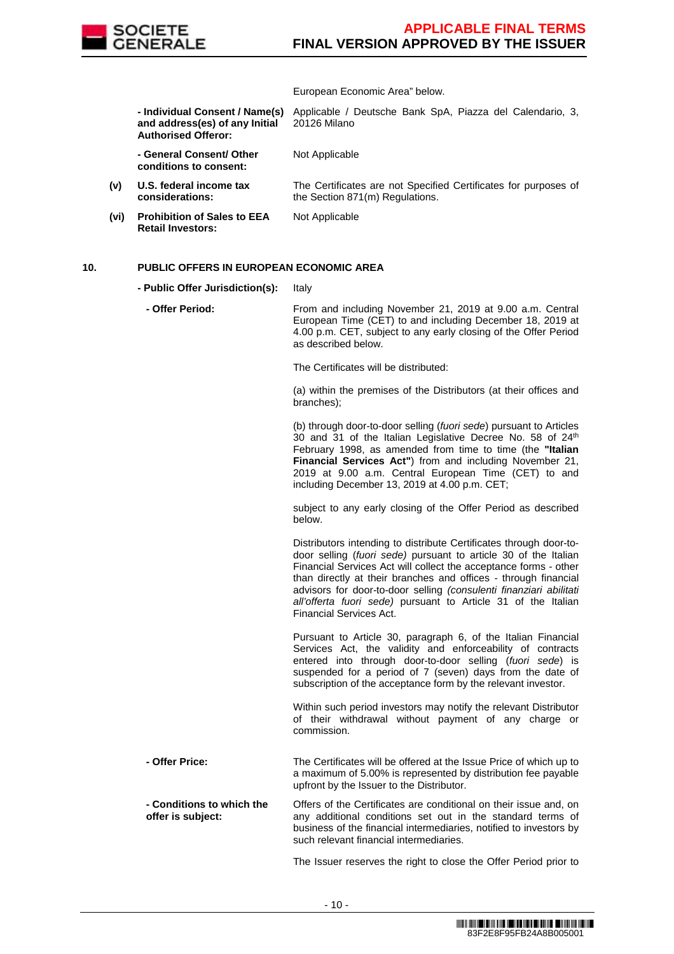

European Economic Area" below.

 **- Individual Consent / Name(s) and address(es) of any Initial Authorised Offeror:**

Applicable / Deutsche Bank SpA, Piazza del Calendario, 3, 20126 Milano

Not Applicable

**(v) U.S. federal income tax considerations:** The Certificates are not Specified Certificates for purposes of the Section 871(m) Regulations.

**(vi) Prohibition of Sales to EEA Retail Investors:**

 **- General Consent/ Other conditions to consent:**

Not Applicable

#### **10. PUBLIC OFFERS IN EUROPEAN ECONOMIC AREA**

- **Public Offer Jurisdiction(s):** Italy
	- **Offer Period:** From and including November 21, 2019 at 9.00 a.m. Central European Time (CET) to and including December 18, 2019 at 4.00 p.m. CET, subject to any early closing of the Offer Period as described below.

The Certificates will be distributed:

(a) within the premises of the Distributors (at their offices and branches);

(b) through door-to-door selling (fuori sede) pursuant to Articles 30 and 31 of the Italian Legislative Decree No. 58 of 24<sup>th</sup> February 1998, as amended from time to time (the **"Italian Financial Services Act"**) from and including November 21, 2019 at 9.00 a.m. Central European Time (CET) to and including December 13, 2019 at 4.00 p.m. CET;

subject to any early closing of the Offer Period as described below.

Distributors intending to distribute Certificates through door-todoor selling (fuori sede) pursuant to article 30 of the Italian Financial Services Act will collect the acceptance forms - other than directly at their branches and offices - through financial advisors for door-to-door selling (consulenti finanziari abilitati all'offerta fuori sede) pursuant to Article 31 of the Italian Financial Services Act.

Pursuant to Article 30, paragraph 6, of the Italian Financial Services Act, the validity and enforceability of contracts entered into through door-to-door selling (fuori sede) is suspended for a period of 7 (seven) days from the date of subscription of the acceptance form by the relevant investor.

Within such period investors may notify the relevant Distributor of their withdrawal without payment of any charge or commission.

 **- Offer Price:** The Certificates will be offered at the Issue Price of which up to a maximum of 5.00% is represented by distribution fee payable upfront by the Issuer to the Distributor. **- Conditions to which the offer is subject:** Offers of the Certificates are conditional on their issue and, on any additional conditions set out in the standard terms of

> business of the financial intermediaries, notified to investors by such relevant financial intermediaries.

The Issuer reserves the right to close the Offer Period prior to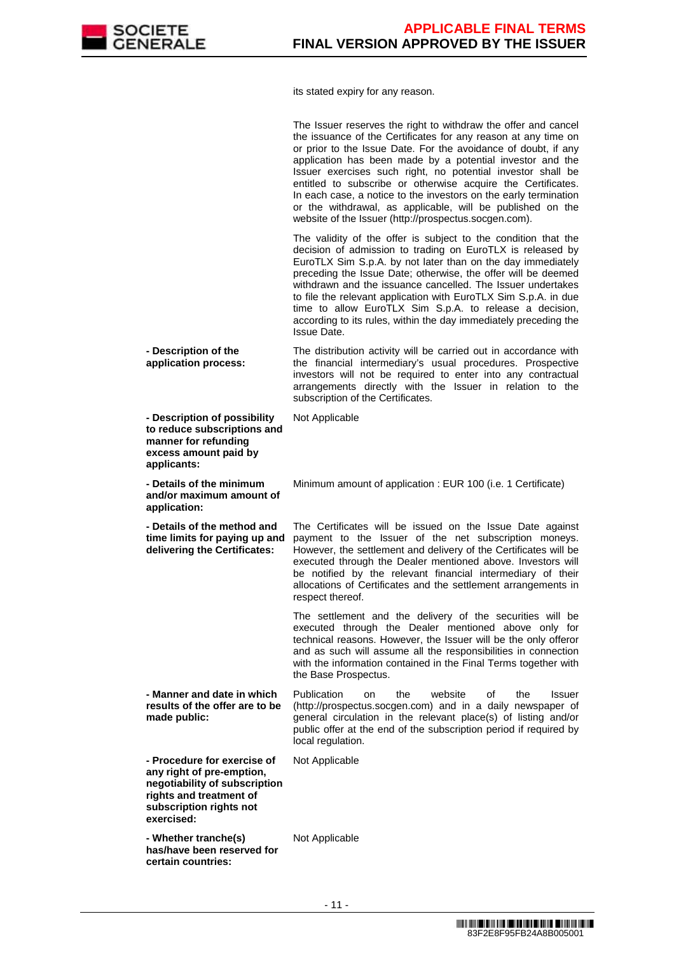

its stated expiry for any reason.

|                                                                                                                                                               | The Issuer reserves the right to withdraw the offer and cancel<br>the issuance of the Certificates for any reason at any time on<br>or prior to the Issue Date. For the avoidance of doubt, if any<br>application has been made by a potential investor and the<br>Issuer exercises such right, no potential investor shall be<br>entitled to subscribe or otherwise acquire the Certificates.<br>In each case, a notice to the investors on the early termination<br>or the withdrawal, as applicable, will be published on the<br>website of the Issuer (http://prospectus.socgen.com). |
|---------------------------------------------------------------------------------------------------------------------------------------------------------------|-------------------------------------------------------------------------------------------------------------------------------------------------------------------------------------------------------------------------------------------------------------------------------------------------------------------------------------------------------------------------------------------------------------------------------------------------------------------------------------------------------------------------------------------------------------------------------------------|
|                                                                                                                                                               | The validity of the offer is subject to the condition that the<br>decision of admission to trading on EuroTLX is released by<br>EuroTLX Sim S.p.A. by not later than on the day immediately<br>preceding the Issue Date; otherwise, the offer will be deemed<br>withdrawn and the issuance cancelled. The Issuer undertakes<br>to file the relevant application with EuroTLX Sim S.p.A. in due<br>time to allow EuroTLX Sim S.p.A. to release a decision,<br>according to its rules, within the day immediately preceding the<br>Issue Date.                                              |
| - Description of the<br>application process:                                                                                                                  | The distribution activity will be carried out in accordance with<br>the financial intermediary's usual procedures. Prospective<br>investors will not be required to enter into any contractual<br>arrangements directly with the Issuer in relation to the<br>subscription of the Certificates.                                                                                                                                                                                                                                                                                           |
| - Description of possibility<br>to reduce subscriptions and<br>manner for refunding<br>excess amount paid by<br>applicants:                                   | Not Applicable                                                                                                                                                                                                                                                                                                                                                                                                                                                                                                                                                                            |
| - Details of the minimum<br>and/or maximum amount of<br>application:                                                                                          | Minimum amount of application : EUR 100 (i.e. 1 Certificate)                                                                                                                                                                                                                                                                                                                                                                                                                                                                                                                              |
| - Details of the method and<br>time limits for paying up and<br>delivering the Certificates:                                                                  | The Certificates will be issued on the Issue Date against<br>payment to the Issuer of the net subscription moneys.<br>However, the settlement and delivery of the Certificates will be<br>executed through the Dealer mentioned above. Investors will<br>be notified by the relevant financial intermediary of their<br>allocations of Certificates and the settlement arrangements in<br>respect thereof.                                                                                                                                                                                |
|                                                                                                                                                               | The settlement and the delivery of the securities will be<br>executed through the Dealer mentioned above only for<br>technical reasons. However, the Issuer will be the only offeror<br>and as such will assume all the responsibilities in connection<br>with the information contained in the Final Terms together with<br>the Base Prospectus.                                                                                                                                                                                                                                         |
| - Manner and date in which<br>results of the offer are to be<br>made public:                                                                                  | <b>Publication</b><br>the<br>website<br>οf<br>the<br><b>Issuer</b><br>on<br>(http://prospectus.socgen.com) and in a daily newspaper of<br>general circulation in the relevant place(s) of listing and/or<br>public offer at the end of the subscription period if required by<br>local regulation.                                                                                                                                                                                                                                                                                        |
| - Procedure for exercise of<br>any right of pre-emption,<br>negotiability of subscription<br>rights and treatment of<br>subscription rights not<br>exercised: | Not Applicable                                                                                                                                                                                                                                                                                                                                                                                                                                                                                                                                                                            |
| - Whether tranche(s)<br>has/have been reserved for<br>certain countries:                                                                                      | Not Applicable                                                                                                                                                                                                                                                                                                                                                                                                                                                                                                                                                                            |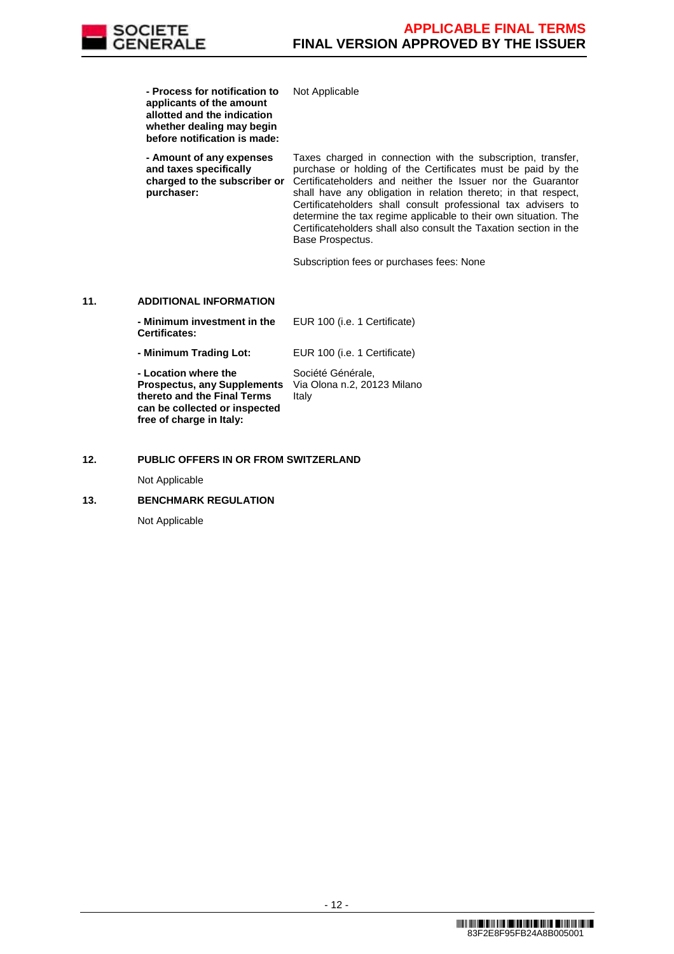

**- Process for notification to** 

**applicants of the amount allotted and the indication whether dealing may begin before notification is made: - Amount of any expenses and taxes specifically charged to the subscriber or purchaser:** Taxes charged in connection with the subscription, transfer, purchase or holding of the Certificates must be paid by the Certificateholders and neither the Issuer nor the Guarantor shall have any obligation in relation thereto; in that respect, Certificateholders shall consult professional tax advisers to determine the tax regime applicable to their own situation. The Certificateholders shall also consult the Taxation section in the Base Prospectus. Subscription fees or purchases fees: None **11. ADDITIONAL INFORMATION - Minimum investment in the Certificates:** EUR 100 (i.e. 1 Certificate) **- Minimum Trading Lot:** EUR 100 (i.e. 1 Certificate) **- Location where the Prospectus, any Supplements thereto and the Final Terms can be collected or inspected**  Société Générale, Via Olona n.2, 20123 Milano Italy

Not Applicable

#### **12. PUBLIC OFFERS IN OR FROM SWITZERLAND**

Not Applicable

#### **13. BENCHMARK REGULATION**

**free of charge in Italy:**

Not Applicable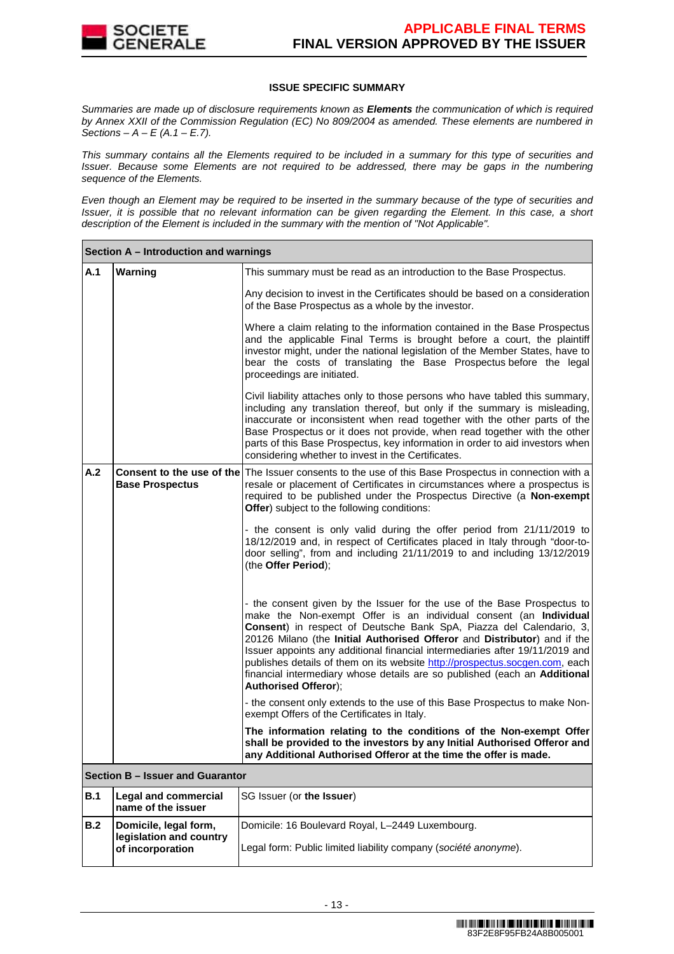

### **ISSUE SPECIFIC SUMMARY**

Summaries are made up of disclosure requirements known as **Elements** the communication of which is required by Annex XXII of the Commission Regulation (EC) No 809/2004 as amended. These elements are numbered in Sections –  $A - E(A.1 - E.7)$ .

This summary contains all the Elements required to be included in a summary for this type of securities and Issuer. Because some Elements are not required to be addressed, there may be gaps in the numbering sequence of the Elements.

Even though an Element may be required to be inserted in the summary because of the type of securities and Issuer, it is possible that no relevant information can be given regarding the Element. In this case, a short description of the Element is included in the summary with the mention of "Not Applicable".

|     | Section A – Introduction and warnings             |                                                                                                                                                                                                                                                                                                                                                                                                                                                                                                                                                                            |  |  |  |
|-----|---------------------------------------------------|----------------------------------------------------------------------------------------------------------------------------------------------------------------------------------------------------------------------------------------------------------------------------------------------------------------------------------------------------------------------------------------------------------------------------------------------------------------------------------------------------------------------------------------------------------------------------|--|--|--|
| A.1 | Warning                                           | This summary must be read as an introduction to the Base Prospectus.                                                                                                                                                                                                                                                                                                                                                                                                                                                                                                       |  |  |  |
|     |                                                   | Any decision to invest in the Certificates should be based on a consideration<br>of the Base Prospectus as a whole by the investor.                                                                                                                                                                                                                                                                                                                                                                                                                                        |  |  |  |
|     |                                                   | Where a claim relating to the information contained in the Base Prospectus<br>and the applicable Final Terms is brought before a court, the plaintiff<br>investor might, under the national legislation of the Member States, have to<br>bear the costs of translating the Base Prospectus before the legal<br>proceedings are initiated.                                                                                                                                                                                                                                  |  |  |  |
|     |                                                   | Civil liability attaches only to those persons who have tabled this summary,<br>including any translation thereof, but only if the summary is misleading,<br>inaccurate or inconsistent when read together with the other parts of the<br>Base Prospectus or it does not provide, when read together with the other<br>parts of this Base Prospectus, key information in order to aid investors when<br>considering whether to invest in the Certificates.                                                                                                                 |  |  |  |
| A.2 | <b>Base Prospectus</b>                            | Consent to the use of the The Issuer consents to the use of this Base Prospectus in connection with a<br>resale or placement of Certificates in circumstances where a prospectus is<br>required to be published under the Prospectus Directive (a Non-exempt<br>Offer) subject to the following conditions:                                                                                                                                                                                                                                                                |  |  |  |
|     |                                                   | - the consent is only valid during the offer period from 21/11/2019 to<br>18/12/2019 and, in respect of Certificates placed in Italy through "door-to-<br>door selling", from and including 21/11/2019 to and including 13/12/2019<br>(the Offer Period);                                                                                                                                                                                                                                                                                                                  |  |  |  |
|     |                                                   | - the consent given by the Issuer for the use of the Base Prospectus to<br>make the Non-exempt Offer is an individual consent (an Individual<br>Consent) in respect of Deutsche Bank SpA, Piazza del Calendario, 3,<br>20126 Milano (the Initial Authorised Offeror and Distributor) and if the<br>Issuer appoints any additional financial intermediaries after 19/11/2019 and<br>publishes details of them on its website http://prospectus.socgen.com, each<br>financial intermediary whose details are so published (each an Additional<br><b>Authorised Offeror);</b> |  |  |  |
|     |                                                   | - the consent only extends to the use of this Base Prospectus to make Non-<br>exempt Offers of the Certificates in Italy.                                                                                                                                                                                                                                                                                                                                                                                                                                                  |  |  |  |
|     |                                                   | The information relating to the conditions of the Non-exempt Offer<br>shall be provided to the investors by any Initial Authorised Offeror and<br>any Additional Authorised Offeror at the time the offer is made.                                                                                                                                                                                                                                                                                                                                                         |  |  |  |
|     | Section B - Issuer and Guarantor                  |                                                                                                                                                                                                                                                                                                                                                                                                                                                                                                                                                                            |  |  |  |
| B.1 | <b>Legal and commercial</b><br>name of the issuer | SG Issuer (or the Issuer)                                                                                                                                                                                                                                                                                                                                                                                                                                                                                                                                                  |  |  |  |
| B.2 | Domicile, legal form,<br>legislation and country  | Domicile: 16 Boulevard Royal, L-2449 Luxembourg.                                                                                                                                                                                                                                                                                                                                                                                                                                                                                                                           |  |  |  |
|     | of incorporation                                  | Legal form: Public limited liability company (société anonyme).                                                                                                                                                                                                                                                                                                                                                                                                                                                                                                            |  |  |  |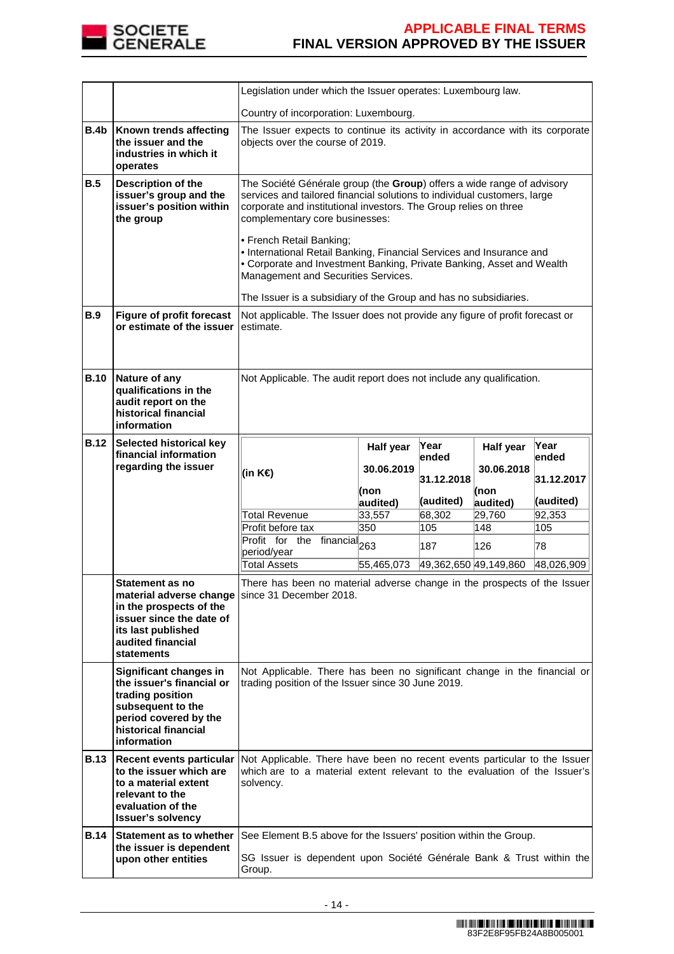

|             |                                                                                                                                                                                                                           | Legislation under which the Issuer operates: Luxembourg law.                                                                                                                                                                                                                                                                                                                                                                                                                                                                                     |            |                       |            |            |
|-------------|---------------------------------------------------------------------------------------------------------------------------------------------------------------------------------------------------------------------------|--------------------------------------------------------------------------------------------------------------------------------------------------------------------------------------------------------------------------------------------------------------------------------------------------------------------------------------------------------------------------------------------------------------------------------------------------------------------------------------------------------------------------------------------------|------------|-----------------------|------------|------------|
|             |                                                                                                                                                                                                                           | Country of incorporation: Luxembourg.                                                                                                                                                                                                                                                                                                                                                                                                                                                                                                            |            |                       |            |            |
| B.4b        | Known trends affecting<br>the issuer and the<br>industries in which it<br>operates                                                                                                                                        | The Issuer expects to continue its activity in accordance with its corporate<br>objects over the course of 2019.                                                                                                                                                                                                                                                                                                                                                                                                                                 |            |                       |            |            |
| B.5         | Description of the<br>issuer's group and the<br>issuer's position within<br>the group                                                                                                                                     | The Société Générale group (the Group) offers a wide range of advisory<br>services and tailored financial solutions to individual customers, large<br>corporate and institutional investors. The Group relies on three<br>complementary core businesses:<br>• French Retail Banking;<br>• International Retail Banking, Financial Services and Insurance and<br>• Corporate and Investment Banking, Private Banking, Asset and Wealth<br>Management and Securities Services.<br>The Issuer is a subsidiary of the Group and has no subsidiaries. |            |                       |            |            |
| B.9         | <b>Figure of profit forecast</b><br>or estimate of the issuer                                                                                                                                                             | Not applicable. The Issuer does not provide any figure of profit forecast or<br>estimate.                                                                                                                                                                                                                                                                                                                                                                                                                                                        |            |                       |            |            |
| <b>B.10</b> | Nature of any<br>qualifications in the<br>audit report on the<br>historical financial<br>information                                                                                                                      | Not Applicable. The audit report does not include any qualification.                                                                                                                                                                                                                                                                                                                                                                                                                                                                             |            |                       |            |            |
| <b>B.12</b> | Selected historical key<br>financial information                                                                                                                                                                          |                                                                                                                                                                                                                                                                                                                                                                                                                                                                                                                                                  | Half year  | Year                  | Half year  | Year       |
|             | regarding the issuer                                                                                                                                                                                                      | (in K€)                                                                                                                                                                                                                                                                                                                                                                                                                                                                                                                                          | 30.06.2019 | ended                 | 30.06.2018 | ended      |
|             |                                                                                                                                                                                                                           |                                                                                                                                                                                                                                                                                                                                                                                                                                                                                                                                                  | (non       | 31.12.2018            | (non       | 31.12.2017 |
|             |                                                                                                                                                                                                                           |                                                                                                                                                                                                                                                                                                                                                                                                                                                                                                                                                  | audited)   | (audited)             | audited)   | (audited)  |
|             |                                                                                                                                                                                                                           | <b>Total Revenue</b>                                                                                                                                                                                                                                                                                                                                                                                                                                                                                                                             | 33,557     | 68,302                | 29,760     | 92,353     |
|             |                                                                                                                                                                                                                           | Profit before tax                                                                                                                                                                                                                                                                                                                                                                                                                                                                                                                                | 350        | 105                   | 148        | 105        |
|             |                                                                                                                                                                                                                           | Profit for the financial <sub>263</sub><br>period/year                                                                                                                                                                                                                                                                                                                                                                                                                                                                                           |            | 187                   | 126        | 78         |
|             |                                                                                                                                                                                                                           | <b>Total Assets</b>                                                                                                                                                                                                                                                                                                                                                                                                                                                                                                                              | 55,465,073 | 49,362,650 49,149,860 |            | 48,026,909 |
|             | Statement as no<br>in the prospects of the<br>issuer since the date of<br>its last published<br>audited financial<br><b>statements</b>                                                                                    | There has been no material adverse change in the prospects of the Issuer<br>material adverse change since 31 December 2018.                                                                                                                                                                                                                                                                                                                                                                                                                      |            |                       |            |            |
|             |                                                                                                                                                                                                                           | Not Applicable. There has been no significant change in the financial or<br>trading position of the Issuer since 30 June 2019.                                                                                                                                                                                                                                                                                                                                                                                                                   |            |                       |            |            |
|             | Significant changes in<br>the issuer's financial or<br>trading position<br>subsequent to the<br>period covered by the<br>historical financial<br>information                                                              |                                                                                                                                                                                                                                                                                                                                                                                                                                                                                                                                                  |            |                       |            |            |
| <b>B.13</b> | Recent events particular Not Applicable. There have been no recent events particular to the Issuer<br>to the issuer which are<br>to a material extent<br>relevant to the<br>evaluation of the<br><b>Issuer's solvency</b> | which are to a material extent relevant to the evaluation of the Issuer's<br>solvency.                                                                                                                                                                                                                                                                                                                                                                                                                                                           |            |                       |            |            |
| <b>B.14</b> | Statement as to whether<br>the issuer is dependent                                                                                                                                                                        | See Element B.5 above for the Issuers' position within the Group.                                                                                                                                                                                                                                                                                                                                                                                                                                                                                |            |                       |            |            |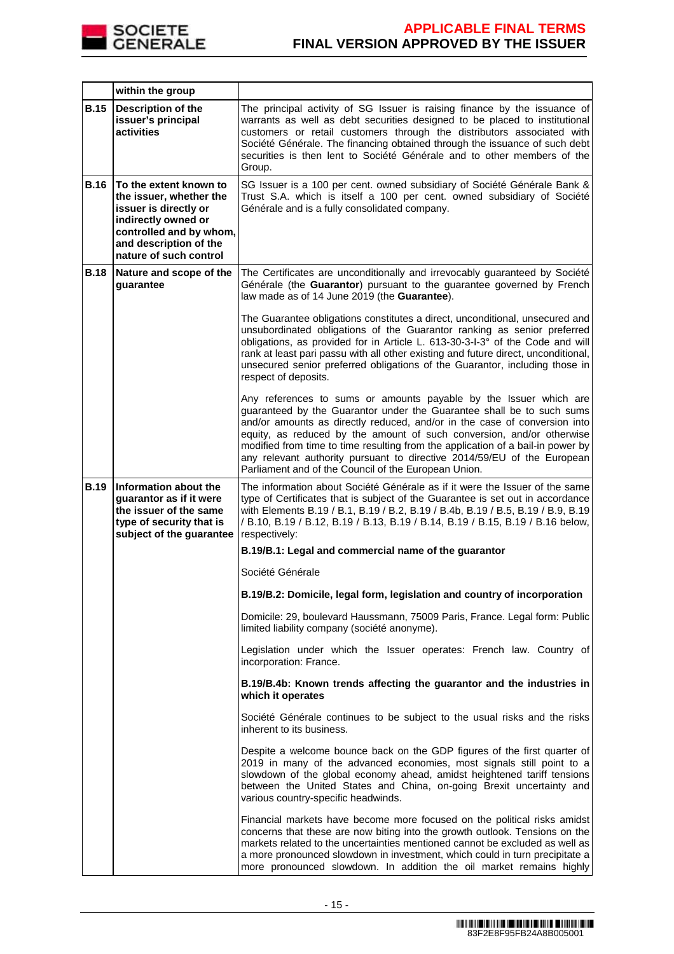

|             | within the group                                                                                                                                                                 |                                                                                                                                                                                                                                                                                                                                                                                                                                                                                                                        |
|-------------|----------------------------------------------------------------------------------------------------------------------------------------------------------------------------------|------------------------------------------------------------------------------------------------------------------------------------------------------------------------------------------------------------------------------------------------------------------------------------------------------------------------------------------------------------------------------------------------------------------------------------------------------------------------------------------------------------------------|
| <b>B.15</b> | <b>Description of the</b><br>issuer's principal<br>activities                                                                                                                    | The principal activity of SG Issuer is raising finance by the issuance of<br>warrants as well as debt securities designed to be placed to institutional<br>customers or retail customers through the distributors associated with<br>Société Générale. The financing obtained through the issuance of such debt<br>securities is then lent to Société Générale and to other members of the<br>Group.                                                                                                                   |
| <b>B.16</b> | To the extent known to<br>the issuer, whether the<br>issuer is directly or<br>indirectly owned or<br>controlled and by whom,<br>and description of the<br>nature of such control | SG Issuer is a 100 per cent. owned subsidiary of Société Générale Bank &<br>Trust S.A. which is itself a 100 per cent. owned subsidiary of Société<br>Générale and is a fully consolidated company.                                                                                                                                                                                                                                                                                                                    |
| <b>B.18</b> | Nature and scope of the<br>guarantee                                                                                                                                             | The Certificates are unconditionally and irrevocably guaranteed by Société<br>Générale (the Guarantor) pursuant to the guarantee governed by French<br>law made as of 14 June 2019 (the Guarantee).                                                                                                                                                                                                                                                                                                                    |
|             |                                                                                                                                                                                  | The Guarantee obligations constitutes a direct, unconditional, unsecured and<br>unsubordinated obligations of the Guarantor ranking as senior preferred<br>obligations, as provided for in Article L. 613-30-3-I-3° of the Code and will<br>rank at least pari passu with all other existing and future direct, unconditional,<br>unsecured senior preferred obligations of the Guarantor, including those in<br>respect of deposits.                                                                                  |
|             |                                                                                                                                                                                  | Any references to sums or amounts payable by the Issuer which are<br>guaranteed by the Guarantor under the Guarantee shall be to such sums<br>and/or amounts as directly reduced, and/or in the case of conversion into<br>equity, as reduced by the amount of such conversion, and/or otherwise<br>modified from time to time resulting from the application of a bail-in power by<br>any relevant authority pursuant to directive 2014/59/EU of the European<br>Parliament and of the Council of the European Union. |
| <b>B.19</b> | Information about the<br>guarantor as if it were<br>the issuer of the same<br>type of security that is<br>subject of the guarantee                                               | The information about Société Générale as if it were the Issuer of the same<br>type of Certificates that is subject of the Guarantee is set out in accordance<br>with Elements B.19 / B.1, B.19 / B.2, B.19 / B.4b, B.19 / B.5, B.19 / B.9, B.19<br>/ B.10, B.19 / B.12, B.19 / B.13, B.19 / B.14, B.19 / B.15, B.19 / B.16 below,<br>respectively:                                                                                                                                                                    |
|             |                                                                                                                                                                                  | B.19/B.1: Legal and commercial name of the guarantor                                                                                                                                                                                                                                                                                                                                                                                                                                                                   |
|             |                                                                                                                                                                                  | Société Générale                                                                                                                                                                                                                                                                                                                                                                                                                                                                                                       |
|             |                                                                                                                                                                                  | B.19/B.2: Domicile, legal form, legislation and country of incorporation                                                                                                                                                                                                                                                                                                                                                                                                                                               |
|             |                                                                                                                                                                                  | Domicile: 29, boulevard Haussmann, 75009 Paris, France. Legal form: Public<br>limited liability company (société anonyme).                                                                                                                                                                                                                                                                                                                                                                                             |
|             |                                                                                                                                                                                  | Legislation under which the Issuer operates: French law. Country of<br>incorporation: France.                                                                                                                                                                                                                                                                                                                                                                                                                          |
|             |                                                                                                                                                                                  | B.19/B.4b: Known trends affecting the guarantor and the industries in<br>which it operates                                                                                                                                                                                                                                                                                                                                                                                                                             |
|             |                                                                                                                                                                                  | Société Générale continues to be subject to the usual risks and the risks<br>inherent to its business.                                                                                                                                                                                                                                                                                                                                                                                                                 |
|             |                                                                                                                                                                                  | Despite a welcome bounce back on the GDP figures of the first quarter of<br>2019 in many of the advanced economies, most signals still point to a<br>slowdown of the global economy ahead, amidst heightened tariff tensions<br>between the United States and China, on-going Brexit uncertainty and<br>various country-specific headwinds.                                                                                                                                                                            |
|             |                                                                                                                                                                                  | Financial markets have become more focused on the political risks amidst<br>concerns that these are now biting into the growth outlook. Tensions on the<br>markets related to the uncertainties mentioned cannot be excluded as well as<br>a more pronounced slowdown in investment, which could in turn precipitate a<br>more pronounced slowdown. In addition the oil market remains highly                                                                                                                          |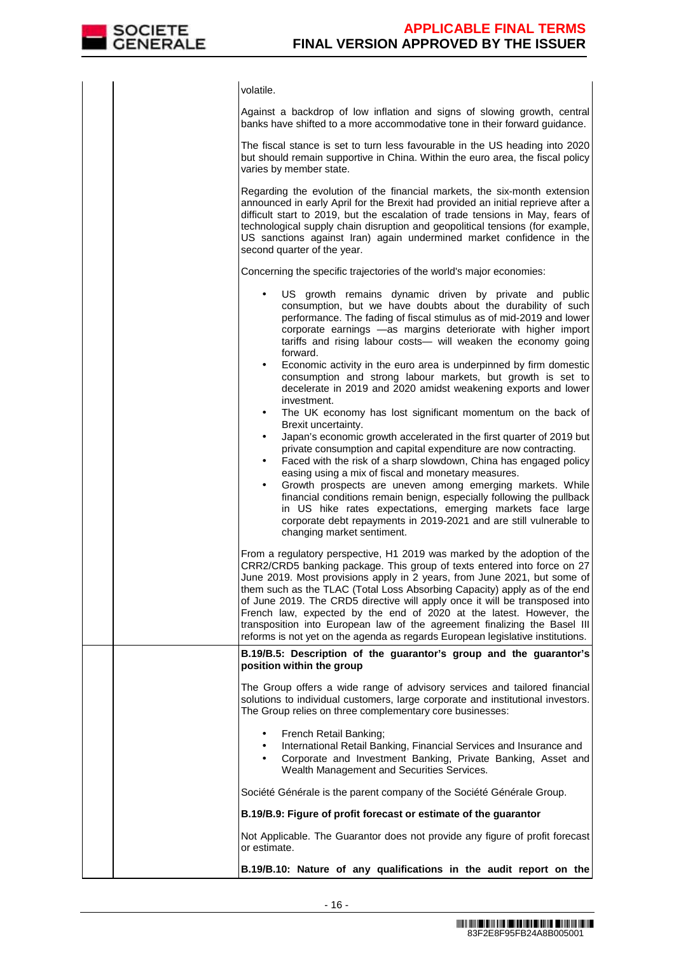

volatile. Against a backdrop of low inflation and signs of slowing growth, central banks have shifted to a more accommodative tone in their forward guidance. The fiscal stance is set to turn less favourable in the US heading into 2020 but should remain supportive in China. Within the euro area, the fiscal policy varies by member state. Regarding the evolution of the financial markets, the six-month extension announced in early April for the Brexit had provided an initial reprieve after a difficult start to 2019, but the escalation of trade tensions in May, fears of technological supply chain disruption and geopolitical tensions (for example, US sanctions against Iran) again undermined market confidence in the second quarter of the year. Concerning the specific trajectories of the world's major economies: US growth remains dynamic driven by private and public consumption, but we have doubts about the durability of such performance. The fading of fiscal stimulus as of mid-2019 and lower corporate earnings —as margins deteriorate with higher import tariffs and rising labour costs— will weaken the economy going forward. • Economic activity in the euro area is underpinned by firm domestic consumption and strong labour markets, but growth is set to decelerate in 2019 and 2020 amidst weakening exports and lower investment. The UK economy has lost significant momentum on the back of Brexit uncertainty. • Japan's economic growth accelerated in the first quarter of 2019 but private consumption and capital expenditure are now contracting. • Faced with the risk of a sharp slowdown, China has engaged policy easing using a mix of fiscal and monetary measures. Growth prospects are uneven among emerging markets. While financial conditions remain benign, especially following the pullback in US hike rates expectations, emerging markets face large corporate debt repayments in 2019-2021 and are still vulnerable to changing market sentiment. From a regulatory perspective, H1 2019 was marked by the adoption of the CRR2/CRD5 banking package. This group of texts entered into force on 27 June 2019. Most provisions apply in 2 years, from June 2021, but some of them such as the TLAC (Total Loss Absorbing Capacity) apply as of the end of June 2019. The CRD5 directive will apply once it will be transposed into French law, expected by the end of 2020 at the latest. However, the transposition into European law of the agreement finalizing the Basel III reforms is not yet on the agenda as regards European legislative institutions. **B.19/B.5: Description of the guarantor's group and the guarantor's position within the group**  The Group offers a wide range of advisory services and tailored financial solutions to individual customers, large corporate and institutional investors. The Group relies on three complementary core businesses: • French Retail Banking; • International Retail Banking, Financial Services and Insurance and • Corporate and Investment Banking, Private Banking, Asset and Wealth Management and Securities Services. Société Générale is the parent company of the Société Générale Group. **B.19/B.9: Figure of profit forecast or estimate of the guarantor**  Not Applicable. The Guarantor does not provide any figure of profit forecast or estimate. **B.19/B.10: Nature of any qualifications in the audit report on the**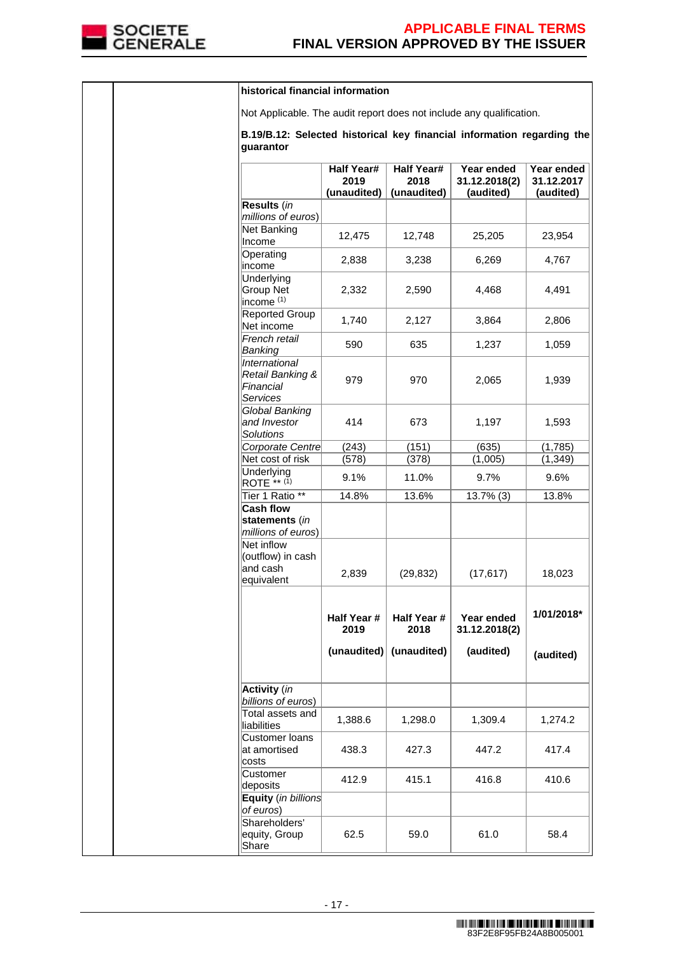

|  | historical financial information                                                    |                                          |                                          |                                          |                                       |
|--|-------------------------------------------------------------------------------------|------------------------------------------|------------------------------------------|------------------------------------------|---------------------------------------|
|  | Not Applicable. The audit report does not include any qualification.                |                                          |                                          |                                          |                                       |
|  | B.19/B.12: Selected historical key financial information regarding the<br>guarantor |                                          |                                          |                                          |                                       |
|  |                                                                                     | <b>Half Year#</b><br>2019<br>(unaudited) | <b>Half Year#</b><br>2018<br>(unaudited) | Year ended<br>31.12.2018(2)<br>(audited) | Year ended<br>31.12.2017<br>(audited) |
|  | Results (in                                                                         |                                          |                                          |                                          |                                       |
|  | millions of euros)<br>Net Banking<br>Income                                         | 12,475                                   | 12,748                                   | 25,205                                   | 23,954                                |
|  | Operating<br>income                                                                 | 2,838                                    | 3,238                                    | 6,269                                    | 4,767                                 |
|  | Underlying<br>Group Net<br>income <sup>(1)</sup>                                    | 2,332                                    | 2,590                                    | 4,468                                    | 4,491                                 |
|  | Reported Group<br>Net income                                                        | 1,740                                    | 2,127                                    | 3,864                                    | 2,806                                 |
|  | French retail<br>Banking                                                            | 590                                      | 635                                      | 1,237                                    | 1,059                                 |
|  | <i><b>International</b></i><br>Retail Banking &<br>Financial<br>Services            | 979                                      | 970                                      | 2,065                                    | 1,939                                 |
|  | Global Banking<br>and Investor<br><b>Solutions</b>                                  | 414                                      | 673                                      | 1,197                                    | 1,593                                 |
|  | Corporate Centre                                                                    | (243)                                    | (151)                                    | (635)                                    | (1,785)                               |
|  | Net cost of risk<br>Underlying                                                      | (578)                                    | (378)                                    | (1,005)                                  | (1, 349)                              |
|  | ROTE ** (1)                                                                         | 9.1%                                     | 11.0%                                    | 9.7%                                     | 9.6%                                  |
|  | Tier 1 Ratio **<br><b>Cash flow</b>                                                 | 14.8%                                    | 13.6%                                    | 13.7% (3)                                | 13.8%                                 |
|  | statements (in<br>millions of euros)                                                |                                          |                                          |                                          |                                       |
|  | Net inflow<br>(outflow) in cash<br>and cash<br>equivalent                           | 2,839                                    | (29, 832)                                | (17, 617)                                | 18,023                                |
|  |                                                                                     | Half Year #<br>2019                      | Half Year #<br>2018                      | Year ended<br>31.12.2018(2)              | 1/01/2018*                            |
|  |                                                                                     | (unaudited)                              | (unaudited)                              | (audited)                                | (audited)                             |
|  | <b>Activity</b> (in<br>billions of euros)                                           |                                          |                                          |                                          |                                       |
|  | Total assets and<br>liabilities                                                     | 1,388.6                                  | 1,298.0                                  | 1,309.4                                  | 1,274.2                               |
|  | Customer loans<br>at amortised<br>costs                                             | 438.3                                    | 427.3                                    | 447.2                                    | 417.4                                 |
|  | Customer<br>deposits                                                                | 412.9                                    | 415.1                                    | 416.8                                    | 410.6                                 |
|  | Equity (in billions<br>of euros)                                                    |                                          |                                          |                                          |                                       |
|  | Shareholders'<br>equity, Group<br>Share                                             | 62.5                                     | 59.0                                     | 61.0                                     | 58.4                                  |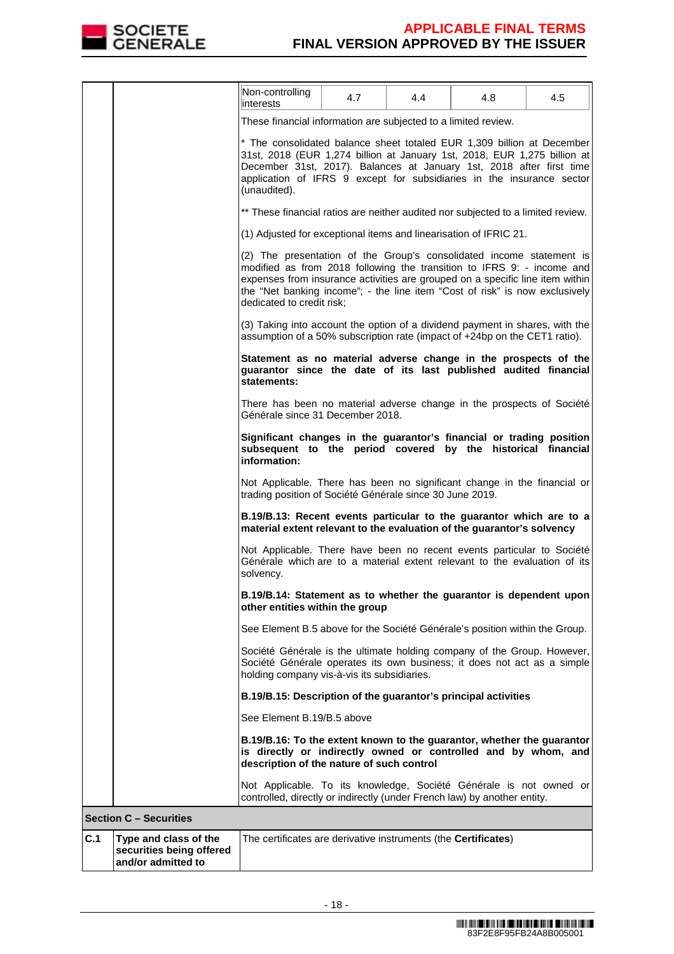

|     |                                                                         | Non-controlling<br>interests                                                                                                                                                                                                                                                                                                                | 4.7 | 4.4 | 4.8 | 4.5 |
|-----|-------------------------------------------------------------------------|---------------------------------------------------------------------------------------------------------------------------------------------------------------------------------------------------------------------------------------------------------------------------------------------------------------------------------------------|-----|-----|-----|-----|
|     |                                                                         | These financial information are subjected to a limited review.                                                                                                                                                                                                                                                                              |     |     |     |     |
|     |                                                                         | * The consolidated balance sheet totaled EUR 1,309 billion at December<br>31st, 2018 (EUR 1,274 billion at January 1st, 2018, EUR 1,275 billion at<br>December 31st, 2017). Balances at January 1st, 2018 after first time<br>application of IFRS 9 except for subsidiaries in the insurance sector<br>(unaudited).                         |     |     |     |     |
|     |                                                                         | ** These financial ratios are neither audited nor subjected to a limited review.                                                                                                                                                                                                                                                            |     |     |     |     |
|     |                                                                         | (1) Adjusted for exceptional items and linearisation of IFRIC 21.                                                                                                                                                                                                                                                                           |     |     |     |     |
|     |                                                                         | (2) The presentation of the Group's consolidated income statement is<br>modified as from 2018 following the transition to IFRS 9: - income and<br>expenses from insurance activities are grouped on a specific line item within<br>the "Net banking income"; - the line item "Cost of risk" is now exclusively<br>dedicated to credit risk; |     |     |     |     |
|     |                                                                         | (3) Taking into account the option of a dividend payment in shares, with the<br>assumption of a 50% subscription rate (impact of +24bp on the CET1 ratio).                                                                                                                                                                                  |     |     |     |     |
|     |                                                                         | Statement as no material adverse change in the prospects of the<br>guarantor since the date of its last published audited financial<br>statements:                                                                                                                                                                                          |     |     |     |     |
|     |                                                                         | There has been no material adverse change in the prospects of Société<br>Générale since 31 December 2018.                                                                                                                                                                                                                                   |     |     |     |     |
|     |                                                                         | Significant changes in the guarantor's financial or trading position<br>subsequent to the period covered by the historical financial<br>information:                                                                                                                                                                                        |     |     |     |     |
|     |                                                                         | Not Applicable. There has been no significant change in the financial or<br>trading position of Société Générale since 30 June 2019.                                                                                                                                                                                                        |     |     |     |     |
|     |                                                                         | B.19/B.13: Recent events particular to the guarantor which are to a<br>material extent relevant to the evaluation of the guarantor's solvency                                                                                                                                                                                               |     |     |     |     |
|     |                                                                         | Not Applicable. There have been no recent events particular to Société<br>Générale which are to a material extent relevant to the evaluation of its<br>solvency.                                                                                                                                                                            |     |     |     |     |
|     |                                                                         | B.19/B.14: Statement as to whether the guarantor is dependent upon<br>other entities within the group                                                                                                                                                                                                                                       |     |     |     |     |
|     |                                                                         | See Element B.5 above for the Société Générale's position within the Group.                                                                                                                                                                                                                                                                 |     |     |     |     |
|     |                                                                         | Société Générale is the ultimate holding company of the Group. However,<br>Société Générale operates its own business; it does not act as a simple<br>holding company vis-à-vis its subsidiaries.                                                                                                                                           |     |     |     |     |
|     |                                                                         | B.19/B.15: Description of the guarantor's principal activities                                                                                                                                                                                                                                                                              |     |     |     |     |
|     |                                                                         | See Element B.19/B.5 above                                                                                                                                                                                                                                                                                                                  |     |     |     |     |
|     |                                                                         | B.19/B.16: To the extent known to the guarantor, whether the guarantor<br>is directly or indirectly owned or controlled and by whom, and<br>description of the nature of such control                                                                                                                                                       |     |     |     |     |
|     |                                                                         | Not Applicable. To its knowledge, Société Générale is not owned or<br>controlled, directly or indirectly (under French law) by another entity.                                                                                                                                                                                              |     |     |     |     |
|     | <b>Section C - Securities</b>                                           |                                                                                                                                                                                                                                                                                                                                             |     |     |     |     |
| C.1 | Type and class of the<br>securities being offered<br>and/or admitted to | The certificates are derivative instruments (the Certificates)                                                                                                                                                                                                                                                                              |     |     |     |     |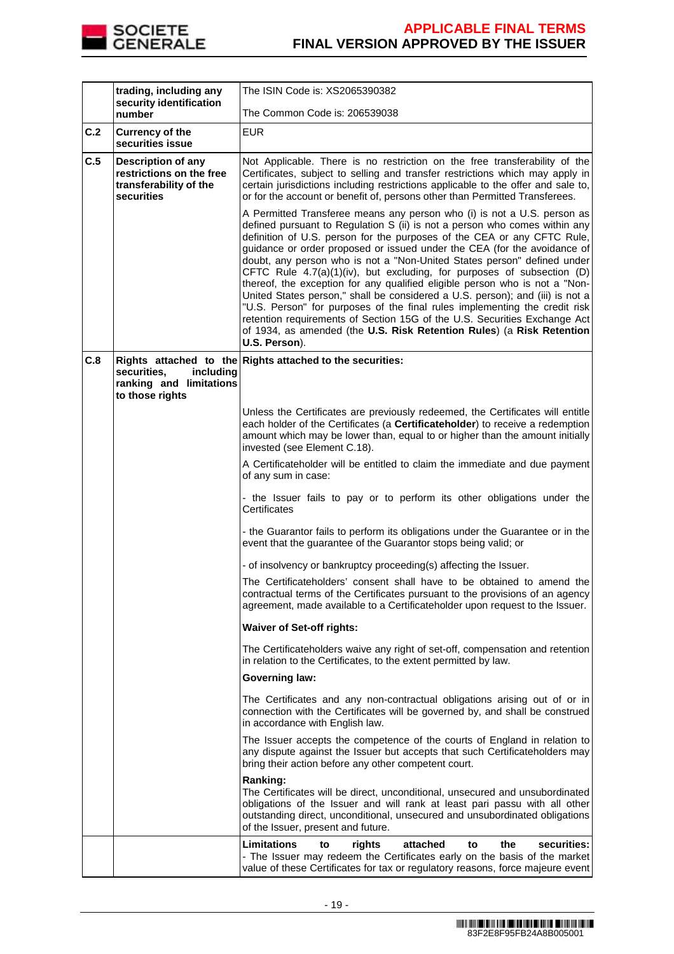

|     | trading, including any<br>security identification                                             | The ISIN Code is: XS2065390382                                                                                                                                                                                                                                                                                                                                                                                                                                                                                                                                                                                                                                                                                                                                                                                                                                                         |  |
|-----|-----------------------------------------------------------------------------------------------|----------------------------------------------------------------------------------------------------------------------------------------------------------------------------------------------------------------------------------------------------------------------------------------------------------------------------------------------------------------------------------------------------------------------------------------------------------------------------------------------------------------------------------------------------------------------------------------------------------------------------------------------------------------------------------------------------------------------------------------------------------------------------------------------------------------------------------------------------------------------------------------|--|
|     | number                                                                                        | The Common Code is: 206539038                                                                                                                                                                                                                                                                                                                                                                                                                                                                                                                                                                                                                                                                                                                                                                                                                                                          |  |
| C.2 | <b>Currency of the</b><br>securities issue                                                    | <b>EUR</b>                                                                                                                                                                                                                                                                                                                                                                                                                                                                                                                                                                                                                                                                                                                                                                                                                                                                             |  |
| C.5 | <b>Description of any</b><br>restrictions on the free<br>transferability of the<br>securities | Not Applicable. There is no restriction on the free transferability of the<br>Certificates, subject to selling and transfer restrictions which may apply in<br>certain jurisdictions including restrictions applicable to the offer and sale to,<br>or for the account or benefit of, persons other than Permitted Transferees.                                                                                                                                                                                                                                                                                                                                                                                                                                                                                                                                                        |  |
|     |                                                                                               | A Permitted Transferee means any person who (i) is not a U.S. person as<br>defined pursuant to Regulation S (ii) is not a person who comes within any<br>definition of U.S. person for the purposes of the CEA or any CFTC Rule,<br>guidance or order proposed or issued under the CEA (for the avoidance of<br>doubt, any person who is not a "Non-United States person" defined under<br>CFTC Rule 4.7(a)(1)(iv), but excluding, for purposes of subsection (D)<br>thereof, the exception for any qualified eligible person who is not a "Non-<br>United States person," shall be considered a U.S. person); and (iii) is not a<br>"U.S. Person" for purposes of the final rules implementing the credit risk<br>retention requirements of Section 15G of the U.S. Securities Exchange Act<br>of 1934, as amended (the U.S. Risk Retention Rules) (a Risk Retention<br>U.S. Person). |  |
| C.8 | securities.<br>including                                                                      | Rights attached to the Rights attached to the securities:                                                                                                                                                                                                                                                                                                                                                                                                                                                                                                                                                                                                                                                                                                                                                                                                                              |  |
|     | ranking and limitations<br>to those rights                                                    |                                                                                                                                                                                                                                                                                                                                                                                                                                                                                                                                                                                                                                                                                                                                                                                                                                                                                        |  |
|     |                                                                                               | Unless the Certificates are previously redeemed, the Certificates will entitle<br>each holder of the Certificates (a Certificateholder) to receive a redemption<br>amount which may be lower than, equal to or higher than the amount initially<br>invested (see Element C.18).                                                                                                                                                                                                                                                                                                                                                                                                                                                                                                                                                                                                        |  |
|     |                                                                                               | A Certificateholder will be entitled to claim the immediate and due payment<br>of any sum in case:                                                                                                                                                                                                                                                                                                                                                                                                                                                                                                                                                                                                                                                                                                                                                                                     |  |
|     |                                                                                               | - the Issuer fails to pay or to perform its other obligations under the<br>Certificates                                                                                                                                                                                                                                                                                                                                                                                                                                                                                                                                                                                                                                                                                                                                                                                                |  |
|     |                                                                                               | - the Guarantor fails to perform its obligations under the Guarantee or in the<br>event that the guarantee of the Guarantor stops being valid; or                                                                                                                                                                                                                                                                                                                                                                                                                                                                                                                                                                                                                                                                                                                                      |  |
|     |                                                                                               | - of insolvency or bankruptcy proceeding(s) affecting the Issuer.                                                                                                                                                                                                                                                                                                                                                                                                                                                                                                                                                                                                                                                                                                                                                                                                                      |  |
|     |                                                                                               | The Certificateholders' consent shall have to be obtained to amend the<br>contractual terms of the Certificates pursuant to the provisions of an agency<br>agreement, made available to a Certificateholder upon request to the Issuer.                                                                                                                                                                                                                                                                                                                                                                                                                                                                                                                                                                                                                                                |  |
|     |                                                                                               | <b>Waiver of Set-off rights:</b>                                                                                                                                                                                                                                                                                                                                                                                                                                                                                                                                                                                                                                                                                                                                                                                                                                                       |  |
|     |                                                                                               | The Certificateholders waive any right of set-off, compensation and retention<br>in relation to the Certificates, to the extent permitted by law.                                                                                                                                                                                                                                                                                                                                                                                                                                                                                                                                                                                                                                                                                                                                      |  |
|     |                                                                                               | <b>Governing law:</b>                                                                                                                                                                                                                                                                                                                                                                                                                                                                                                                                                                                                                                                                                                                                                                                                                                                                  |  |
|     |                                                                                               | The Certificates and any non-contractual obligations arising out of or in<br>connection with the Certificates will be governed by, and shall be construed<br>in accordance with English law.                                                                                                                                                                                                                                                                                                                                                                                                                                                                                                                                                                                                                                                                                           |  |
|     |                                                                                               | The Issuer accepts the competence of the courts of England in relation to<br>any dispute against the Issuer but accepts that such Certificateholders may<br>bring their action before any other competent court.                                                                                                                                                                                                                                                                                                                                                                                                                                                                                                                                                                                                                                                                       |  |
|     |                                                                                               | Ranking:<br>The Certificates will be direct, unconditional, unsecured and unsubordinated<br>obligations of the Issuer and will rank at least pari passu with all other<br>outstanding direct, unconditional, unsecured and unsubordinated obligations<br>of the Issuer, present and future.                                                                                                                                                                                                                                                                                                                                                                                                                                                                                                                                                                                            |  |
|     |                                                                                               | <b>Limitations</b><br>the<br>securities:<br>to<br>rights<br>attached<br>to<br>- The Issuer may redeem the Certificates early on the basis of the market<br>value of these Certificates for tax or regulatory reasons, force majeure event                                                                                                                                                                                                                                                                                                                                                                                                                                                                                                                                                                                                                                              |  |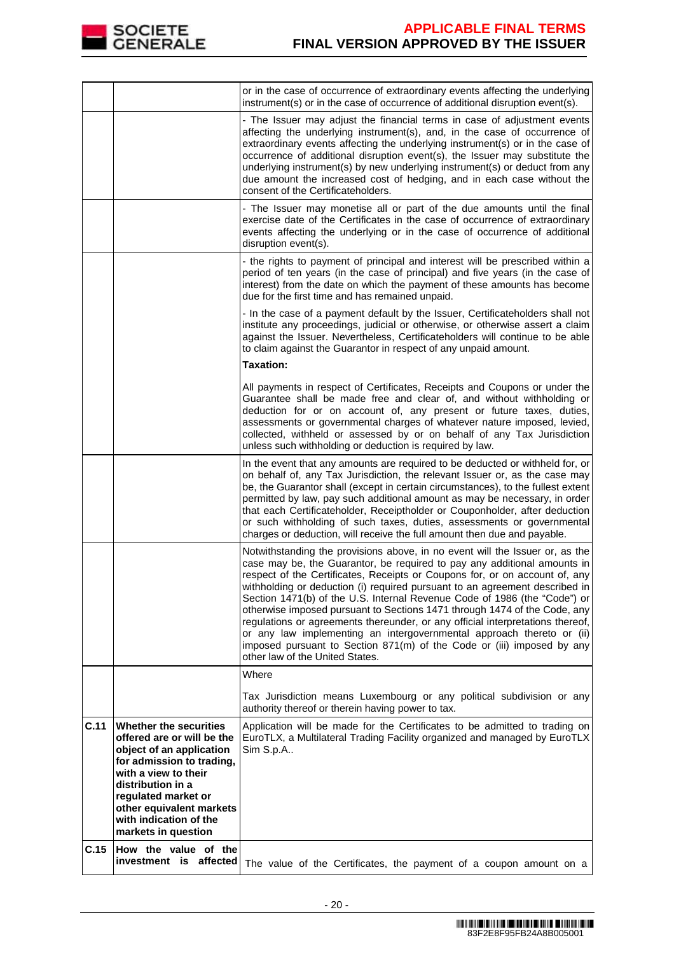

|      |                                                                                                                                                                                                                                                                | or in the case of occurrence of extraordinary events affecting the underlying<br>instrument(s) or in the case of occurrence of additional disruption event(s).                                                                                                                                                                                                                                                                                                                                                                                                                                                                                                                                                                                           |
|------|----------------------------------------------------------------------------------------------------------------------------------------------------------------------------------------------------------------------------------------------------------------|----------------------------------------------------------------------------------------------------------------------------------------------------------------------------------------------------------------------------------------------------------------------------------------------------------------------------------------------------------------------------------------------------------------------------------------------------------------------------------------------------------------------------------------------------------------------------------------------------------------------------------------------------------------------------------------------------------------------------------------------------------|
|      |                                                                                                                                                                                                                                                                | - The Issuer may adjust the financial terms in case of adjustment events<br>affecting the underlying instrument(s), and, in the case of occurrence of<br>extraordinary events affecting the underlying instrument(s) or in the case of<br>occurrence of additional disruption event(s), the Issuer may substitute the<br>underlying instrument(s) by new underlying instrument(s) or deduct from any<br>due amount the increased cost of hedging, and in each case without the<br>consent of the Certificateholders.                                                                                                                                                                                                                                     |
|      |                                                                                                                                                                                                                                                                | - The Issuer may monetise all or part of the due amounts until the final<br>exercise date of the Certificates in the case of occurrence of extraordinary<br>events affecting the underlying or in the case of occurrence of additional<br>disruption event(s).                                                                                                                                                                                                                                                                                                                                                                                                                                                                                           |
|      |                                                                                                                                                                                                                                                                | - the rights to payment of principal and interest will be prescribed within a<br>period of ten years (in the case of principal) and five years (in the case of<br>interest) from the date on which the payment of these amounts has become<br>due for the first time and has remained unpaid.                                                                                                                                                                                                                                                                                                                                                                                                                                                            |
|      |                                                                                                                                                                                                                                                                | - In the case of a payment default by the Issuer, Certificateholders shall not<br>institute any proceedings, judicial or otherwise, or otherwise assert a claim<br>against the Issuer. Nevertheless, Certificateholders will continue to be able<br>to claim against the Guarantor in respect of any unpaid amount.<br><b>Taxation:</b>                                                                                                                                                                                                                                                                                                                                                                                                                  |
|      |                                                                                                                                                                                                                                                                | All payments in respect of Certificates, Receipts and Coupons or under the<br>Guarantee shall be made free and clear of, and without withholding or<br>deduction for or on account of, any present or future taxes, duties,<br>assessments or governmental charges of whatever nature imposed, levied,<br>collected, withheld or assessed by or on behalf of any Tax Jurisdiction<br>unless such withholding or deduction is required by law.                                                                                                                                                                                                                                                                                                            |
|      |                                                                                                                                                                                                                                                                | In the event that any amounts are required to be deducted or withheld for, or<br>on behalf of, any Tax Jurisdiction, the relevant Issuer or, as the case may<br>be, the Guarantor shall (except in certain circumstances), to the fullest extent<br>permitted by law, pay such additional amount as may be necessary, in order<br>that each Certificateholder, Receiptholder or Couponholder, after deduction<br>or such withholding of such taxes, duties, assessments or governmental<br>charges or deduction, will receive the full amount then due and payable.                                                                                                                                                                                      |
|      |                                                                                                                                                                                                                                                                | Notwithstanding the provisions above, in no event will the Issuer or, as the<br>case may be, the Guarantor, be required to pay any additional amounts in<br>respect of the Certificates, Receipts or Coupons for, or on account of, any<br>withholding or deduction (i) required pursuant to an agreement described in<br>Section 1471(b) of the U.S. Internal Revenue Code of 1986 (the "Code") or<br>otherwise imposed pursuant to Sections 1471 through 1474 of the Code, any<br>regulations or agreements thereunder, or any official interpretations thereof,<br>or any law implementing an intergovernmental approach thereto or (ii)<br>imposed pursuant to Section 871(m) of the Code or (iii) imposed by any<br>other law of the United States. |
|      |                                                                                                                                                                                                                                                                | Where                                                                                                                                                                                                                                                                                                                                                                                                                                                                                                                                                                                                                                                                                                                                                    |
|      |                                                                                                                                                                                                                                                                | Tax Jurisdiction means Luxembourg or any political subdivision or any<br>authority thereof or therein having power to tax.                                                                                                                                                                                                                                                                                                                                                                                                                                                                                                                                                                                                                               |
| C.11 | Whether the securities<br>offered are or will be the<br>object of an application<br>for admission to trading,<br>with a view to their<br>distribution in a<br>regulated market or<br>other equivalent markets<br>with indication of the<br>markets in question | Application will be made for the Certificates to be admitted to trading on<br>EuroTLX, a Multilateral Trading Facility organized and managed by EuroTLX<br>Sim S.p.A                                                                                                                                                                                                                                                                                                                                                                                                                                                                                                                                                                                     |
| C.15 | How the value of the<br>investment is affected                                                                                                                                                                                                                 | The value of the Certificates, the payment of a coupon amount on a                                                                                                                                                                                                                                                                                                                                                                                                                                                                                                                                                                                                                                                                                       |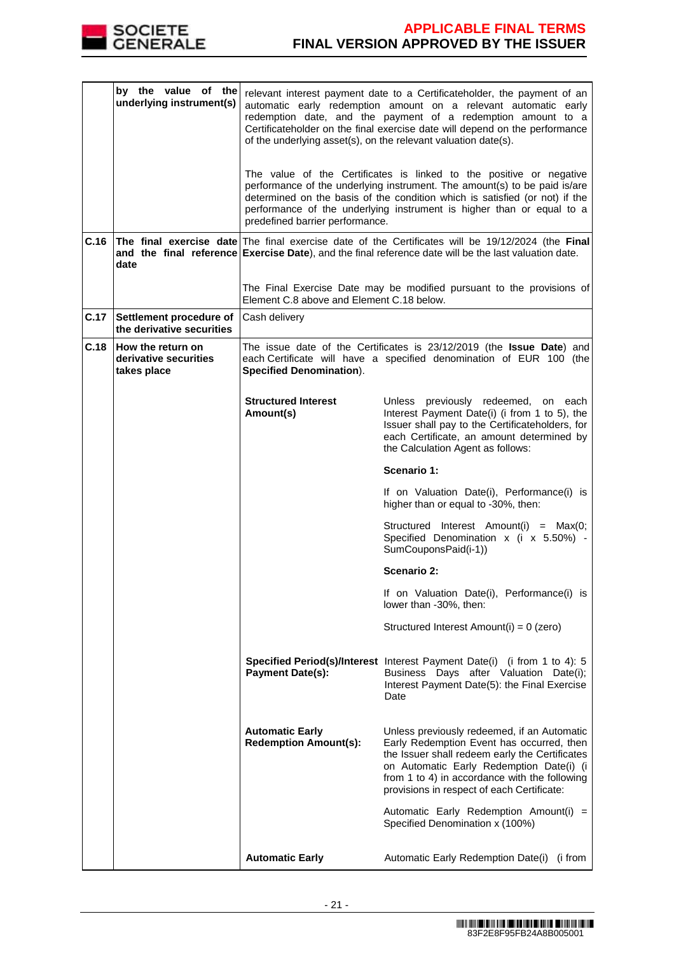

|      | by the value of the<br>underlying instrument(s)                  |                                                                                                                                                                                 | relevant interest payment date to a Certificateholder, the payment of an<br>automatic early redemption amount on a relevant automatic early<br>redemption date, and the payment of a redemption amount to a<br>Certificateholder on the final exercise date will depend on the performance<br>of the underlying asset(s), on the relevant valuation date(s).<br>The value of the Certificates is linked to the positive or negative<br>performance of the underlying instrument. The amount(s) to be paid is/are<br>determined on the basis of the condition which is satisfied (or not) if the |  |
|------|------------------------------------------------------------------|---------------------------------------------------------------------------------------------------------------------------------------------------------------------------------|-------------------------------------------------------------------------------------------------------------------------------------------------------------------------------------------------------------------------------------------------------------------------------------------------------------------------------------------------------------------------------------------------------------------------------------------------------------------------------------------------------------------------------------------------------------------------------------------------|--|
|      |                                                                  | predefined barrier performance.                                                                                                                                                 | performance of the underlying instrument is higher than or equal to a                                                                                                                                                                                                                                                                                                                                                                                                                                                                                                                           |  |
| C.16 | date                                                             |                                                                                                                                                                                 | The final exercise date The final exercise date of the Certificates will be 19/12/2024 (the Final<br>and the final reference Exercise Date), and the final reference date will be the last valuation date.                                                                                                                                                                                                                                                                                                                                                                                      |  |
|      |                                                                  | Element C.8 above and Element C.18 below.                                                                                                                                       | The Final Exercise Date may be modified pursuant to the provisions of                                                                                                                                                                                                                                                                                                                                                                                                                                                                                                                           |  |
| C.17 | Settlement procedure of<br>the derivative securities             | Cash delivery                                                                                                                                                                   |                                                                                                                                                                                                                                                                                                                                                                                                                                                                                                                                                                                                 |  |
| C.18 | <b>How the return on</b><br>derivative securities<br>takes place | The issue date of the Certificates is 23/12/2019 (the Issue Date) and<br>each Certificate will have a specified denomination of EUR 100 (the<br><b>Specified Denomination).</b> |                                                                                                                                                                                                                                                                                                                                                                                                                                                                                                                                                                                                 |  |
|      |                                                                  | <b>Structured Interest</b><br>Amount(s)                                                                                                                                         | Unless previously redeemed, on each<br>Interest Payment Date(i) (i from 1 to 5), the<br>Issuer shall pay to the Certificateholders, for<br>each Certificate, an amount determined by<br>the Calculation Agent as follows:                                                                                                                                                                                                                                                                                                                                                                       |  |
|      |                                                                  |                                                                                                                                                                                 | Scenario 1:                                                                                                                                                                                                                                                                                                                                                                                                                                                                                                                                                                                     |  |
|      |                                                                  |                                                                                                                                                                                 | If on Valuation Date(i), Performance(i) is<br>higher than or equal to -30%, then:                                                                                                                                                                                                                                                                                                                                                                                                                                                                                                               |  |
|      |                                                                  |                                                                                                                                                                                 | Structured Interest Amount(i) = Max(0;<br>Specified Denomination x (i x 5.50%) -<br>SumCouponsPaid(i-1))                                                                                                                                                                                                                                                                                                                                                                                                                                                                                        |  |
|      |                                                                  |                                                                                                                                                                                 | <b>Scenario 2:</b>                                                                                                                                                                                                                                                                                                                                                                                                                                                                                                                                                                              |  |
|      |                                                                  |                                                                                                                                                                                 | If on Valuation Date(i), Performance(i) is<br>lower than -30%, then:                                                                                                                                                                                                                                                                                                                                                                                                                                                                                                                            |  |
|      |                                                                  |                                                                                                                                                                                 | Structured Interest Amount(i) = 0 (zero)                                                                                                                                                                                                                                                                                                                                                                                                                                                                                                                                                        |  |
|      |                                                                  | <b>Payment Date(s):</b>                                                                                                                                                         | Specified Period(s)/Interest Interest Payment Date(i) (i from 1 to 4): 5<br>Business Days after Valuation Date(i);<br>Interest Payment Date(5): the Final Exercise<br>Date                                                                                                                                                                                                                                                                                                                                                                                                                      |  |
|      |                                                                  | <b>Automatic Early</b><br><b>Redemption Amount(s):</b>                                                                                                                          | Unless previously redeemed, if an Automatic<br>Early Redemption Event has occurred, then<br>the Issuer shall redeem early the Certificates<br>on Automatic Early Redemption Date(i) (i<br>from 1 to 4) in accordance with the following<br>provisions in respect of each Certificate:                                                                                                                                                                                                                                                                                                           |  |
|      |                                                                  |                                                                                                                                                                                 | Automatic Early Redemption Amount(i) =<br>Specified Denomination x (100%)                                                                                                                                                                                                                                                                                                                                                                                                                                                                                                                       |  |
|      |                                                                  | <b>Automatic Early</b>                                                                                                                                                          | Automatic Early Redemption Date(i) (i from                                                                                                                                                                                                                                                                                                                                                                                                                                                                                                                                                      |  |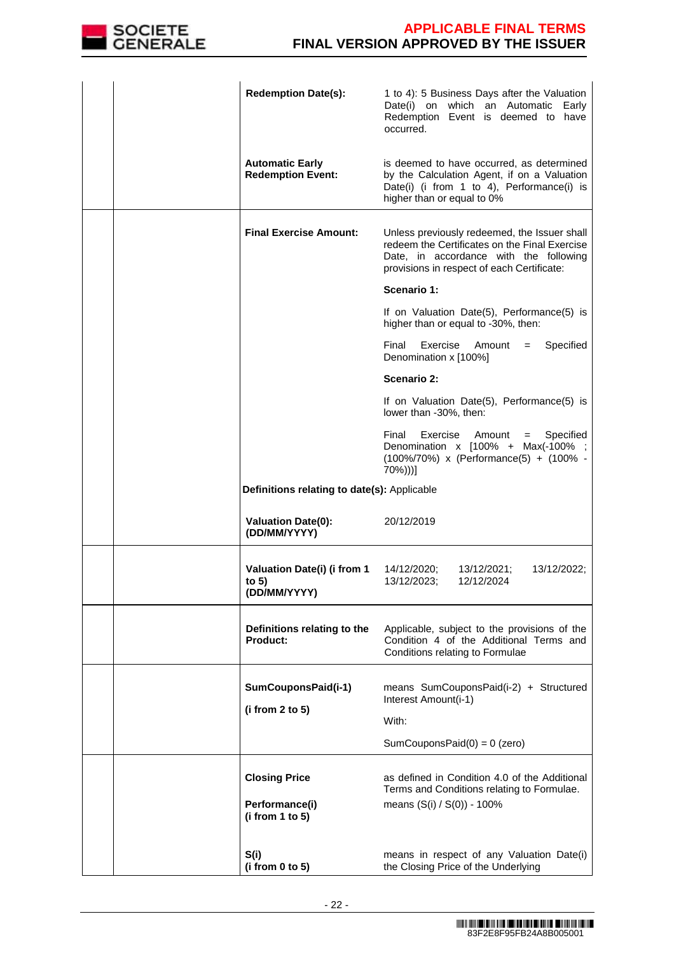

|  | <b>Redemption Date(s):</b>                             | 1 to 4): 5 Business Days after the Valuation<br>Date(i) on which an Automatic Early<br>Redemption Event is deemed to have<br>occurred.                                                |
|--|--------------------------------------------------------|---------------------------------------------------------------------------------------------------------------------------------------------------------------------------------------|
|  | <b>Automatic Early</b><br><b>Redemption Event:</b>     | is deemed to have occurred, as determined<br>by the Calculation Agent, if on a Valuation<br>Date(i) (i from 1 to 4), Performance(i) is<br>higher than or equal to 0%                  |
|  | <b>Final Exercise Amount:</b>                          | Unless previously redeemed, the Issuer shall<br>redeem the Certificates on the Final Exercise<br>Date, in accordance with the following<br>provisions in respect of each Certificate: |
|  |                                                        | Scenario 1:                                                                                                                                                                           |
|  |                                                        | If on Valuation Date(5), Performance(5) is<br>higher than or equal to -30%, then:                                                                                                     |
|  |                                                        | Final<br>Exercise<br>Amount =<br>Specified<br>Denomination x [100%]                                                                                                                   |
|  |                                                        | Scenario 2:                                                                                                                                                                           |
|  |                                                        | If on Valuation Date(5), Performance(5) is<br>lower than -30%, then:                                                                                                                  |
|  |                                                        | Final<br>Exercise<br>Amount<br>Specified<br>$=$<br>Denomination x [100% + Max(-100%<br>(100%/70%) x (Performance(5) + (100% -<br>70%)))]                                              |
|  | Definitions relating to date(s): Applicable            |                                                                                                                                                                                       |
|  | <b>Valuation Date(0):</b><br>(DD/MM/YYYY)              | 20/12/2019                                                                                                                                                                            |
|  | Valuation Date(i) (i from 1<br>to $5)$<br>(DD/MM/YYYY) | 14/12/2020;<br>13/12/2021;<br>13/12/2022;<br>13/12/2023;<br>12/12/2024                                                                                                                |
|  | Definitions relating to the<br>Product:                | Applicable, subject to the provisions of the<br>Condition 4 of the Additional Terms and<br>Conditions relating to Formulae                                                            |
|  | SumCouponsPaid(i-1)                                    | means SumCouponsPaid(i-2) + Structured<br>Interest Amount(i-1)                                                                                                                        |
|  | (i from 2 to 5)                                        | With:                                                                                                                                                                                 |
|  |                                                        | SumCouponsPaid $(0) = 0$ (zero)                                                                                                                                                       |
|  | <b>Closing Price</b>                                   | as defined in Condition 4.0 of the Additional<br>Terms and Conditions relating to Formulae.                                                                                           |
|  | Performance(i)<br>(i from 1 to 5)                      | means (S(i) / S(0)) - 100%                                                                                                                                                            |
|  | S(i)<br>(i from 0 to 5)                                | means in respect of any Valuation Date(i)<br>the Closing Price of the Underlying                                                                                                      |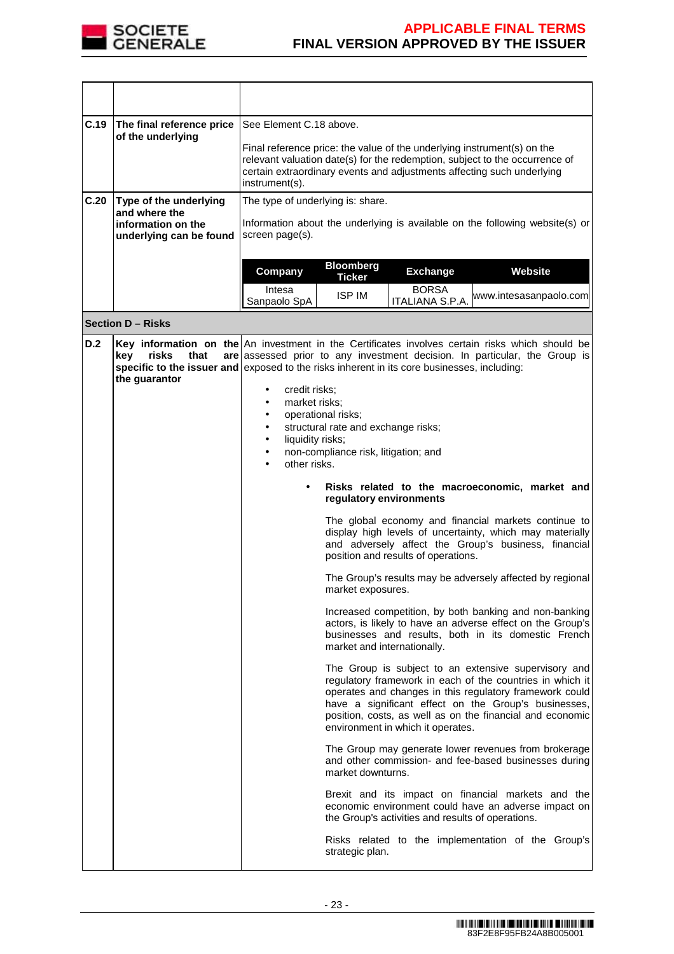

| C.19 | The final reference price<br>of the underlying                                                                                                                                                                                             | See Element C.18 above.<br>Final reference price: the value of the underlying instrument(s) on the<br>relevant valuation date(s) for the redemption, subject to the occurrence of<br>certain extraordinary events and adjustments affecting such underlying<br>instrument(s). |                                                                                                                   |                                                   |                                                                                                                                                                                                                                                                                                   |
|------|--------------------------------------------------------------------------------------------------------------------------------------------------------------------------------------------------------------------------------------------|-------------------------------------------------------------------------------------------------------------------------------------------------------------------------------------------------------------------------------------------------------------------------------|-------------------------------------------------------------------------------------------------------------------|---------------------------------------------------|---------------------------------------------------------------------------------------------------------------------------------------------------------------------------------------------------------------------------------------------------------------------------------------------------|
| C.20 | Type of the underlying                                                                                                                                                                                                                     |                                                                                                                                                                                                                                                                               |                                                                                                                   |                                                   |                                                                                                                                                                                                                                                                                                   |
|      | and where the<br>information on the<br>underlying can be found                                                                                                                                                                             | screen page(s).                                                                                                                                                                                                                                                               | The type of underlying is: share.<br>Information about the underlying is available on the following website(s) or |                                                   |                                                                                                                                                                                                                                                                                                   |
|      |                                                                                                                                                                                                                                            | Company                                                                                                                                                                                                                                                                       | <b>Bloomberg</b><br><b>Ticker</b>                                                                                 | <b>Exchange</b>                                   | Website                                                                                                                                                                                                                                                                                           |
|      |                                                                                                                                                                                                                                            | Intesa<br>Sanpaolo SpA                                                                                                                                                                                                                                                        | <b>ISP IM</b>                                                                                                     | <b>BORSA</b><br>ITALIANA S.P.A.                   | www.intesasanpaolo.com                                                                                                                                                                                                                                                                            |
|      | <b>Section D - Risks</b>                                                                                                                                                                                                                   |                                                                                                                                                                                                                                                                               |                                                                                                                   |                                                   |                                                                                                                                                                                                                                                                                                   |
| D.2  | Key information on the $ An$ investment in the Certificates involves certain risks which should be<br>risks<br>kev<br>that<br>specific to the issuer and exposed to the risks inherent in its core businesses, including:<br>the guarantor | credit risks;<br>٠<br>market risks:<br>٠                                                                                                                                                                                                                                      |                                                                                                                   |                                                   | are assessed prior to any investment decision. In particular, the Group is                                                                                                                                                                                                                        |
|      |                                                                                                                                                                                                                                            | ٠                                                                                                                                                                                                                                                                             | operational risks;                                                                                                |                                                   |                                                                                                                                                                                                                                                                                                   |
|      |                                                                                                                                                                                                                                            | $\bullet$<br>liquidity risks;                                                                                                                                                                                                                                                 | structural rate and exchange risks;                                                                               |                                                   |                                                                                                                                                                                                                                                                                                   |
|      |                                                                                                                                                                                                                                            | ٠<br>٠                                                                                                                                                                                                                                                                        | non-compliance risk, litigation; and                                                                              |                                                   |                                                                                                                                                                                                                                                                                                   |
|      |                                                                                                                                                                                                                                            | other risks.                                                                                                                                                                                                                                                                  |                                                                                                                   |                                                   |                                                                                                                                                                                                                                                                                                   |
|      |                                                                                                                                                                                                                                            |                                                                                                                                                                                                                                                                               | regulatory environments                                                                                           |                                                   | Risks related to the macroeconomic, market and                                                                                                                                                                                                                                                    |
|      |                                                                                                                                                                                                                                            |                                                                                                                                                                                                                                                                               |                                                                                                                   | position and results of operations.               | The global economy and financial markets continue to<br>display high levels of uncertainty, which may materially<br>and adversely affect the Group's business, financial                                                                                                                          |
|      |                                                                                                                                                                                                                                            |                                                                                                                                                                                                                                                                               | market exposures.                                                                                                 |                                                   | The Group's results may be adversely affected by regional                                                                                                                                                                                                                                         |
|      |                                                                                                                                                                                                                                            |                                                                                                                                                                                                                                                                               | market and internationally.                                                                                       |                                                   | Increased competition, by both banking and non-banking<br>actors, is likely to have an adverse effect on the Group's<br>businesses and results, both in its domestic French                                                                                                                       |
|      |                                                                                                                                                                                                                                            |                                                                                                                                                                                                                                                                               |                                                                                                                   | environment in which it operates.                 | The Group is subject to an extensive supervisory and<br>regulatory framework in each of the countries in which it<br>operates and changes in this regulatory framework could<br>have a significant effect on the Group's businesses,<br>position, costs, as well as on the financial and economic |
|      |                                                                                                                                                                                                                                            |                                                                                                                                                                                                                                                                               | market downturns.                                                                                                 |                                                   | The Group may generate lower revenues from brokerage<br>and other commission- and fee-based businesses during                                                                                                                                                                                     |
|      |                                                                                                                                                                                                                                            |                                                                                                                                                                                                                                                                               |                                                                                                                   | the Group's activities and results of operations. | Brexit and its impact on financial markets and the<br>economic environment could have an adverse impact on                                                                                                                                                                                        |
|      |                                                                                                                                                                                                                                            |                                                                                                                                                                                                                                                                               | strategic plan.                                                                                                   |                                                   | Risks related to the implementation of the Group's                                                                                                                                                                                                                                                |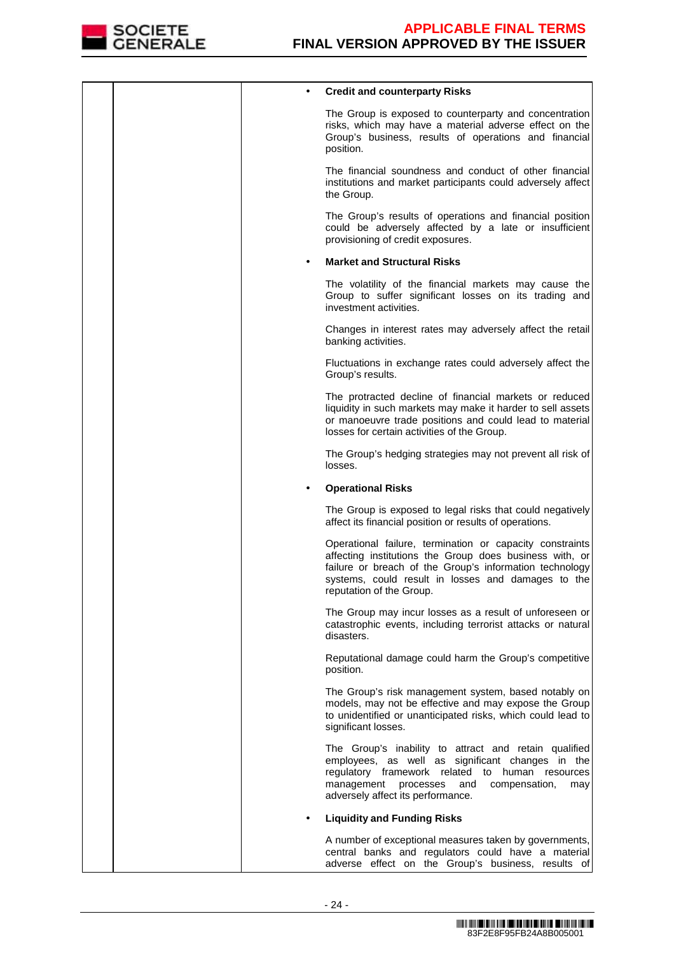

|  | <b>Credit and counterparty Risks</b>                                                                                                                                                                                                                             |
|--|------------------------------------------------------------------------------------------------------------------------------------------------------------------------------------------------------------------------------------------------------------------|
|  | The Group is exposed to counterparty and concentration<br>risks, which may have a material adverse effect on the<br>Group's business, results of operations and financial<br>position.                                                                           |
|  | The financial soundness and conduct of other financial<br>institutions and market participants could adversely affect<br>the Group.                                                                                                                              |
|  | The Group's results of operations and financial position<br>could be adversely affected by a late or insufficient<br>provisioning of credit exposures.                                                                                                           |
|  | <b>Market and Structural Risks</b>                                                                                                                                                                                                                               |
|  | The volatility of the financial markets may cause the<br>Group to suffer significant losses on its trading and<br>investment activities.                                                                                                                         |
|  | Changes in interest rates may adversely affect the retail<br>banking activities.                                                                                                                                                                                 |
|  | Fluctuations in exchange rates could adversely affect the<br>Group's results.                                                                                                                                                                                    |
|  | The protracted decline of financial markets or reduced<br>liquidity in such markets may make it harder to sell assets<br>or manoeuvre trade positions and could lead to material<br>losses for certain activities of the Group.                                  |
|  | The Group's hedging strategies may not prevent all risk of<br>losses.                                                                                                                                                                                            |
|  | <b>Operational Risks</b>                                                                                                                                                                                                                                         |
|  | The Group is exposed to legal risks that could negatively<br>affect its financial position or results of operations.                                                                                                                                             |
|  | Operational failure, termination or capacity constraints<br>affecting institutions the Group does business with, or<br>failure or breach of the Group's information technology<br>systems, could result in losses and damages to the<br>reputation of the Group. |
|  | The Group may incur losses as a result of unforeseen or<br>catastrophic events, including terrorist attacks or natural<br>disasters.                                                                                                                             |
|  | Reputational damage could harm the Group's competitive<br>position.                                                                                                                                                                                              |
|  | The Group's risk management system, based notably on<br>models, may not be effective and may expose the Group<br>to unidentified or unanticipated risks, which could lead to<br>significant losses.                                                              |
|  | The Group's inability to attract and retain qualified<br>employees, as well as significant changes in the<br>regulatory framework related<br>to human resources<br>management<br>processes<br>and<br>compensation,<br>may<br>adversely affect its performance.   |
|  | <b>Liquidity and Funding Risks</b>                                                                                                                                                                                                                               |
|  | A number of exceptional measures taken by governments,<br>central banks and regulators could have a material<br>adverse effect on the Group's business, results of                                                                                               |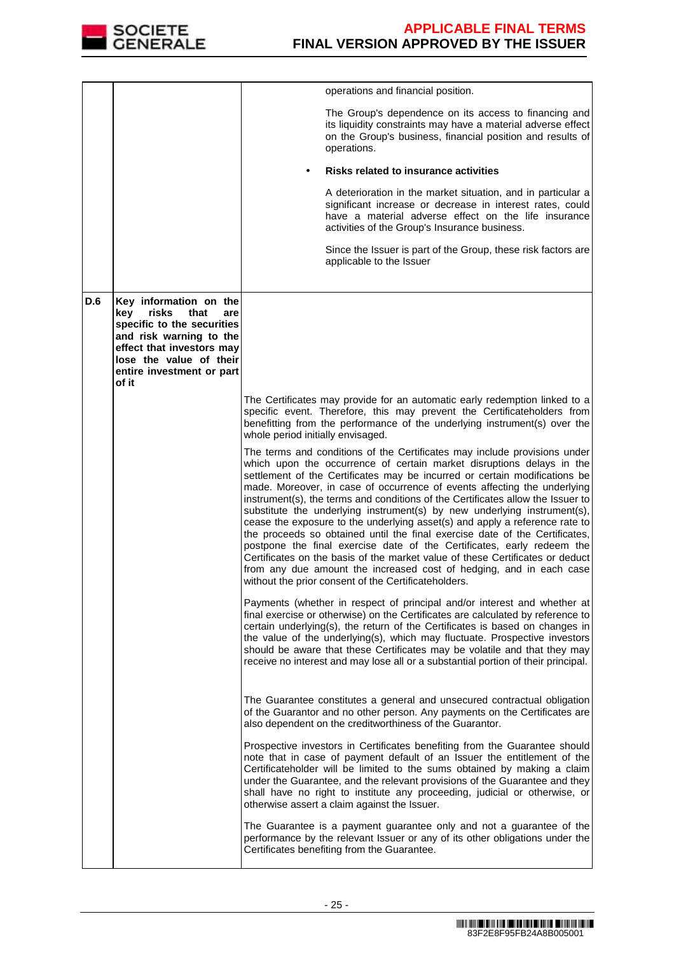

|     |                                                                                                                                                                                                              | operations and financial position.                                                                                                                                                                                                                                                                                                                                                                                                                                                                                                                                                                                                                                                                                                                                                                                                                                                                                                  |
|-----|--------------------------------------------------------------------------------------------------------------------------------------------------------------------------------------------------------------|-------------------------------------------------------------------------------------------------------------------------------------------------------------------------------------------------------------------------------------------------------------------------------------------------------------------------------------------------------------------------------------------------------------------------------------------------------------------------------------------------------------------------------------------------------------------------------------------------------------------------------------------------------------------------------------------------------------------------------------------------------------------------------------------------------------------------------------------------------------------------------------------------------------------------------------|
|     |                                                                                                                                                                                                              | The Group's dependence on its access to financing and<br>its liquidity constraints may have a material adverse effect<br>on the Group's business, financial position and results of<br>operations.                                                                                                                                                                                                                                                                                                                                                                                                                                                                                                                                                                                                                                                                                                                                  |
|     |                                                                                                                                                                                                              | <b>Risks related to insurance activities</b>                                                                                                                                                                                                                                                                                                                                                                                                                                                                                                                                                                                                                                                                                                                                                                                                                                                                                        |
|     |                                                                                                                                                                                                              | A deterioration in the market situation, and in particular a<br>significant increase or decrease in interest rates, could<br>have a material adverse effect on the life insurance<br>activities of the Group's Insurance business.                                                                                                                                                                                                                                                                                                                                                                                                                                                                                                                                                                                                                                                                                                  |
|     |                                                                                                                                                                                                              | Since the Issuer is part of the Group, these risk factors are<br>applicable to the Issuer                                                                                                                                                                                                                                                                                                                                                                                                                                                                                                                                                                                                                                                                                                                                                                                                                                           |
| D.6 | Key information on the<br>key<br>risks<br>that<br>are<br>specific to the securities<br>and risk warning to the<br>effect that investors may<br>lose the value of their<br>entire investment or part<br>of it |                                                                                                                                                                                                                                                                                                                                                                                                                                                                                                                                                                                                                                                                                                                                                                                                                                                                                                                                     |
|     |                                                                                                                                                                                                              | The Certificates may provide for an automatic early redemption linked to a<br>specific event. Therefore, this may prevent the Certificateholders from<br>benefitting from the performance of the underlying instrument(s) over the<br>whole period initially envisaged.                                                                                                                                                                                                                                                                                                                                                                                                                                                                                                                                                                                                                                                             |
|     |                                                                                                                                                                                                              | The terms and conditions of the Certificates may include provisions under<br>which upon the occurrence of certain market disruptions delays in the<br>settlement of the Certificates may be incurred or certain modifications be<br>made. Moreover, in case of occurrence of events affecting the underlying<br>instrument(s), the terms and conditions of the Certificates allow the Issuer to<br>substitute the underlying instrument(s) by new underlying instrument(s),<br>cease the exposure to the underlying asset(s) and apply a reference rate to<br>the proceeds so obtained until the final exercise date of the Certificates,<br>postpone the final exercise date of the Certificates, early redeem the<br>Certificates on the basis of the market value of these Certificates or deduct<br>from any due amount the increased cost of hedging, and in each case<br>without the prior consent of the Certificateholders. |
|     |                                                                                                                                                                                                              | Payments (whether in respect of principal and/or interest and whether at<br>final exercise or otherwise) on the Certificates are calculated by reference to<br>certain underlying(s), the return of the Certificates is based on changes in<br>the value of the underlying(s), which may fluctuate. Prospective investors<br>should be aware that these Certificates may be volatile and that they may<br>receive no interest and may lose all or a substantial portion of their principal.                                                                                                                                                                                                                                                                                                                                                                                                                                         |
|     |                                                                                                                                                                                                              | The Guarantee constitutes a general and unsecured contractual obligation<br>of the Guarantor and no other person. Any payments on the Certificates are<br>also dependent on the creditworthiness of the Guarantor.                                                                                                                                                                                                                                                                                                                                                                                                                                                                                                                                                                                                                                                                                                                  |
|     |                                                                                                                                                                                                              | Prospective investors in Certificates benefiting from the Guarantee should<br>note that in case of payment default of an Issuer the entitlement of the<br>Certificateholder will be limited to the sums obtained by making a claim<br>under the Guarantee, and the relevant provisions of the Guarantee and they<br>shall have no right to institute any proceeding, judicial or otherwise, or<br>otherwise assert a claim against the Issuer.                                                                                                                                                                                                                                                                                                                                                                                                                                                                                      |
|     |                                                                                                                                                                                                              | The Guarantee is a payment guarantee only and not a guarantee of the<br>performance by the relevant Issuer or any of its other obligations under the<br>Certificates benefiting from the Guarantee.                                                                                                                                                                                                                                                                                                                                                                                                                                                                                                                                                                                                                                                                                                                                 |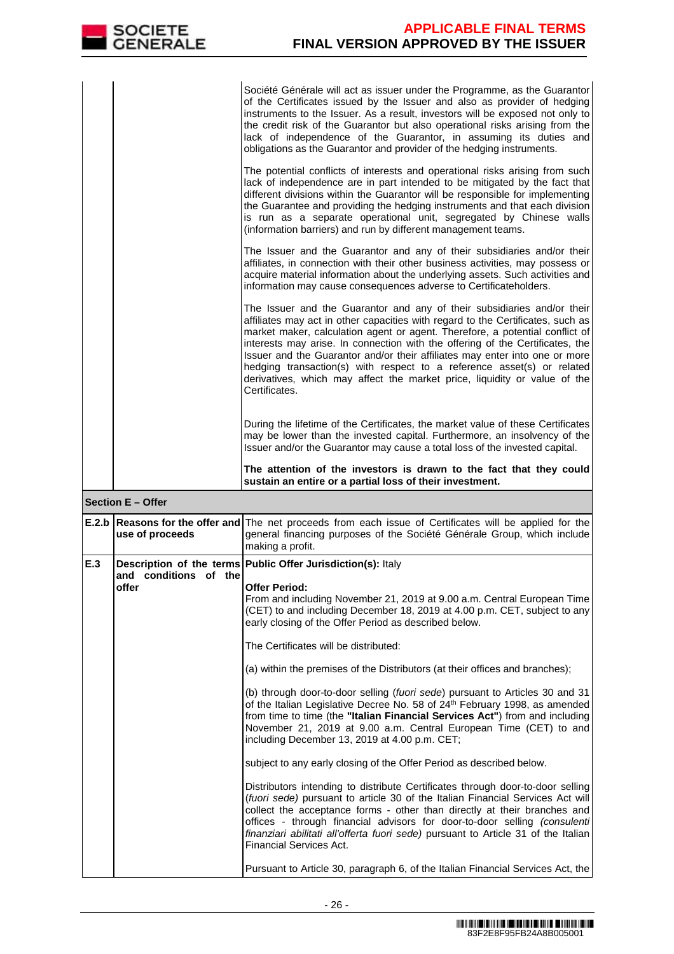|     | <b>SOCIETE</b><br><b>GENERALE</b> | <b>APPLICABLE FINAL TERMS</b><br><b>FINAL VERSION APPROVED BY THE ISSUER</b>                                                                                                                                                                                                                                                                                                                                                                                                                                                                                                       |
|-----|-----------------------------------|------------------------------------------------------------------------------------------------------------------------------------------------------------------------------------------------------------------------------------------------------------------------------------------------------------------------------------------------------------------------------------------------------------------------------------------------------------------------------------------------------------------------------------------------------------------------------------|
|     |                                   | Société Générale will act as issuer under the Programme, as the Guarantor<br>of the Certificates issued by the Issuer and also as provider of hedging<br>instruments to the Issuer. As a result, investors will be exposed not only to<br>the credit risk of the Guarantor but also operational risks arising from the<br>lack of independence of the Guarantor, in assuming its duties and<br>obligations as the Guarantor and provider of the hedging instruments.                                                                                                               |
|     |                                   | The potential conflicts of interests and operational risks arising from such<br>lack of independence are in part intended to be mitigated by the fact that<br>different divisions within the Guarantor will be responsible for implementing<br>the Guarantee and providing the hedging instruments and that each division<br>is run as a separate operational unit, segregated by Chinese walls<br>(information barriers) and run by different management teams.                                                                                                                   |
|     |                                   | The Issuer and the Guarantor and any of their subsidiaries and/or their<br>affiliates, in connection with their other business activities, may possess or<br>acquire material information about the underlying assets. Such activities and<br>information may cause consequences adverse to Certificateholders.                                                                                                                                                                                                                                                                    |
|     |                                   | The Issuer and the Guarantor and any of their subsidiaries and/or their<br>affiliates may act in other capacities with regard to the Certificates, such as<br>market maker, calculation agent or agent. Therefore, a potential conflict of<br>interests may arise. In connection with the offering of the Certificates, the<br>Issuer and the Guarantor and/or their affiliates may enter into one or more<br>hedging transaction(s) with respect to a reference asset(s) or related<br>derivatives, which may affect the market price, liquidity or value of the<br>Certificates. |
|     |                                   | During the lifetime of the Certificates, the market value of these Certificates<br>may be lower than the invested capital. Furthermore, an insolvency of the<br>Issuer and/or the Guarantor may cause a total loss of the invested capital.                                                                                                                                                                                                                                                                                                                                        |
|     |                                   | The attention of the investors is drawn to the fact that they could<br>sustain an entire or a partial loss of their investment.                                                                                                                                                                                                                                                                                                                                                                                                                                                    |
|     | Section E - Offer                 |                                                                                                                                                                                                                                                                                                                                                                                                                                                                                                                                                                                    |
|     | use of proceeds                   | <b>E.2.b Reasons for the offer and</b> The net proceeds from each issue of Certificates will be applied for the<br>general financing purposes of the Société Générale Group, which include<br>making a profit.                                                                                                                                                                                                                                                                                                                                                                     |
| E.3 | and conditions of the             | Description of the terms Public Offer Jurisdiction(s): Italy                                                                                                                                                                                                                                                                                                                                                                                                                                                                                                                       |
|     | offer                             | <b>Offer Period:</b><br>From and including November 21, 2019 at 9.00 a.m. Central European Time<br>(CET) to and including December 18, 2019 at 4.00 p.m. CET, subject to any<br>early closing of the Offer Period as described below.                                                                                                                                                                                                                                                                                                                                              |
|     |                                   | The Certificates will be distributed:                                                                                                                                                                                                                                                                                                                                                                                                                                                                                                                                              |
|     |                                   | (a) within the premises of the Distributors (at their offices and branches);                                                                                                                                                                                                                                                                                                                                                                                                                                                                                                       |
|     |                                   | (b) through door-to-door selling (fuori sede) pursuant to Articles 30 and 31<br>of the Italian Legislative Decree No. 58 of 24 <sup>th</sup> February 1998, as amended<br>from time to time (the "Italian Financial Services Act") from and including<br>November 21, 2019 at 9.00 a.m. Central European Time (CET) to and<br>including December 13, 2019 at 4.00 p.m. CET;                                                                                                                                                                                                        |
|     |                                   | subject to any early closing of the Offer Period as described below.                                                                                                                                                                                                                                                                                                                                                                                                                                                                                                               |
|     |                                   | Distributors intending to distribute Certificates through door-to-door selling<br>(fuori sede) pursuant to article 30 of the Italian Financial Services Act will<br>collect the acceptance forms - other than directly at their branches and<br>offices - through financial advisors for door-to-door selling (consulenti<br>finanziari abilitati all'offerta fuori sede) pursuant to Article 31 of the Italian<br>Financial Services Act.                                                                                                                                         |
|     |                                   | Pursuant to Article 30, paragraph 6, of the Italian Financial Services Act, the                                                                                                                                                                                                                                                                                                                                                                                                                                                                                                    |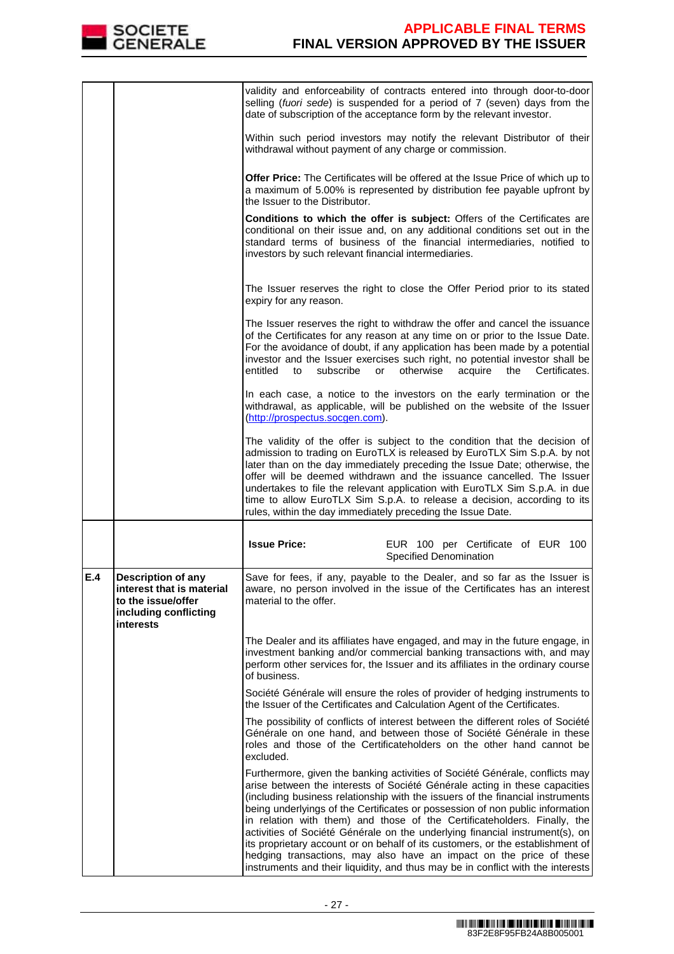

|     |                                                                                                             | validity and enforceability of contracts entered into through door-to-door<br>selling (fuori sede) is suspended for a period of 7 (seven) days from the<br>date of subscription of the acceptance form by the relevant investor.                                                                                                                                                                                                                                                                                                                                                                                                                                                                                                      |  |
|-----|-------------------------------------------------------------------------------------------------------------|---------------------------------------------------------------------------------------------------------------------------------------------------------------------------------------------------------------------------------------------------------------------------------------------------------------------------------------------------------------------------------------------------------------------------------------------------------------------------------------------------------------------------------------------------------------------------------------------------------------------------------------------------------------------------------------------------------------------------------------|--|
|     |                                                                                                             | Within such period investors may notify the relevant Distributor of their<br>withdrawal without payment of any charge or commission.                                                                                                                                                                                                                                                                                                                                                                                                                                                                                                                                                                                                  |  |
|     |                                                                                                             | <b>Offer Price:</b> The Certificates will be offered at the Issue Price of which up to<br>a maximum of 5.00% is represented by distribution fee payable upfront by<br>the Issuer to the Distributor.                                                                                                                                                                                                                                                                                                                                                                                                                                                                                                                                  |  |
|     |                                                                                                             | Conditions to which the offer is subject: Offers of the Certificates are<br>conditional on their issue and, on any additional conditions set out in the<br>standard terms of business of the financial intermediaries, notified to<br>investors by such relevant financial intermediaries.                                                                                                                                                                                                                                                                                                                                                                                                                                            |  |
|     |                                                                                                             | The Issuer reserves the right to close the Offer Period prior to its stated<br>expiry for any reason.                                                                                                                                                                                                                                                                                                                                                                                                                                                                                                                                                                                                                                 |  |
|     |                                                                                                             | The Issuer reserves the right to withdraw the offer and cancel the issuance<br>of the Certificates for any reason at any time on or prior to the Issue Date.<br>For the avoidance of doubt, if any application has been made by a potential<br>investor and the Issuer exercises such right, no potential investor shall be<br>entitled<br>subscribe<br>otherwise<br>or<br>acquire<br>the<br>Certificates.<br>to                                                                                                                                                                                                                                                                                                                      |  |
|     |                                                                                                             | In each case, a notice to the investors on the early termination or the<br>withdrawal, as applicable, will be published on the website of the Issuer<br>(http://prospectus.socgen.com).                                                                                                                                                                                                                                                                                                                                                                                                                                                                                                                                               |  |
|     |                                                                                                             | The validity of the offer is subject to the condition that the decision of<br>admission to trading on EuroTLX is released by EuroTLX Sim S.p.A. by not<br>later than on the day immediately preceding the Issue Date; otherwise, the<br>offer will be deemed withdrawn and the issuance cancelled. The Issuer<br>undertakes to file the relevant application with EuroTLX Sim S.p.A. in due<br>time to allow EuroTLX Sim S.p.A. to release a decision, according to its<br>rules, within the day immediately preceding the Issue Date.                                                                                                                                                                                                |  |
|     |                                                                                                             | <b>Issue Price:</b><br>EUR 100 per Certificate of EUR 100<br><b>Specified Denomination</b>                                                                                                                                                                                                                                                                                                                                                                                                                                                                                                                                                                                                                                            |  |
| E.4 | Description of any<br>interest that is material<br>to the issue/offer<br>including conflicting<br>interests | Save for fees, if any, payable to the Dealer, and so far as the Issuer is<br>aware, no person involved in the issue of the Certificates has an interest<br>material to the offer.                                                                                                                                                                                                                                                                                                                                                                                                                                                                                                                                                     |  |
|     |                                                                                                             | The Dealer and its affiliates have engaged, and may in the future engage, in<br>investment banking and/or commercial banking transactions with, and may<br>perform other services for, the Issuer and its affiliates in the ordinary course<br>of business.                                                                                                                                                                                                                                                                                                                                                                                                                                                                           |  |
|     |                                                                                                             | Société Générale will ensure the roles of provider of hedging instruments to<br>the Issuer of the Certificates and Calculation Agent of the Certificates.                                                                                                                                                                                                                                                                                                                                                                                                                                                                                                                                                                             |  |
|     |                                                                                                             | The possibility of conflicts of interest between the different roles of Société<br>Générale on one hand, and between those of Société Générale in these<br>roles and those of the Certificateholders on the other hand cannot be<br>excluded.                                                                                                                                                                                                                                                                                                                                                                                                                                                                                         |  |
|     |                                                                                                             | Furthermore, given the banking activities of Société Générale, conflicts may<br>arise between the interests of Société Générale acting in these capacities<br>(including business relationship with the issuers of the financial instruments<br>being underlyings of the Certificates or possession of non public information<br>in relation with them) and those of the Certificateholders. Finally, the<br>activities of Société Générale on the underlying financial instrument(s), on<br>its proprietary account or on behalf of its customers, or the establishment of<br>hedging transactions, may also have an impact on the price of these<br>instruments and their liquidity, and thus may be in conflict with the interests |  |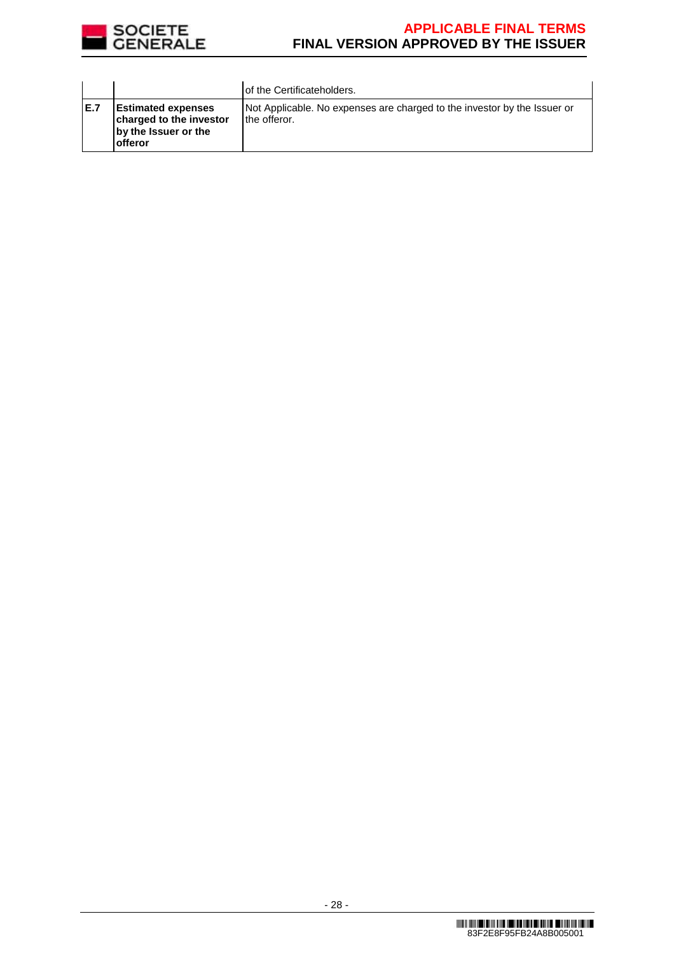

|      |                                                                                          | of the Certificateholders.                                                               |
|------|------------------------------------------------------------------------------------------|------------------------------------------------------------------------------------------|
| IE.7 | <b>Estimated expenses</b><br>charged to the investor<br>by the Issuer or the<br>lofferor | Not Applicable. No expenses are charged to the investor by the Issuer or<br>the offeror. |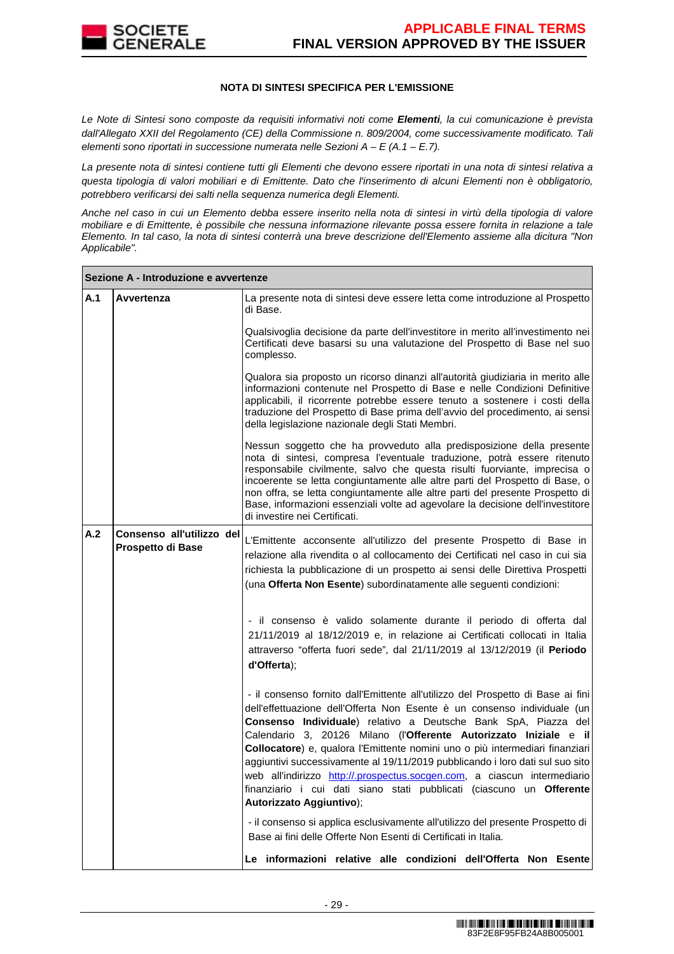

#### **NOTA DI SINTESI SPECIFICA PER L'EMISSIONE**

Le Note di Sintesi sono composte da requisiti informativi noti come **Elementi**, la cui comunicazione è prevista dall'Allegato XXII del Regolamento (CE) della Commissione n. 809/2004, come successivamente modificato. Tali elementi sono riportati in successione numerata nelle Sezioni  $A - E(A.1 - E.7)$ .

La presente nota di sintesi contiene tutti gli Elementi che devono essere riportati in una nota di sintesi relativa a questa tipologia di valori mobiliari e di Emittente. Dato che l'inserimento di alcuni Elementi non è obbligatorio, potrebbero verificarsi dei salti nella sequenza numerica degli Elementi.

Anche nel caso in cui un Elemento debba essere inserito nella nota di sintesi in virtù della tipologia di valore mobiliare e di Emittente, è possibile che nessuna informazione rilevante possa essere fornita in relazione a tale Elemento. In tal caso, la nota di sintesi conterrà una breve descrizione dell'Elemento assieme alla dicitura "Non Applicabile".

|     | Sezione A - Introduzione e avvertenze          |                                                                                                                                                                                                                                                                                                                                                                                                                                                                                                                                                                                                                                                      |
|-----|------------------------------------------------|------------------------------------------------------------------------------------------------------------------------------------------------------------------------------------------------------------------------------------------------------------------------------------------------------------------------------------------------------------------------------------------------------------------------------------------------------------------------------------------------------------------------------------------------------------------------------------------------------------------------------------------------------|
| A.1 | Avvertenza                                     | La presente nota di sintesi deve essere letta come introduzione al Prospetto<br>di Base.                                                                                                                                                                                                                                                                                                                                                                                                                                                                                                                                                             |
|     |                                                | Qualsivoglia decisione da parte dell'investitore in merito all'investimento nei<br>Certificati deve basarsi su una valutazione del Prospetto di Base nel suo<br>complesso.                                                                                                                                                                                                                                                                                                                                                                                                                                                                           |
|     |                                                | Qualora sia proposto un ricorso dinanzi all'autorità giudiziaria in merito alle<br>informazioni contenute nel Prospetto di Base e nelle Condizioni Definitive<br>applicabili, il ricorrente potrebbe essere tenuto a sostenere i costi della<br>traduzione del Prospetto di Base prima dell'avvio del procedimento, ai sensi<br>della legislazione nazionale degli Stati Membri.                                                                                                                                                                                                                                                                     |
|     |                                                | Nessun soggetto che ha provveduto alla predisposizione della presente<br>nota di sintesi, compresa l'eventuale traduzione, potrà essere ritenuto<br>responsabile civilmente, salvo che questa risulti fuorviante, imprecisa o<br>incoerente se letta congiuntamente alle altre parti del Prospetto di Base, o<br>non offra, se letta congiuntamente alle altre parti del presente Prospetto di<br>Base, informazioni essenziali volte ad agevolare la decisione dell'investitore<br>di investire nei Certificati.                                                                                                                                    |
| A.2 | Consenso all'utilizzo del<br>Prospetto di Base | L'Emittente acconsente all'utilizzo del presente Prospetto di Base in<br>relazione alla rivendita o al collocamento dei Certificati nel caso in cui sia<br>richiesta la pubblicazione di un prospetto ai sensi delle Direttiva Prospetti<br>(una Offerta Non Esente) subordinatamente alle seguenti condizioni:                                                                                                                                                                                                                                                                                                                                      |
|     |                                                | - il consenso è valido solamente durante il periodo di offerta dal<br>21/11/2019 al 18/12/2019 e, in relazione ai Certificati collocati in Italia<br>attraverso "offerta fuori sede", dal 21/11/2019 al 13/12/2019 (il Periodo<br>d'Offerta);                                                                                                                                                                                                                                                                                                                                                                                                        |
|     |                                                | - il consenso fornito dall'Emittente all'utilizzo del Prospetto di Base ai fini<br>dell'effettuazione dell'Offerta Non Esente è un consenso individuale (un<br>Consenso Individuale) relativo a Deutsche Bank SpA, Piazza del<br>Calendario 3, 20126 Milano (l'Offerente Autorizzato Iniziale e il<br>Collocatore) e, qualora l'Emittente nomini uno o più intermediari finanziari<br>aggiuntivi successivamente al 19/11/2019 pubblicando i loro dati sul suo sito<br>web all'indirizzo http://.prospectus.socgen.com, a ciascun intermediario.<br>finanziario i cui dati siano stati pubblicati (ciascuno un Offerente<br>Autorizzato Aggiuntivo); |
|     |                                                | - il consenso si applica esclusivamente all'utilizzo del presente Prospetto di<br>Base ai fini delle Offerte Non Esenti di Certificati in Italia.                                                                                                                                                                                                                                                                                                                                                                                                                                                                                                    |
|     |                                                | Le informazioni relative alle condizioni dell'Offerta Non Esente                                                                                                                                                                                                                                                                                                                                                                                                                                                                                                                                                                                     |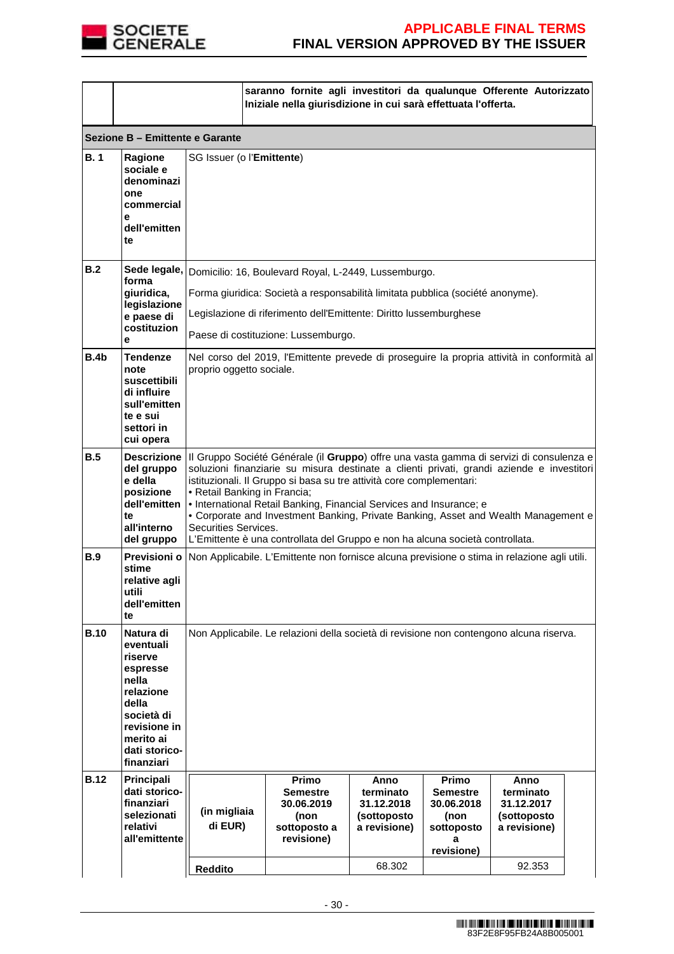

|             |                                                                                                                                                        | saranno fornite agli investitori da qualunque Offerente Autorizzato<br>Iniziale nella giurisdizione in cui sarà effettuata l'offerta.                                                                                                                                                                                                                                                                                                                                                                                                                                            |                                                                                                                                                                                                                           |                                                                |                                                                                 |                                                                |  |
|-------------|--------------------------------------------------------------------------------------------------------------------------------------------------------|----------------------------------------------------------------------------------------------------------------------------------------------------------------------------------------------------------------------------------------------------------------------------------------------------------------------------------------------------------------------------------------------------------------------------------------------------------------------------------------------------------------------------------------------------------------------------------|---------------------------------------------------------------------------------------------------------------------------------------------------------------------------------------------------------------------------|----------------------------------------------------------------|---------------------------------------------------------------------------------|----------------------------------------------------------------|--|
|             | Sezione B - Emittente e Garante                                                                                                                        |                                                                                                                                                                                                                                                                                                                                                                                                                                                                                                                                                                                  |                                                                                                                                                                                                                           |                                                                |                                                                                 |                                                                |  |
| B.1         | Ragione<br>sociale e<br>denominazi<br>one<br>commercial<br>е<br>dell'emitten<br>te                                                                     | SG Issuer (o l'Emittente)                                                                                                                                                                                                                                                                                                                                                                                                                                                                                                                                                        |                                                                                                                                                                                                                           |                                                                |                                                                                 |                                                                |  |
| B.2         | forma<br>giuridica,<br>legislazione<br>e paese di                                                                                                      |                                                                                                                                                                                                                                                                                                                                                                                                                                                                                                                                                                                  | Sede legale, Domicilio: 16, Boulevard Royal, L-2449, Lussemburgo.<br>Forma giuridica: Società a responsabilità limitata pubblica (société anonyme).<br>Legislazione di riferimento dell'Emittente: Diritto lussemburghese |                                                                |                                                                                 |                                                                |  |
|             | costituzion<br>е                                                                                                                                       |                                                                                                                                                                                                                                                                                                                                                                                                                                                                                                                                                                                  | Paese di costituzione: Lussemburgo.                                                                                                                                                                                       |                                                                |                                                                                 |                                                                |  |
| B.4b        | Tendenze<br>note<br>suscettibili<br>di influire<br>sull'emitten<br>te e sui<br>settori in<br>cui opera                                                 | Nel corso del 2019, l'Emittente prevede di proseguire la propria attività in conformità al<br>proprio oggetto sociale.                                                                                                                                                                                                                                                                                                                                                                                                                                                           |                                                                                                                                                                                                                           |                                                                |                                                                                 |                                                                |  |
| B.5         | del gruppo<br>e della<br>posizione<br>dell'emitten<br>te<br>all'interno<br>del gruppo                                                                  | Descrizione   Il Gruppo Société Générale (il Gruppo) offre una vasta gamma di servizi di consulenza e<br>soluzioni finanziarie su misura destinate a clienti privati, grandi aziende e investitori<br>istituzionali. Il Gruppo si basa su tre attività core complementari:<br>• Retail Banking in Francia;<br>• International Retail Banking, Financial Services and Insurance; e<br>• Corporate and Investment Banking, Private Banking, Asset and Wealth Management e<br>Securities Services.<br>L'Emittente è una controllata del Gruppo e non ha alcuna società controllata. |                                                                                                                                                                                                                           |                                                                |                                                                                 |                                                                |  |
| <b>B.9</b>  | Previsioni o<br>stime<br>relative agli<br>utili<br>dell'emitten<br>te                                                                                  | Non Applicabile. L'Emittente non fornisce alcuna previsione o stima in relazione agli utili.                                                                                                                                                                                                                                                                                                                                                                                                                                                                                     |                                                                                                                                                                                                                           |                                                                |                                                                                 |                                                                |  |
| <b>B.10</b> | Natura di<br>eventuali<br>riserve<br>espresse<br>nella<br>relazione<br>della<br>società di<br>revisione in<br>merito ai<br>dati storico-<br>finanziari | Non Applicabile. Le relazioni della società di revisione non contengono alcuna riserva.                                                                                                                                                                                                                                                                                                                                                                                                                                                                                          |                                                                                                                                                                                                                           |                                                                |                                                                                 |                                                                |  |
| <b>B.12</b> | Principali<br>dati storico-<br>finanziari<br>selezionati<br>relativi<br>all'emittente                                                                  | (in migliaia<br>di EUR)                                                                                                                                                                                                                                                                                                                                                                                                                                                                                                                                                          | Primo<br><b>Semestre</b><br>30.06.2019<br>(non<br>sottoposto a<br>revisione)                                                                                                                                              | Anno<br>terminato<br>31.12.2018<br>(sottoposto<br>a revisione) | Primo<br><b>Semestre</b><br>30.06.2018<br>(non<br>sottoposto<br>а<br>revisione) | Anno<br>terminato<br>31.12.2017<br>(sottoposto<br>a revisione) |  |
|             |                                                                                                                                                        | <b>Reddito</b>                                                                                                                                                                                                                                                                                                                                                                                                                                                                                                                                                                   |                                                                                                                                                                                                                           | 68.302                                                         |                                                                                 | 92.353                                                         |  |
|             |                                                                                                                                                        |                                                                                                                                                                                                                                                                                                                                                                                                                                                                                                                                                                                  |                                                                                                                                                                                                                           |                                                                |                                                                                 |                                                                |  |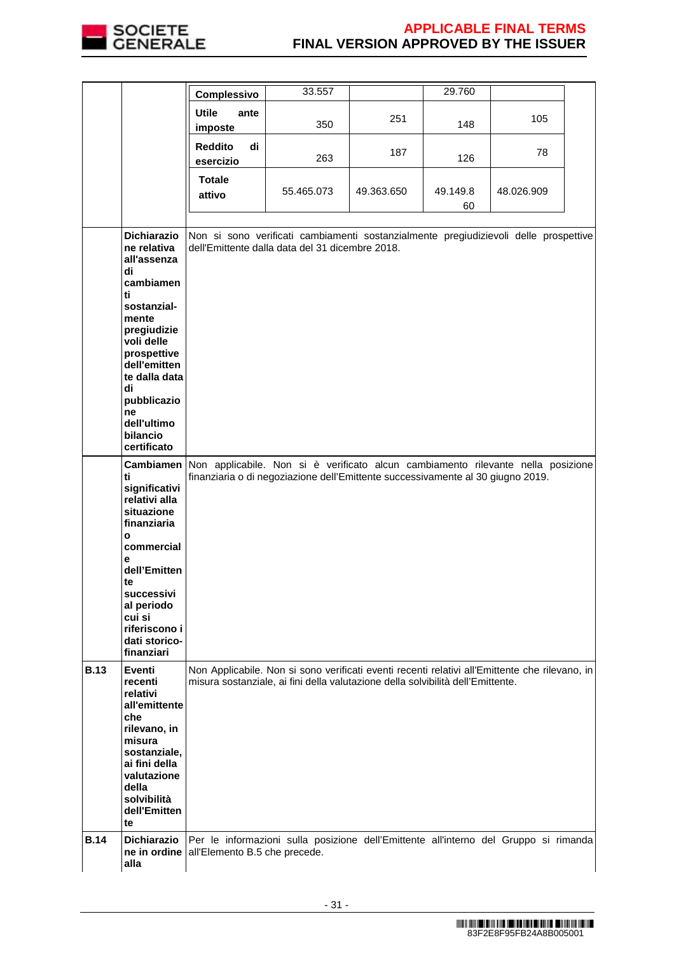

|             |                                                                                                                                                                                                                          | Complessivo                       | 33.557                                                                                                                                                                            |            | 29.760         |            |  |
|-------------|--------------------------------------------------------------------------------------------------------------------------------------------------------------------------------------------------------------------------|-----------------------------------|-----------------------------------------------------------------------------------------------------------------------------------------------------------------------------------|------------|----------------|------------|--|
|             |                                                                                                                                                                                                                          | <b>Utile</b><br>ante<br>imposte   | 350                                                                                                                                                                               | 251        | 148            | 105        |  |
|             |                                                                                                                                                                                                                          | <b>Reddito</b><br>di<br>esercizio | 263                                                                                                                                                                               | 187        | 126            | 78         |  |
|             |                                                                                                                                                                                                                          | <b>Totale</b><br>attivo           | 55.465.073                                                                                                                                                                        | 49.363.650 | 49.149.8<br>60 | 48.026.909 |  |
|             | <b>Dichiarazio</b><br>ne relativa<br>all'assenza<br>di<br>cambiamen<br>ti<br>sostanzial-<br>mente<br>pregiudizie<br>voli delle<br>prospettive<br>dell'emitten<br>te dalla data<br>di<br>pubblicazio<br>ne<br>dell'ultimo |                                   | Non si sono verificati cambiamenti sostanzialmente pregiudizievoli delle prospettive<br>dell'Emittente dalla data del 31 dicembre 2018.                                           |            |                |            |  |
|             | bilancio<br>certificato<br>ti                                                                                                                                                                                            |                                   | Cambiamen Non applicabile. Non si è verificato alcun cambiamento rilevante nella posizione<br>finanziaria o di negoziazione dell'Emittente successivamente al 30 giugno 2019.     |            |                |            |  |
|             | significativi<br>relativi alla<br>situazione<br>finanziaria<br>$\mathbf{o}$<br>commercial                                                                                                                                |                                   |                                                                                                                                                                                   |            |                |            |  |
|             | е<br>dell'Emitten<br>te<br>successivi<br>al periodo<br>cui si<br>riferiscono i<br>dati storico-<br>finanziari                                                                                                            |                                   |                                                                                                                                                                                   |            |                |            |  |
| <b>B.13</b> | <b>Eventi</b><br>recenti<br>relativi<br>all'emittente<br>che<br>rilevano, in<br>misura<br>sostanziale,<br>ai fini della<br>valutazione<br>della<br>solvibilità<br>dell'Emitten<br>te                                     |                                   | Non Applicabile. Non si sono verificati eventi recenti relativi all'Emittente che rilevano, in<br>misura sostanziale, ai fini della valutazione della solvibilità dell'Emittente. |            |                |            |  |
| <b>B.14</b> | <b>Dichiarazio</b><br>ne in ordine<br>alla                                                                                                                                                                               | all'Elemento B.5 che precede.     | Per le informazioni sulla posizione dell'Emittente all'interno del Gruppo si rimanda                                                                                              |            |                |            |  |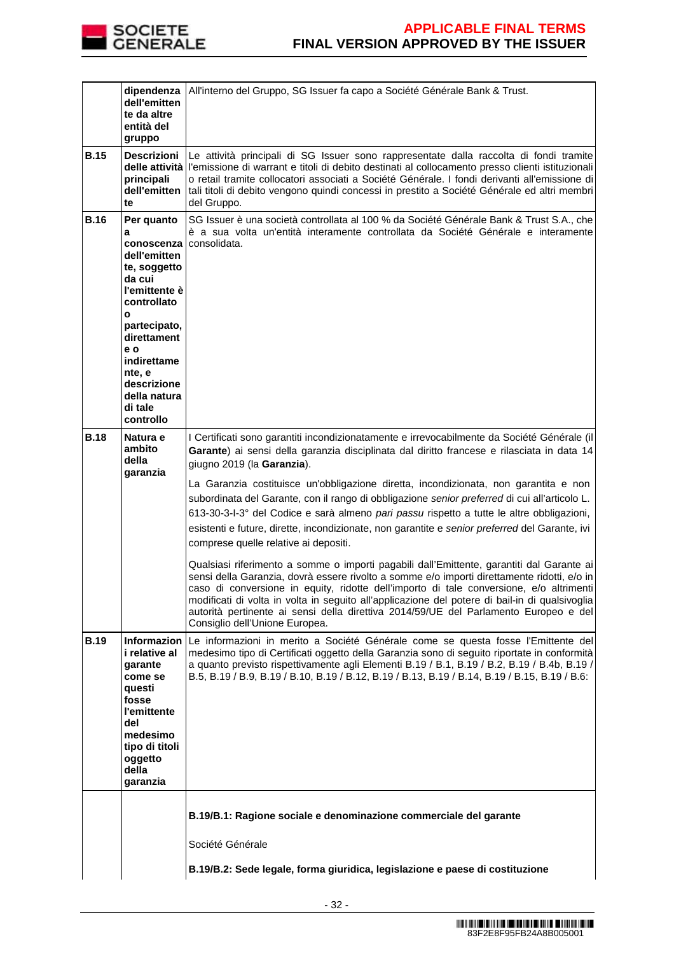

|             | dipendenza<br>dell'emitten<br>te da altre<br>entità del<br>gruppo                                                                                                                                                                             | All'interno del Gruppo, SG Issuer fa capo a Société Générale Bank & Trust.                                                                                                                                                                                                                                                                                                                                                                                                                                                                                                                                                                                                                                                                                                                                                                                                                                                                                                                                                                                                                                                                                                  |  |  |
|-------------|-----------------------------------------------------------------------------------------------------------------------------------------------------------------------------------------------------------------------------------------------|-----------------------------------------------------------------------------------------------------------------------------------------------------------------------------------------------------------------------------------------------------------------------------------------------------------------------------------------------------------------------------------------------------------------------------------------------------------------------------------------------------------------------------------------------------------------------------------------------------------------------------------------------------------------------------------------------------------------------------------------------------------------------------------------------------------------------------------------------------------------------------------------------------------------------------------------------------------------------------------------------------------------------------------------------------------------------------------------------------------------------------------------------------------------------------|--|--|
| <b>B.15</b> | <b>Descrizioni</b><br>principali<br>dell'emitten<br>te                                                                                                                                                                                        | Le attività principali di SG Issuer sono rappresentate dalla raccolta di fondi tramite<br>delle attività l'emissione di warrant e titoli di debito destinati al collocamento presso clienti istituzionali<br>o retail tramite collocatori associati a Société Générale. I fondi derivanti all'emissione di<br>tali titoli di debito vengono quindi concessi in prestito a Société Générale ed altri membri<br>del Gruppo.                                                                                                                                                                                                                                                                                                                                                                                                                                                                                                                                                                                                                                                                                                                                                   |  |  |
| <b>B.16</b> | Per quanto<br>a<br>conoscenza<br>dell'emitten<br>te, soggetto<br>da cui<br>l'emittente è<br>controllato<br>$\mathbf{o}$<br>partecipato,<br>direttament<br>e o<br>indirettame<br>nte, e<br>descrizione<br>della natura<br>di tale<br>controllo | SG Issuer è una società controllata al 100 % da Société Générale Bank & Trust S.A., che<br>è a sua volta un'entità interamente controllata da Société Générale e interamente<br>consolidata.                                                                                                                                                                                                                                                                                                                                                                                                                                                                                                                                                                                                                                                                                                                                                                                                                                                                                                                                                                                |  |  |
| <b>B.18</b> | Natura e<br>ambito<br>della<br>garanzia                                                                                                                                                                                                       | I Certificati sono garantiti incondizionatamente e irrevocabilmente da Société Générale (il<br>Garante) ai sensi della garanzia disciplinata dal diritto francese e rilasciata in data 14<br>giugno 2019 (la Garanzia).<br>La Garanzia costituisce un'obbligazione diretta, incondizionata, non garantita e non<br>subordinata del Garante, con il rango di obbligazione senior preferred di cui all'articolo L.<br>613-30-3-l-3° del Codice e sarà almeno pari passu rispetto a tutte le altre obbligazioni,<br>esistenti e future, dirette, incondizionate, non garantite e senior preferred del Garante, ivi<br>comprese quelle relative ai depositi.<br>Qualsiasi riferimento a somme o importi pagabili dall'Emittente, garantiti dal Garante ai<br>sensi della Garanzia, dovrà essere rivolto a somme e/o importi direttamente ridotti, e/o in<br>caso di conversione in equity, ridotte dell'importo di tale conversione, e/o altrimenti<br>modificati di volta in volta in seguito all'applicazione del potere di bail-in di qualsivoglia<br>autorità pertinente ai sensi della direttiva 2014/59/UE del Parlamento Europeo e del<br>Consiglio dell'Unione Europea. |  |  |
| <b>B.19</b> | i relative al<br>qarante<br>come se<br>questi<br>fosse<br>l'emittente<br>del<br>medesimo<br>tipo di titoli<br>oggetto<br>della<br>garanzia                                                                                                    | Informazion Le informazioni in merito a Société Générale come se questa fosse l'Emittente del<br>medesimo tipo di Certificati oggetto della Garanzia sono di seguito riportate in conformità<br>a quanto previsto rispettivamente agli Elementi B.19 / B.1, B.19 / B.2, B.19 / B.4b, B.19 /<br>B.5, B.19 / B.9, B.19 / B.10, B.19 / B.12, B.19 / B.13, B.19 / B.14, B.19 / B.15, B.19 / B.6:                                                                                                                                                                                                                                                                                                                                                                                                                                                                                                                                                                                                                                                                                                                                                                                |  |  |
|             |                                                                                                                                                                                                                                               | B.19/B.1: Ragione sociale e denominazione commerciale del garante<br>Société Générale<br>B.19/B.2: Sede legale, forma giuridica, legislazione e paese di costituzione                                                                                                                                                                                                                                                                                                                                                                                                                                                                                                                                                                                                                                                                                                                                                                                                                                                                                                                                                                                                       |  |  |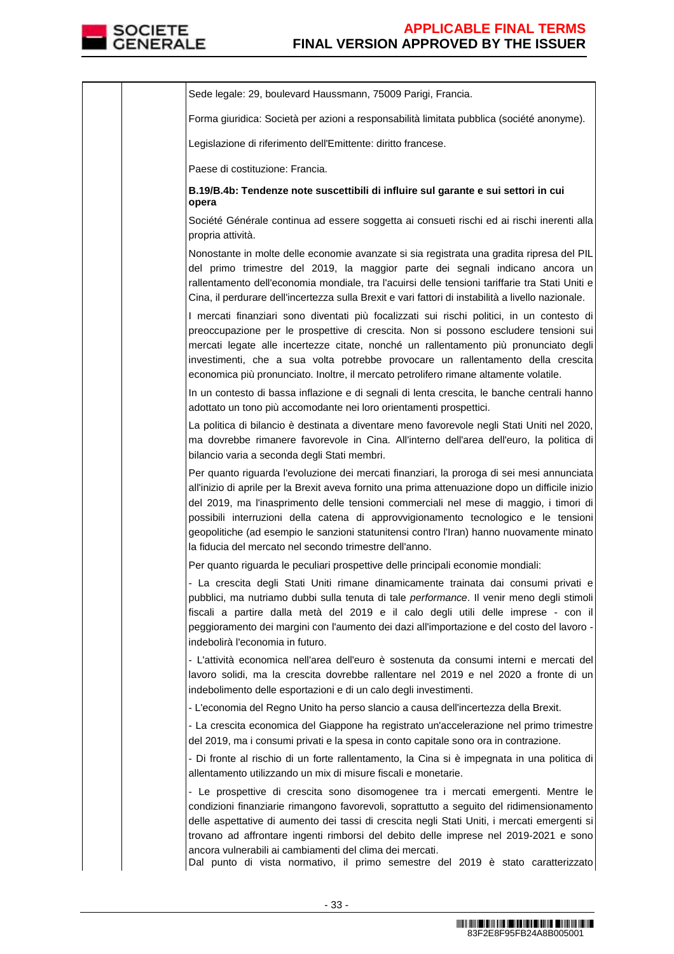

Sede legale: 29, boulevard Haussmann, 75009 Parigi, Francia. Forma giuridica: Società per azioni a responsabilità limitata pubblica (société anonyme). Legislazione di riferimento dell'Emittente: diritto francese. Paese di costituzione: Francia. **B.19/B.4b: Tendenze note suscettibili di influire sul garante e sui settori in cui opera**  Société Générale continua ad essere soggetta ai consueti rischi ed ai rischi inerenti alla propria attività. Nonostante in molte delle economie avanzate si sia registrata una gradita ripresa del PIL del primo trimestre del 2019, la maggior parte dei segnali indicano ancora un rallentamento dell'economia mondiale, tra l'acuirsi delle tensioni tariffarie tra Stati Uniti e Cina, il perdurare dell'incertezza sulla Brexit e vari fattori di instabilità a livello nazionale. I mercati finanziari sono diventati più focalizzati sui rischi politici, in un contesto di preoccupazione per le prospettive di crescita. Non si possono escludere tensioni sui mercati legate alle incertezze citate, nonché un rallentamento più pronunciato degli investimenti, che a sua volta potrebbe provocare un rallentamento della crescita economica più pronunciato. Inoltre, il mercato petrolifero rimane altamente volatile. In un contesto di bassa inflazione e di segnali di lenta crescita, le banche centrali hanno adottato un tono più accomodante nei loro orientamenti prospettici. La politica di bilancio è destinata a diventare meno favorevole negli Stati Uniti nel 2020, ma dovrebbe rimanere favorevole in Cina. All'interno dell'area dell'euro, la politica di bilancio varia a seconda degli Stati membri. Per quanto riguarda l'evoluzione dei mercati finanziari, la proroga di sei mesi annunciata all'inizio di aprile per la Brexit aveva fornito una prima attenuazione dopo un difficile inizio del 2019, ma l'inasprimento delle tensioni commerciali nel mese di maggio, i timori di possibili interruzioni della catena di approvvigionamento tecnologico e le tensioni geopolitiche (ad esempio le sanzioni statunitensi contro l'Iran) hanno nuovamente minato la fiducia del mercato nel secondo trimestre dell'anno. Per quanto riguarda le peculiari prospettive delle principali economie mondiali: - La crescita degli Stati Uniti rimane dinamicamente trainata dai consumi privati e pubblici, ma nutriamo dubbi sulla tenuta di tale performance. Il venir meno degli stimoli fiscali a partire dalla metà del 2019 e il calo degli utili delle imprese - con il peggioramento dei margini con l'aumento dei dazi all'importazione e del costo del lavoro indebolirà l'economia in futuro. - L'attività economica nell'area dell'euro è sostenuta da consumi interni e mercati del lavoro solidi, ma la crescita dovrebbe rallentare nel 2019 e nel 2020 a fronte di un indebolimento delle esportazioni e di un calo degli investimenti. - L'economia del Regno Unito ha perso slancio a causa dell'incertezza della Brexit. - La crescita economica del Giappone ha registrato un'accelerazione nel primo trimestre del 2019, ma i consumi privati e la spesa in conto capitale sono ora in contrazione. - Di fronte al rischio di un forte rallentamento, la Cina si è impegnata in una politica di allentamento utilizzando un mix di misure fiscali e monetarie. - Le prospettive di crescita sono disomogenee tra i mercati emergenti. Mentre le condizioni finanziarie rimangono favorevoli, soprattutto a seguito del ridimensionamento delle aspettative di aumento dei tassi di crescita negli Stati Uniti, i mercati emergenti si trovano ad affrontare ingenti rimborsi del debito delle imprese nel 2019-2021 e sono ancora vulnerabili ai cambiamenti del clima dei mercati. Dal punto di vista normativo, il primo semestre del 2019 è stato caratterizzato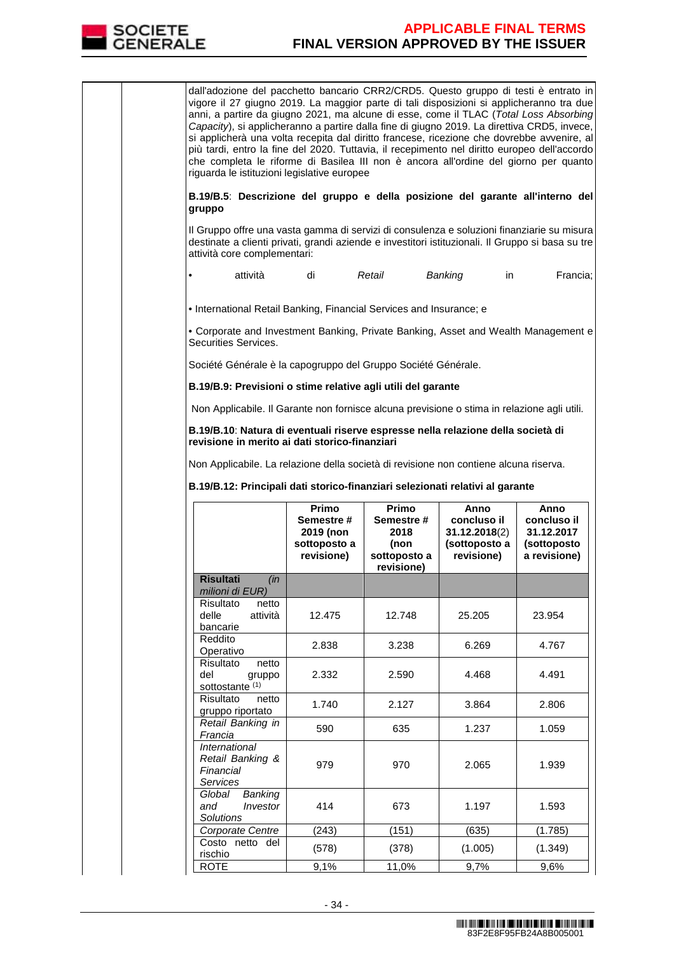

dall'adozione del pacchetto bancario CRR2/CRD5. Questo gruppo di testi è entrato in vigore il 27 giugno 2019. La maggior parte di tali disposizioni si applicheranno tra due anni, a partire da giugno 2021, ma alcune di esse, come il TLAC (Total Loss Absorbing Capacity), si applicheranno a partire dalla fine di giugno 2019. La direttiva CRD5, invece, si applicherà una volta recepita dal diritto francese, ricezione che dovrebbe avvenire, al più tardi, entro la fine del 2020. Tuttavia, il recepimento nel diritto europeo dell'accordo che completa le riforme di Basilea III non è ancora all'ordine del giorno per quanto riguarda le istituzioni legislative europee

**B.19/B.5**: **Descrizione del gruppo e della posizione del garante all'interno del gruppo**

Il Gruppo offre una vasta gamma di servizi di consulenza e soluzioni finanziarie su misura destinate a clienti privati, grandi aziende e investitori istituzionali. Il Gruppo si basa su tre attività core complementari:

• attività di Retail Banking in Francia;

• International Retail Banking, Financial Services and Insurance; e

• Corporate and Investment Banking, Private Banking, Asset and Wealth Management e Securities Services.

Société Générale è la capogruppo del Gruppo Société Générale.

**B.19/B.9: Previsioni o stime relative agli utili del garante** 

Non Applicabile. Il Garante non fornisce alcuna previsione o stima in relazione agli utili.

**B.19/B.10**: **Natura di eventuali riserve espresse nella relazione della società di revisione in merito ai dati storico-finanziari**

Non Applicabile. La relazione della società di revisione non contiene alcuna riserva.

**B.19/B.12: Principali dati storico-finanziari selezionati relativi al garante** 

|                                                                   | Primo<br>Semestre#<br>2019 (non<br>sottoposto a<br>revisione) | Primo<br>Semestre #<br>2018<br>(non<br>sottoposto a<br>revisione) | Anno<br>concluso il<br>31.12.2018(2)<br>(sottoposto a<br>revisione) | Anno<br>concluso il<br>31.12.2017<br>(sottoposto<br>a revisione) |
|-------------------------------------------------------------------|---------------------------------------------------------------|-------------------------------------------------------------------|---------------------------------------------------------------------|------------------------------------------------------------------|
| <b>Risultati</b><br>(in<br>milioni di EUR)                        |                                                               |                                                                   |                                                                     |                                                                  |
| Risultato<br>netto<br>delle<br>attività<br>bancarie               | 12.475                                                        | 12.748                                                            | 25.205                                                              | 23.954                                                           |
| Reddito<br>Operativo                                              | 2.838                                                         | 3.238                                                             | 6.269                                                               | 4.767                                                            |
| Risultato<br>netto<br>del<br>gruppo<br>sottostante <sup>(1)</sup> | 2.332                                                         | 2.590                                                             | 4.468                                                               | 4.491                                                            |
| Risultato<br>netto<br>gruppo riportato                            | 1.740                                                         | 2.127                                                             | 3.864                                                               | 2.806                                                            |
| Retail Banking in<br>Francia                                      | 590                                                           | 635                                                               | 1.237                                                               | 1.059                                                            |
| International<br>Retail Banking &<br>Financial<br><b>Services</b> | 979                                                           | 970                                                               | 2.065                                                               | 1.939                                                            |
| Banking<br>Global<br>Investor<br>and<br>Solutions                 | 414                                                           | 673                                                               | 1.197                                                               | 1.593                                                            |
| Corporate Centre                                                  | (243)                                                         | (151)                                                             | (635)                                                               | (1.785)                                                          |
| Costo netto del<br>rischio                                        | (578)                                                         | (378)                                                             | (1.005)                                                             | (1.349)                                                          |
| ROTE                                                              | 9,1%                                                          | 11,0%                                                             | 9,7%                                                                | 9,6%                                                             |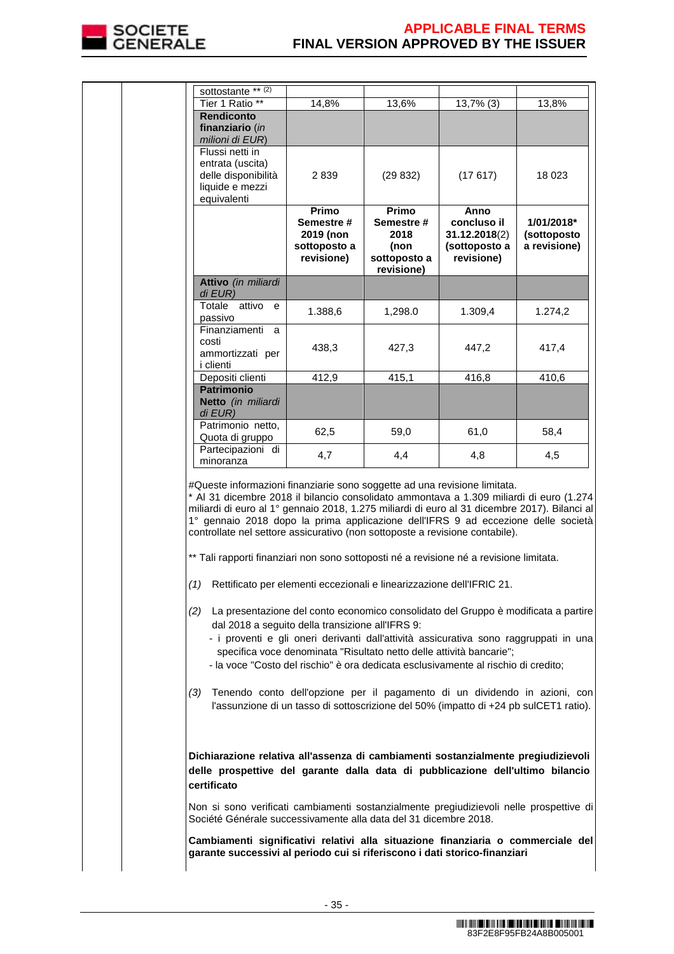

|                                                                                                                                                                | sottostante ** $(2)$<br>Tier 1 Ratio **                                                                                                                                                                                                                                                                                                                                                                                                                                                                                              | 14,8%                                            | 13,6%                      | 13,7% (3)                                                                                                                                                           | 13,8%        |  |
|----------------------------------------------------------------------------------------------------------------------------------------------------------------|--------------------------------------------------------------------------------------------------------------------------------------------------------------------------------------------------------------------------------------------------------------------------------------------------------------------------------------------------------------------------------------------------------------------------------------------------------------------------------------------------------------------------------------|--------------------------------------------------|----------------------------|---------------------------------------------------------------------------------------------------------------------------------------------------------------------|--------------|--|
|                                                                                                                                                                | <b>Rendiconto</b>                                                                                                                                                                                                                                                                                                                                                                                                                                                                                                                    |                                                  |                            |                                                                                                                                                                     |              |  |
|                                                                                                                                                                | finanziario (in                                                                                                                                                                                                                                                                                                                                                                                                                                                                                                                      |                                                  |                            |                                                                                                                                                                     |              |  |
|                                                                                                                                                                | milioni di EUR)                                                                                                                                                                                                                                                                                                                                                                                                                                                                                                                      |                                                  |                            |                                                                                                                                                                     |              |  |
|                                                                                                                                                                | Flussi netti in<br>entrata (uscita)                                                                                                                                                                                                                                                                                                                                                                                                                                                                                                  |                                                  |                            |                                                                                                                                                                     |              |  |
|                                                                                                                                                                | delle disponibilità                                                                                                                                                                                                                                                                                                                                                                                                                                                                                                                  | 2 839                                            | (29832)                    | (17617)                                                                                                                                                             | 18 0 23      |  |
|                                                                                                                                                                | liquide e mezzi                                                                                                                                                                                                                                                                                                                                                                                                                                                                                                                      |                                                  |                            |                                                                                                                                                                     |              |  |
|                                                                                                                                                                | equivalenti                                                                                                                                                                                                                                                                                                                                                                                                                                                                                                                          | Primo                                            | Primo                      |                                                                                                                                                                     |              |  |
|                                                                                                                                                                |                                                                                                                                                                                                                                                                                                                                                                                                                                                                                                                                      | Semestre#                                        | Semestre #                 | Anno<br>concluso il                                                                                                                                                 | 1/01/2018*   |  |
|                                                                                                                                                                |                                                                                                                                                                                                                                                                                                                                                                                                                                                                                                                                      | 2019 (non                                        | 2018                       | 31.12.2018(2)                                                                                                                                                       | (sottoposto  |  |
|                                                                                                                                                                |                                                                                                                                                                                                                                                                                                                                                                                                                                                                                                                                      | sottoposto a                                     | (non                       | (sottoposto a                                                                                                                                                       | a revisione) |  |
|                                                                                                                                                                |                                                                                                                                                                                                                                                                                                                                                                                                                                                                                                                                      | revisione)                                       | sottoposto a<br>revisione) | revisione)                                                                                                                                                          |              |  |
|                                                                                                                                                                | Attivo (in miliardi<br>di EUR)                                                                                                                                                                                                                                                                                                                                                                                                                                                                                                       |                                                  |                            |                                                                                                                                                                     |              |  |
|                                                                                                                                                                | Totale attivo<br>e                                                                                                                                                                                                                                                                                                                                                                                                                                                                                                                   | 1.388,6                                          | 1,298.0                    | 1.309,4                                                                                                                                                             | 1.274,2      |  |
|                                                                                                                                                                | passivo                                                                                                                                                                                                                                                                                                                                                                                                                                                                                                                              |                                                  |                            |                                                                                                                                                                     |              |  |
|                                                                                                                                                                | Finanziamenti a<br>costi                                                                                                                                                                                                                                                                                                                                                                                                                                                                                                             |                                                  |                            |                                                                                                                                                                     |              |  |
|                                                                                                                                                                | ammortizzati per                                                                                                                                                                                                                                                                                                                                                                                                                                                                                                                     | 438,3                                            | 427,3                      | 447,2                                                                                                                                                               | 417,4        |  |
|                                                                                                                                                                | i clienti                                                                                                                                                                                                                                                                                                                                                                                                                                                                                                                            |                                                  |                            |                                                                                                                                                                     |              |  |
|                                                                                                                                                                | Depositi clienti<br><b>Patrimonio</b>                                                                                                                                                                                                                                                                                                                                                                                                                                                                                                | 412,9                                            | 415,1                      | 416,8                                                                                                                                                               | 410,6        |  |
|                                                                                                                                                                | Netto (in miliardi                                                                                                                                                                                                                                                                                                                                                                                                                                                                                                                   |                                                  |                            |                                                                                                                                                                     |              |  |
|                                                                                                                                                                | di EUR)                                                                                                                                                                                                                                                                                                                                                                                                                                                                                                                              |                                                  |                            |                                                                                                                                                                     |              |  |
|                                                                                                                                                                | Patrimonio netto,                                                                                                                                                                                                                                                                                                                                                                                                                                                                                                                    | 62,5                                             | 59,0                       | 61,0                                                                                                                                                                | 58,4         |  |
|                                                                                                                                                                | Quota di gruppo<br>Partecipazioni di                                                                                                                                                                                                                                                                                                                                                                                                                                                                                                 |                                                  |                            |                                                                                                                                                                     |              |  |
|                                                                                                                                                                | minoranza                                                                                                                                                                                                                                                                                                                                                                                                                                                                                                                            | 4,7                                              | 4,4                        | 4,8                                                                                                                                                                 | 4,5          |  |
|                                                                                                                                                                | #Queste informazioni finanziarie sono soggette ad una revisione limitata.<br>* Al 31 dicembre 2018 il bilancio consolidato ammontava a 1.309 miliardi di euro (1.274<br>miliardi di euro al 1º gennaio 2018, 1.275 miliardi di euro al 31 dicembre 2017). Bilanci al<br>1° gennaio 2018 dopo la prima applicazione dell'IFRS 9 ad eccezione delle società<br>controllate nel settore assicurativo (non sottoposte a revisione contabile).<br>** Tali rapporti finanziari non sono sottoposti né a revisione né a revisione limitata. |                                                  |                            |                                                                                                                                                                     |              |  |
|                                                                                                                                                                | (1) Rettificato per elementi eccezionali e linearizzazione dell'IFRIC 21.                                                                                                                                                                                                                                                                                                                                                                                                                                                            |                                                  |                            |                                                                                                                                                                     |              |  |
|                                                                                                                                                                | (2) La presentazione del conto economico consolidato del Gruppo è modificata a partire<br>- i proventi e gli oneri derivanti dall'attività assicurativa sono raggruppati in una<br>- la voce "Costo del rischio" è ora dedicata esclusivamente al rischio di credito;                                                                                                                                                                                                                                                                | dal 2018 a seguito della transizione all'IFRS 9: |                            | specifica voce denominata "Risultato netto delle attività bancarie";                                                                                                |              |  |
|                                                                                                                                                                | (3)                                                                                                                                                                                                                                                                                                                                                                                                                                                                                                                                  |                                                  |                            | Tenendo conto dell'opzione per il pagamento di un dividendo in azioni, con<br>l'assunzione di un tasso di sottoscrizione del 50% (impatto di +24 pb sulCET1 ratio). |              |  |
|                                                                                                                                                                | Dichiarazione relativa all'assenza di cambiamenti sostanzialmente pregiudizievoli<br>delle prospettive del garante dalla data di pubblicazione dell'ultimo bilancio<br>certificato<br>Non si sono verificati cambiamenti sostanzialmente pregiudizievoli nelle prospettive di                                                                                                                                                                                                                                                        |                                                  |                            |                                                                                                                                                                     |              |  |
|                                                                                                                                                                | Société Générale successivamente alla data del 31 dicembre 2018.                                                                                                                                                                                                                                                                                                                                                                                                                                                                     |                                                  |                            |                                                                                                                                                                     |              |  |
| Cambiamenti significativi relativi alla situazione finanziaria o commerciale del<br>garante successivi al periodo cui si riferiscono i dati storico-finanziari |                                                                                                                                                                                                                                                                                                                                                                                                                                                                                                                                      |                                                  |                            |                                                                                                                                                                     |              |  |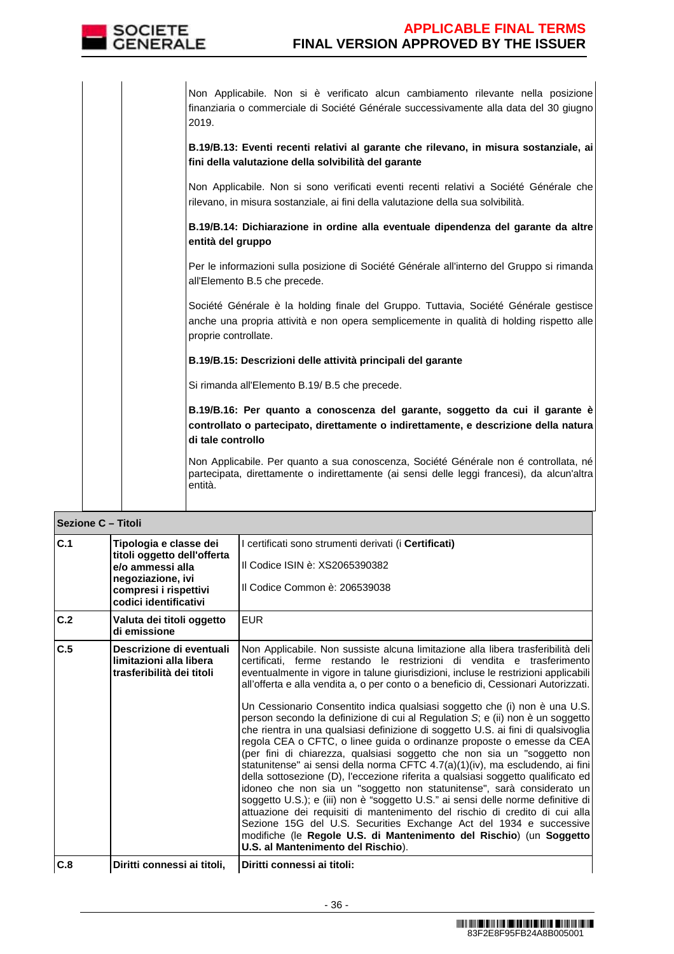

Non Applicabile. Non si è verificato alcun cambiamento rilevante nella posizione finanziaria o commerciale di Société Générale successivamente alla data del 30 giugno 2019.

**B.19/B.13: Eventi recenti relativi al garante che rilevano, in misura sostanziale, ai fini della valutazione della solvibilità del garante**

Non Applicabile. Non si sono verificati eventi recenti relativi a Société Générale che rilevano, in misura sostanziale, ai fini della valutazione della sua solvibilità.

**B.19/B.14: Dichiarazione in ordine alla eventuale dipendenza del garante da altre entità del gruppo**

Per le informazioni sulla posizione di Société Générale all'interno del Gruppo si rimanda all'Elemento B.5 che precede.

Société Générale è la holding finale del Gruppo. Tuttavia, Société Générale gestisce anche una propria attività e non opera semplicemente in qualità di holding rispetto alle proprie controllate.

### **B.19/B.15: Descrizioni delle attività principali del garante**

Si rimanda all'Elemento B.19/ B.5 che precede.

**B.19/B.16: Per quanto a conoscenza del garante, soggetto da cui il garante è controllato o partecipato, direttamente o indirettamente, e descrizione della natura di tale controllo**

Non Applicabile. Per quanto a sua conoscenza, Société Générale non é controllata, né partecipata, direttamente o indirettamente (ai sensi delle leggi francesi), da alcun'altra entità.

| <b>Sezione C - Titoli</b> |                                                                                                                                                  |                                                                                                                                                                                                                                                                                                                                                                                                                                                                                                                                                                                                                                                                                                                                                                                                                                                                                                                                                                                                                                                                                                                                                                                                                                                                                                                                                       |
|---------------------------|--------------------------------------------------------------------------------------------------------------------------------------------------|-------------------------------------------------------------------------------------------------------------------------------------------------------------------------------------------------------------------------------------------------------------------------------------------------------------------------------------------------------------------------------------------------------------------------------------------------------------------------------------------------------------------------------------------------------------------------------------------------------------------------------------------------------------------------------------------------------------------------------------------------------------------------------------------------------------------------------------------------------------------------------------------------------------------------------------------------------------------------------------------------------------------------------------------------------------------------------------------------------------------------------------------------------------------------------------------------------------------------------------------------------------------------------------------------------------------------------------------------------|
| C.1                       | Tipologia e classe dei<br>titoli oggetto dell'offerta<br>e/o ammessi alla<br>negoziazione, ivi<br>compresi i rispettivi<br>codici identificativi | I certificati sono strumenti derivati (i <b>Certificati)</b><br>Il Codice ISIN è: XS2065390382<br>Il Codice Common è: 206539038                                                                                                                                                                                                                                                                                                                                                                                                                                                                                                                                                                                                                                                                                                                                                                                                                                                                                                                                                                                                                                                                                                                                                                                                                       |
| C.2                       | Valuta dei titoli oggetto<br>di emissione                                                                                                        | <b>EUR</b>                                                                                                                                                                                                                                                                                                                                                                                                                                                                                                                                                                                                                                                                                                                                                                                                                                                                                                                                                                                                                                                                                                                                                                                                                                                                                                                                            |
| C.5                       | Descrizione di eventuali<br>limitazioni alla libera<br>trasferibilità dei titoli                                                                 | Non Applicabile. Non sussiste alcuna limitazione alla libera trasferibilità dell<br>certificati, ferme restando le restrizioni di vendita e trasferimento<br>eventualmente in vigore in talune giurisdizioni, incluse le restrizioni applicabili<br>all'offerta e alla vendita a, o per conto o a beneficio di, Cessionari Autorizzati.<br>Un Cessionario Consentito indica qualsiasi soggetto che (i) non è una U.S.<br>person secondo la definizione di cui al Regulation S; e (ii) non è un soggetto<br>che rientra in una qualsiasi definizione di soggetto U.S. ai fini di qualsivoglia<br>regola CEA o CFTC, o linee guida o ordinanze proposte o emesse da CEA<br>(per fini di chiarezza, qualsiasi soggetto che non sia un "soggetto non<br>statunitense" ai sensi della norma CFTC 4.7(a)(1)(iv), ma escludendo, ai fini<br>della sottosezione (D), l'eccezione riferita a qualsiasi soggetto qualificato ed<br>idoneo che non sia un "soggetto non statunitense", sarà considerato un<br>soggetto U.S.); e (iii) non è "soggetto U.S." ai sensi delle norme definitive di<br>attuazione dei requisiti di mantenimento del rischio di credito di cui alla<br>Sezione 15G del U.S. Securities Exchange Act del 1934 e successive<br>modifiche (le Regole U.S. di Mantenimento del Rischio) (un Soggetto<br>U.S. al Mantenimento del Rischio). |
| C.8                       | Diritti connessi ai titoli.                                                                                                                      | Diritti connessi ai titoli:                                                                                                                                                                                                                                                                                                                                                                                                                                                                                                                                                                                                                                                                                                                                                                                                                                                                                                                                                                                                                                                                                                                                                                                                                                                                                                                           |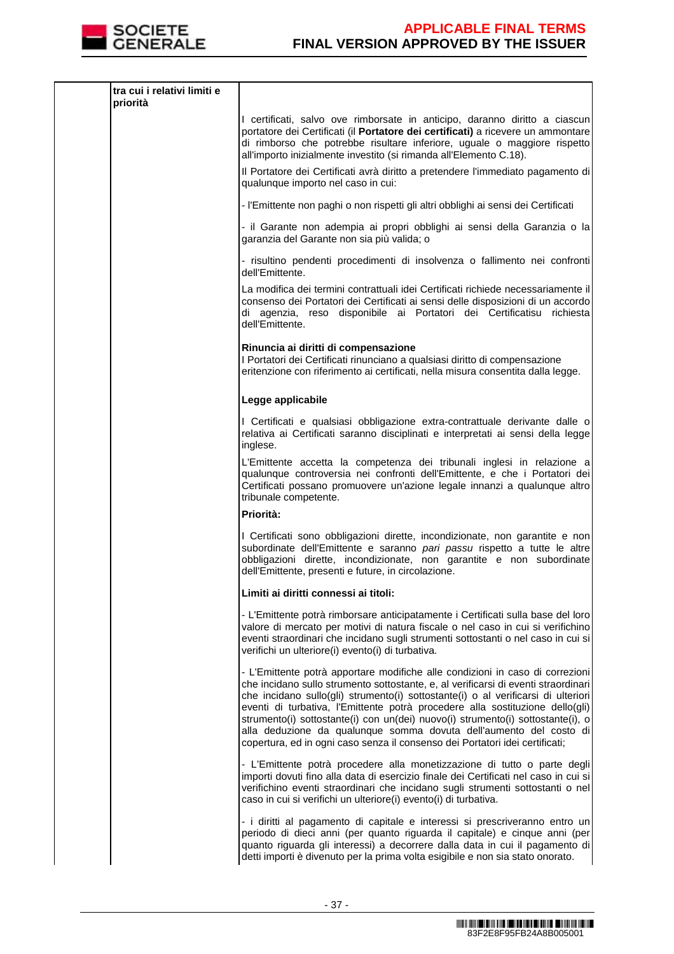

| tra cui i relativi limiti e<br>priorità |                                                                                                                                                                                                                                                                                                                                                                                                                                                                                                                                                                                    |
|-----------------------------------------|------------------------------------------------------------------------------------------------------------------------------------------------------------------------------------------------------------------------------------------------------------------------------------------------------------------------------------------------------------------------------------------------------------------------------------------------------------------------------------------------------------------------------------------------------------------------------------|
|                                         | I certificati, salvo ove rimborsate in anticipo, daranno diritto a ciascun<br>portatore dei Certificati (il Portatore dei certificati) a ricevere un ammontare<br>di rimborso che potrebbe risultare inferiore, uguale o maggiore rispetto<br>all'importo inizialmente investito (si rimanda all'Elemento C.18).                                                                                                                                                                                                                                                                   |
|                                         | Il Portatore dei Certificati avrà diritto a pretendere l'immediato pagamento di<br>qualunque importo nel caso in cui:                                                                                                                                                                                                                                                                                                                                                                                                                                                              |
|                                         | - l'Emittente non paghi o non rispetti gli altri obblighi ai sensi dei Certificati                                                                                                                                                                                                                                                                                                                                                                                                                                                                                                 |
|                                         | - il Garante non adempia ai propri obblighi ai sensi della Garanzia o la<br>garanzia del Garante non sia più valida; o                                                                                                                                                                                                                                                                                                                                                                                                                                                             |
|                                         | - risultino pendenti procedimenti di insolvenza o fallimento nei confronti<br>dell'Emittente.                                                                                                                                                                                                                                                                                                                                                                                                                                                                                      |
|                                         | La modifica dei termini contrattuali idei Certificati richiede necessariamente il<br>consenso dei Portatori dei Certificati ai sensi delle disposizioni di un accordo<br>di agenzia, reso disponibile ai Portatori dei Certificatisu<br>richiesta<br>dell'Emittente.                                                                                                                                                                                                                                                                                                               |
|                                         | Rinuncia ai diritti di compensazione<br>I Portatori dei Certificati rinunciano a qualsiasi diritto di compensazione<br>eritenzione con riferimento ai certificati, nella misura consentita dalla legge.                                                                                                                                                                                                                                                                                                                                                                            |
|                                         | Legge applicabile                                                                                                                                                                                                                                                                                                                                                                                                                                                                                                                                                                  |
|                                         | I Certificati e qualsiasi obbligazione extra-contrattuale derivante dalle o<br>relativa ai Certificati saranno disciplinati e interpretati ai sensi della legge<br>inglese.                                                                                                                                                                                                                                                                                                                                                                                                        |
|                                         | L'Emittente accetta la competenza dei tribunali inglesi in relazione a<br>qualunque controversia nei confronti dell'Emittente, e che i Portatori dei<br>Certificati possano promuovere un'azione legale innanzi a qualunque altro<br>tribunale competente.                                                                                                                                                                                                                                                                                                                         |
|                                         | Priorità:                                                                                                                                                                                                                                                                                                                                                                                                                                                                                                                                                                          |
|                                         | I Certificati sono obbligazioni dirette, incondizionate, non garantite e non<br>subordinate dell'Emittente e saranno pari passu rispetto a tutte le altre<br>obbligazioni dirette, incondizionate, non garantite e non subordinate<br>dell'Emittente, presenti e future, in circolazione.                                                                                                                                                                                                                                                                                          |
|                                         | Limiti ai diritti connessi ai titoli:                                                                                                                                                                                                                                                                                                                                                                                                                                                                                                                                              |
|                                         | - L'Emittente potrà rimborsare anticipatamente i Certificati sulla base del loro<br>valore di mercato per motivi di natura fiscale o nel caso in cui si verifichino<br>eventi straordinari che incidano sugli strumenti sottostanti o nel caso in cui si<br>verifichi un ulteriore(i) evento(i) di turbativa.                                                                                                                                                                                                                                                                      |
|                                         | - L'Emittente potrà apportare modifiche alle condizioni in caso di correzioni<br>che incidano sullo strumento sottostante, e, al verificarsi di eventi straordinari<br>che incidano sullo(gli) strumento(i) sottostante(i) o al verificarsi di ulteriori<br>eventi di turbativa, l'Emittente potrà procedere alla sostituzione dello(gli)<br>strumento(i) sottostante(i) con un(dei) nuovo(i) strumento(i) sottostante(i), o<br>alla deduzione da qualunque somma dovuta dell'aumento del costo di<br>copertura, ed in ogni caso senza il consenso dei Portatori idei certificati; |
|                                         | - L'Emittente potrà procedere alla monetizzazione di tutto o parte degli<br>importi dovuti fino alla data di esercizio finale dei Certificati nel caso in cui si<br>verifichino eventi straordinari che incidano sugli strumenti sottostanti o nel<br>caso in cui si verifichi un ulteriore(i) evento(i) di turbativa.                                                                                                                                                                                                                                                             |
|                                         | - i diritti al pagamento di capitale e interessi si prescriveranno entro un<br>periodo di dieci anni (per quanto riguarda il capitale) e cinque anni (per<br>quanto riguarda gli interessi) a decorrere dalla data in cui il pagamento di<br>detti importi è divenuto per la prima volta esigibile e non sia stato onorato.                                                                                                                                                                                                                                                        |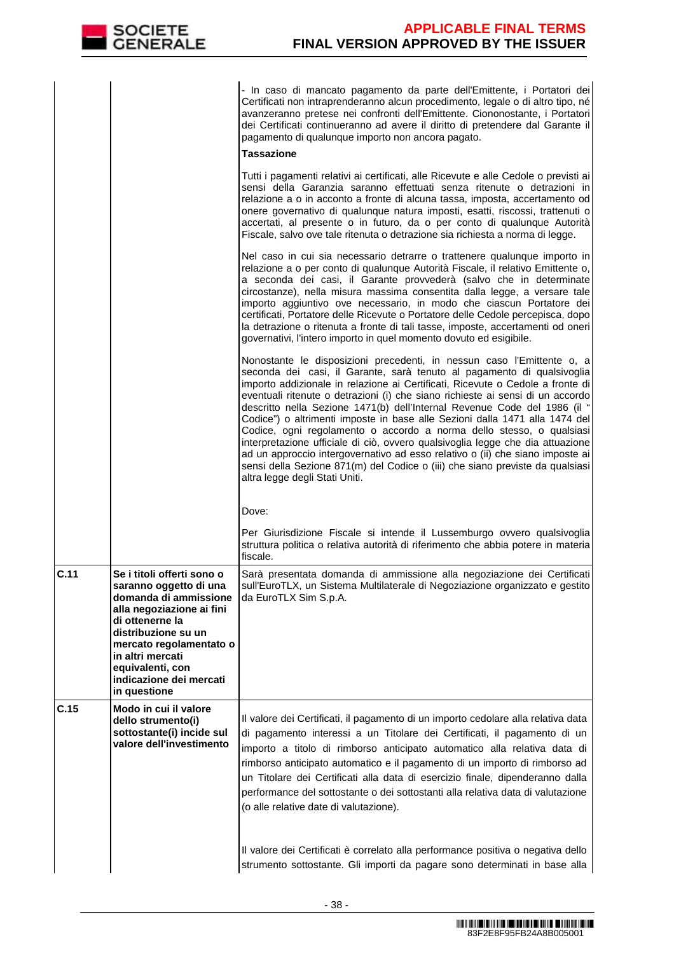

 - In caso di mancato pagamento da parte dell'Emittente, i Portatori dei Certificati non intraprenderanno alcun procedimento, legale o di altro tipo, né avanzeranno pretese nei confronti dell'Emittente. Ciononostante, i Portatori dei Certificati continueranno ad avere il diritto di pretendere dal Garante il pagamento di qualunque importo non ancora pagato.

#### **Tassazione**

Tutti i pagamenti relativi ai certificati, alle Ricevute e alle Cedole o previsti ai sensi della Garanzia saranno effettuati senza ritenute o detrazioni in relazione a o in acconto a fronte di alcuna tassa, imposta, accertamento od onere governativo di qualunque natura imposti, esatti, riscossi, trattenuti o accertati, al presente o in futuro, da o per conto di qualunque Autorità Fiscale, salvo ove tale ritenuta o detrazione sia richiesta a norma di legge.

Nel caso in cui sia necessario detrarre o trattenere qualunque importo in relazione a o per conto di qualunque Autorità Fiscale, il relativo Emittente o, a seconda dei casi, il Garante provvederà (salvo che in determinate circostanze), nella misura massima consentita dalla legge, a versare tale importo aggiuntivo ove necessario, in modo che ciascun Portatore dei certificati, Portatore delle Ricevute o Portatore delle Cedole percepisca, dopo la detrazione o ritenuta a fronte di tali tasse, imposte, accertamenti od oneri governativi, l'intero importo in quel momento dovuto ed esigibile.

Nonostante le disposizioni precedenti, in nessun caso l'Emittente o, a seconda dei casi, il Garante, sarà tenuto al pagamento di qualsivoglia importo addizionale in relazione ai Certificati, Ricevute o Cedole a fronte di eventuali ritenute o detrazioni (i) che siano richieste ai sensi di un accordo descritto nella Sezione 1471(b) dell'Internal Revenue Code del 1986 (il " Codice") o altrimenti imposte in base alle Sezioni dalla 1471 alla 1474 del Codice, ogni regolamento o accordo a norma dello stesso, o qualsiasi interpretazione ufficiale di ciò, ovvero qualsivoglia legge che dia attuazione ad un approccio intergovernativo ad esso relativo o (ii) che siano imposte ai sensi della Sezione 871(m) del Codice o (iii) che siano previste da qualsiasi altra legge degli Stati Uniti.

Dove:

Per Giurisdizione Fiscale si intende il Lussemburgo ovvero qualsivoglia struttura politica o relativa autorità di riferimento che abbia potere in materia ficcolo

|      |                                                                                                                                                                                                                                                                    | 1130a16.                                                                                                                                                                                                                                                                                                                                                                                                                                                                                                                                                                                                                                                                                                |
|------|--------------------------------------------------------------------------------------------------------------------------------------------------------------------------------------------------------------------------------------------------------------------|---------------------------------------------------------------------------------------------------------------------------------------------------------------------------------------------------------------------------------------------------------------------------------------------------------------------------------------------------------------------------------------------------------------------------------------------------------------------------------------------------------------------------------------------------------------------------------------------------------------------------------------------------------------------------------------------------------|
| C.11 | Se i titoli offerti sono o<br>saranno oggetto di una<br>domanda di ammissione<br>alla negoziazione ai fini<br>di ottenerne la<br>distribuzione su un<br>mercato regolamentato o<br>in altri mercati<br>equivalenti, con<br>indicazione dei mercati<br>in questione | Sarà presentata domanda di ammissione alla negoziazione dei Certificati<br>sull'EuroTLX, un Sistema Multilaterale di Negoziazione organizzato e gestito<br>da EuroTLX Sim S.p.A.                                                                                                                                                                                                                                                                                                                                                                                                                                                                                                                        |
| C.15 | Modo in cui il valore<br>dello strumento(i)<br>sottostante(i) incide sul<br>valore dell'investimento                                                                                                                                                               | Il valore dei Certificati, il pagamento di un importo cedolare alla relativa data<br>di pagamento interessi a un Titolare dei Certificati, il pagamento di un<br>importo a titolo di rimborso anticipato automatico alla relativa data di<br>rimborso anticipato automatico e il pagamento di un importo di rimborso ad<br>un Titolare dei Certificati alla data di esercizio finale, dipenderanno dalla<br>performance del sottostante o dei sottostanti alla relativa data di valutazione<br>(o alle relative date di valutazione).<br>Il valore dei Certificati è correlato alla performance positiva o negativa dello<br>strumento sottostante. Gli importi da pagare sono determinati in base alla |

<u>, Militar Album and Album and a company of the second and modelle</u> 83F2E8F95FB24A8B005001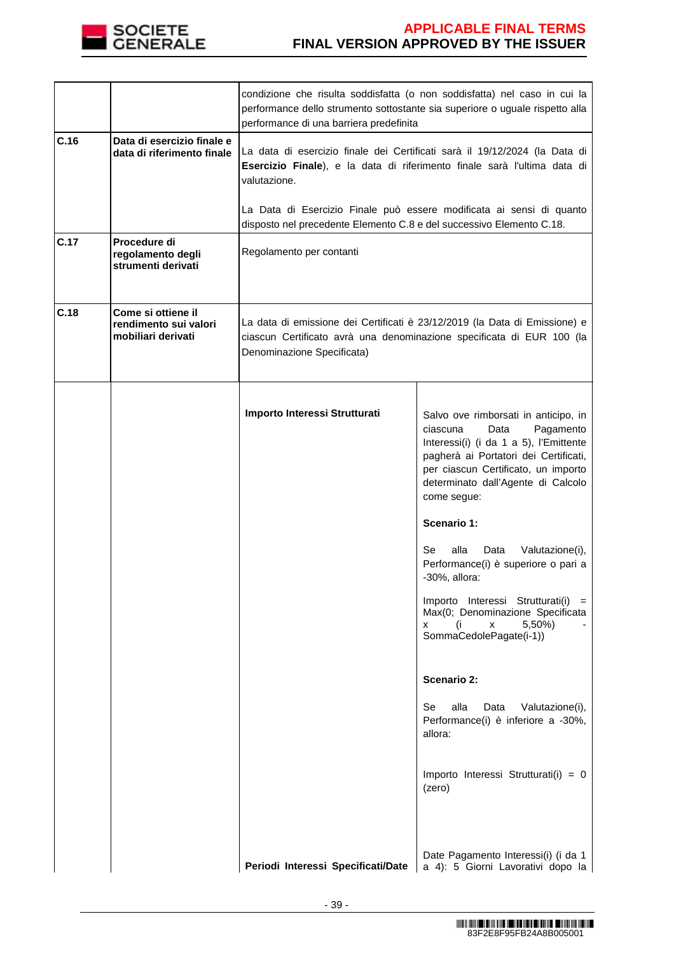

|      |                                                                   | condizione che risulta soddisfatta (o non soddisfatta) nel caso in cui la<br>performance dello strumento sottostante sia superiore o uguale rispetto alla<br>performance di una barriera predefinita |                                                                                                                                                                                                                                                                                                                                                                                                                                                                                                                                                                                                                                                                       |  |
|------|-------------------------------------------------------------------|------------------------------------------------------------------------------------------------------------------------------------------------------------------------------------------------------|-----------------------------------------------------------------------------------------------------------------------------------------------------------------------------------------------------------------------------------------------------------------------------------------------------------------------------------------------------------------------------------------------------------------------------------------------------------------------------------------------------------------------------------------------------------------------------------------------------------------------------------------------------------------------|--|
| C.16 | Data di esercizio finale e<br>data di riferimento finale          | La data di esercizio finale dei Certificati sarà il 19/12/2024 (la Data di<br>Esercizio Finale), e la data di riferimento finale sarà l'ultima data di<br>valutazione.                               |                                                                                                                                                                                                                                                                                                                                                                                                                                                                                                                                                                                                                                                                       |  |
|      |                                                                   | La Data di Esercizio Finale può essere modificata ai sensi di quanto<br>disposto nel precedente Elemento C.8 e del successivo Elemento C.18.                                                         |                                                                                                                                                                                                                                                                                                                                                                                                                                                                                                                                                                                                                                                                       |  |
| C.17 | Procedure di<br>regolamento degli<br>strumenti derivati           | Regolamento per contanti                                                                                                                                                                             |                                                                                                                                                                                                                                                                                                                                                                                                                                                                                                                                                                                                                                                                       |  |
| C.18 | Come si ottiene il<br>rendimento sui valori<br>mobiliari derivati | La data di emissione dei Certificati è 23/12/2019 (la Data di Emissione) e<br>ciascun Certificato avrà una denominazione specificata di EUR 100 (la<br>Denominazione Specificata)                    |                                                                                                                                                                                                                                                                                                                                                                                                                                                                                                                                                                                                                                                                       |  |
|      |                                                                   | Importo Interessi Strutturati                                                                                                                                                                        | Salvo ove rimborsati in anticipo, in<br>Pagamento<br>ciascuna<br>Data<br>Interessi(i) (i da 1 a 5), l'Emittente<br>pagherà ai Portatori dei Certificati,<br>per ciascun Certificato, un importo<br>determinato dall'Agente di Calcolo<br>come segue:<br>Scenario 1:<br>Se<br>alla<br>Data<br>Valutazione(i),<br>Performance(i) è superiore o pari a<br>-30%, allora:<br>Importo Interessi Strutturati(i) =<br>Max(0; Denominazione Specificata<br>5,50%)<br>(i<br>X<br>x<br>SommaCedolePagate(i-1))<br><b>Scenario 2:</b><br>alla<br>Se<br>Data<br>Valutazione(i),<br>Performance(i) è inferiore a -30%,<br>allora:<br>Importo Interessi Strutturati(i) = 0<br>(zero) |  |
|      |                                                                   | Periodi Interessi Specificati/Date                                                                                                                                                                   | Date Pagamento Interessi(i) (i da 1<br>a 4): 5 Giorni Lavorativi dopo la                                                                                                                                                                                                                                                                                                                                                                                                                                                                                                                                                                                              |  |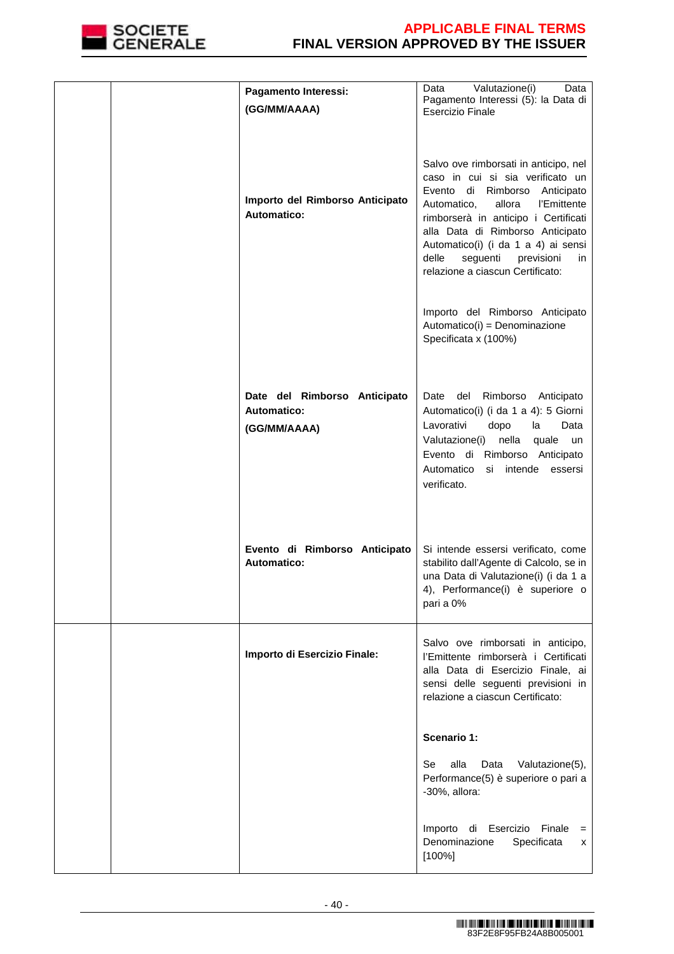

|  | Pagamento Interessi:                                               | Valutazione(i)<br>Data<br>Data<br>Pagamento Interessi (5): la Data di                                                                                                                                                                                                                                                                           |
|--|--------------------------------------------------------------------|-------------------------------------------------------------------------------------------------------------------------------------------------------------------------------------------------------------------------------------------------------------------------------------------------------------------------------------------------|
|  | (GG/MM/AAAA)                                                       | <b>Esercizio Finale</b>                                                                                                                                                                                                                                                                                                                         |
|  | Importo del Rimborso Anticipato<br>Automatico:                     | Salvo ove rimborsati in anticipo, nel<br>caso in cui si sia verificato un<br>Evento di Rimborso Anticipato<br>l'Emittente<br>Automatico,<br>allora<br>rimborserà in anticipo i Certificati<br>alla Data di Rimborso Anticipato<br>Automatico(i) (i da 1 a 4) ai sensi<br>delle<br>seguenti previsioni<br>in<br>relazione a ciascun Certificato: |
|  |                                                                    | Importo del Rimborso Anticipato<br>Automatico(i) = Denominazione<br>Specificata x (100%)                                                                                                                                                                                                                                                        |
|  | Date del Rimborso Anticipato<br><b>Automatico:</b><br>(GG/MM/AAAA) | Rimborso Anticipato<br>Date<br>del<br>Automatico(i) (i da 1 a 4): 5 Giorni<br>Lavorativi<br>dopo<br>Data<br>la<br>nella<br>Valutazione(i)<br>quale<br>un<br>Evento di Rimborso Anticipato<br>Automatico si intende essersi<br>verificato.                                                                                                       |
|  | Evento di Rimborso Anticipato<br><b>Automatico:</b>                | Si intende essersi verificato, come<br>stabilito dall'Agente di Calcolo, se in<br>una Data di Valutazione(i) (i da 1 a<br>4), Performance(i) è superiore o<br>pari a 0%                                                                                                                                                                         |
|  | Importo di Esercizio Finale:                                       | Salvo ove rimborsati in anticipo,<br>l'Emittente rimborserà i Certificati<br>alla Data di Esercizio Finale, ai<br>sensi delle seguenti previsioni in<br>relazione a ciascun Certificato:                                                                                                                                                        |
|  |                                                                    | Scenario 1:                                                                                                                                                                                                                                                                                                                                     |
|  |                                                                    | alla<br>Data<br>Se<br>Valutazione(5),<br>Performance(5) è superiore o pari a<br>-30%, allora:                                                                                                                                                                                                                                                   |
|  |                                                                    | Importo di Esercizio Finale =<br>Denominazione<br>Specificata<br>x<br>$[100\%]$                                                                                                                                                                                                                                                                 |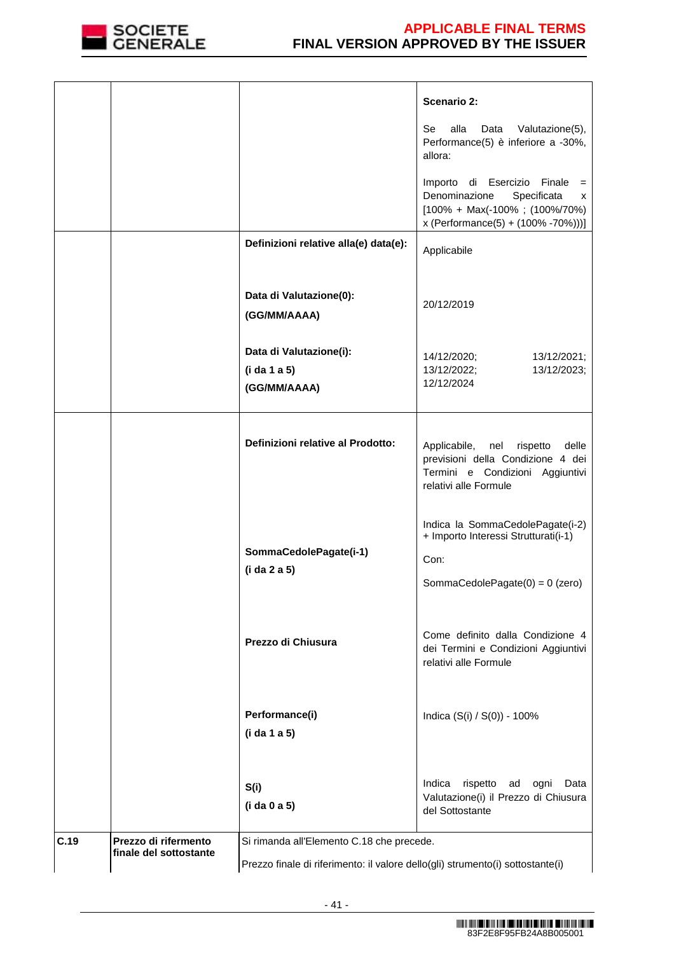

|      |                                                |                                                                                                                             | <b>Scenario 2:</b>                                                                                                                                       |
|------|------------------------------------------------|-----------------------------------------------------------------------------------------------------------------------------|----------------------------------------------------------------------------------------------------------------------------------------------------------|
|      |                                                |                                                                                                                             | Se<br>alla<br>Data<br>Valutazione(5),<br>Performance(5) è inferiore a -30%,<br>allora:                                                                   |
|      |                                                |                                                                                                                             | Importo di Esercizio Finale<br>$=$<br>Denominazione<br>Specificata<br>x<br>$[100\% + Max(-100\% ; (100\% / 70\%)]$<br>x (Performance(5) + (100% -70%)))] |
|      |                                                | Definizioni relative alla(e) data(e):                                                                                       | Applicabile                                                                                                                                              |
|      |                                                | Data di Valutazione(0):<br>(GG/MM/AAAA)                                                                                     | 20/12/2019                                                                                                                                               |
|      |                                                | Data di Valutazione(i):<br>(i da 1 a 5)<br>(GG/MM/AAAA)                                                                     | 14/12/2020;<br>13/12/2021;<br>13/12/2022;<br>13/12/2023;<br>12/12/2024                                                                                   |
|      |                                                | Definizioni relative al Prodotto:                                                                                           | Applicabile, nel rispetto<br>delle<br>previsioni della Condizione 4 dei<br>Termini e Condizioni Aggiuntivi<br>relativi alle Formule                      |
|      |                                                | SommaCedolePagate(i-1)<br>(i da 2 a 5)                                                                                      | Indica la SommaCedolePagate(i-2)<br>+ Importo Interessi Strutturati(i-1)<br>Con:<br>SommaCedolePagate $(0) = 0$ (zero)                                   |
|      |                                                | Prezzo di Chiusura                                                                                                          | Come definito dalla Condizione 4<br>dei Termini e Condizioni Aggiuntivi<br>relativi alle Formule                                                         |
|      |                                                | Performance(i)<br>(i da 1 a 5)                                                                                              | Indica (S(i) / S(0)) - 100%                                                                                                                              |
|      |                                                | S(i)<br>(i da 0 a 5)                                                                                                        | Indica<br>rispetto ad ogni<br>Data<br>Valutazione(i) il Prezzo di Chiusura<br>del Sottostante                                                            |
| C.19 | Prezzo di rifermento<br>finale del sottostante | Si rimanda all'Elemento C.18 che precede.<br>Prezzo finale di riferimento: il valore dello(gli) strumento(i) sottostante(i) |                                                                                                                                                          |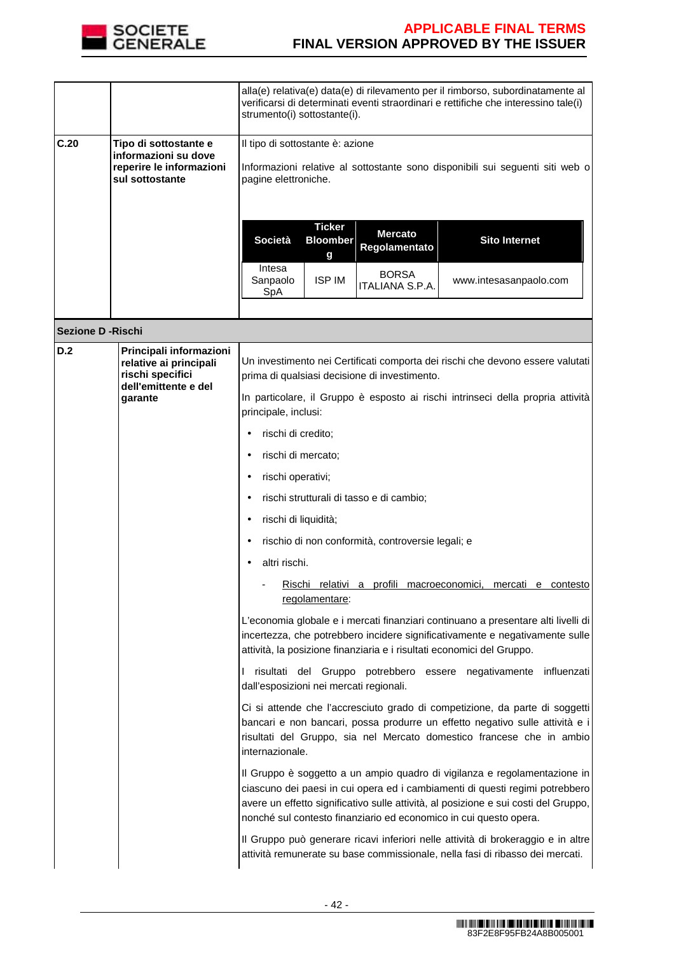

|      |                                                                                              | strumento(i) sottostante(i). |                                                                                                                                           |                                 | alla(e) relativa(e) data(e) di rilevamento per il rimborso, subordinatamente al<br>verificarsi di determinati eventi straordinari e rettifiche che interessino tale(i) |
|------|----------------------------------------------------------------------------------------------|------------------------------|-------------------------------------------------------------------------------------------------------------------------------------------|---------------------------------|------------------------------------------------------------------------------------------------------------------------------------------------------------------------|
| C.20 | Tipo di sottostante e<br>informazioni su dove<br>reperire le informazioni<br>sul sottostante |                              | Il tipo di sottostante è: azione<br>Informazioni relative al sottostante sono disponibili sui seguenti siti web o<br>pagine elettroniche. |                                 |                                                                                                                                                                        |
|      |                                                                                              | Società                      | <b>Ticker</b><br><b>Bloomber</b><br>g                                                                                                     | <b>Mercato</b><br>Regolamentato | <b>Sito Internet</b>                                                                                                                                                   |
|      |                                                                                              | Intesa<br>Sanpaolo<br>SpA    | <b>ISP IM</b>                                                                                                                             | <b>BORSA</b><br>ITALIANA S.P.A. | www.intesasanpaolo.com                                                                                                                                                 |
|      |                                                                                              |                              |                                                                                                                                           |                                 |                                                                                                                                                                        |

**Sezione D -Rischi**

| D.2 | Principali informazioni<br>relative ai principali<br>rischi specifici<br>dell'emittente e del<br>garante | Un investimento nei Certificati comporta dei rischi che devono essere valutati<br>prima di qualsiasi decisione di investimento.                                                                                                                                                                                       |
|-----|----------------------------------------------------------------------------------------------------------|-----------------------------------------------------------------------------------------------------------------------------------------------------------------------------------------------------------------------------------------------------------------------------------------------------------------------|
|     |                                                                                                          | In particolare, il Gruppo è esposto ai rischi intrinseci della propria attività<br>principale, inclusi:                                                                                                                                                                                                               |
|     |                                                                                                          | rischi di credito;                                                                                                                                                                                                                                                                                                    |
|     |                                                                                                          | rischi di mercato;<br>$\bullet$                                                                                                                                                                                                                                                                                       |
|     |                                                                                                          | rischi operativi;<br>٠                                                                                                                                                                                                                                                                                                |
|     |                                                                                                          | rischi strutturali di tasso e di cambio;<br>٠                                                                                                                                                                                                                                                                         |
|     |                                                                                                          | rischi di liquidità;<br>$\bullet$                                                                                                                                                                                                                                                                                     |
|     |                                                                                                          | rischio di non conformità, controversie legali; e                                                                                                                                                                                                                                                                     |
|     |                                                                                                          | altri rischi.                                                                                                                                                                                                                                                                                                         |
|     |                                                                                                          | Rischi relativi a profili macroeconomici, mercati e contesto<br>regolamentare:                                                                                                                                                                                                                                        |
|     |                                                                                                          | L'economia globale e i mercati finanziari continuano a presentare alti livelli di<br>incertezza, che potrebbero incidere significativamente e negativamente sulle<br>attività, la posizione finanziaria e i risultati economici del Gruppo.                                                                           |
|     |                                                                                                          | I risultati del Gruppo potrebbero essere negativamente influenzati<br>dall'esposizioni nei mercati regionali.                                                                                                                                                                                                         |
|     |                                                                                                          | Ci si attende che l'accresciuto grado di competizione, da parte di soggetti<br>bancari e non bancari, possa produrre un effetto negativo sulle attività e i<br>risultati del Gruppo, sia nel Mercato domestico francese che in ambio<br>internazionale.                                                               |
|     |                                                                                                          | Il Gruppo è soggetto a un ampio quadro di vigilanza e regolamentazione in<br>ciascuno dei paesi in cui opera ed i cambiamenti di questi regimi potrebbero<br>avere un effetto significativo sulle attività, al posizione e sui costi del Gruppo,<br>nonché sul contesto finanziario ed economico in cui questo opera. |
|     |                                                                                                          | Il Gruppo può generare ricavi inferiori nelle attività di brokeraggio e in altre<br>attività remunerate su base commissionale, nella fasi di ribasso dei mercati.                                                                                                                                                     |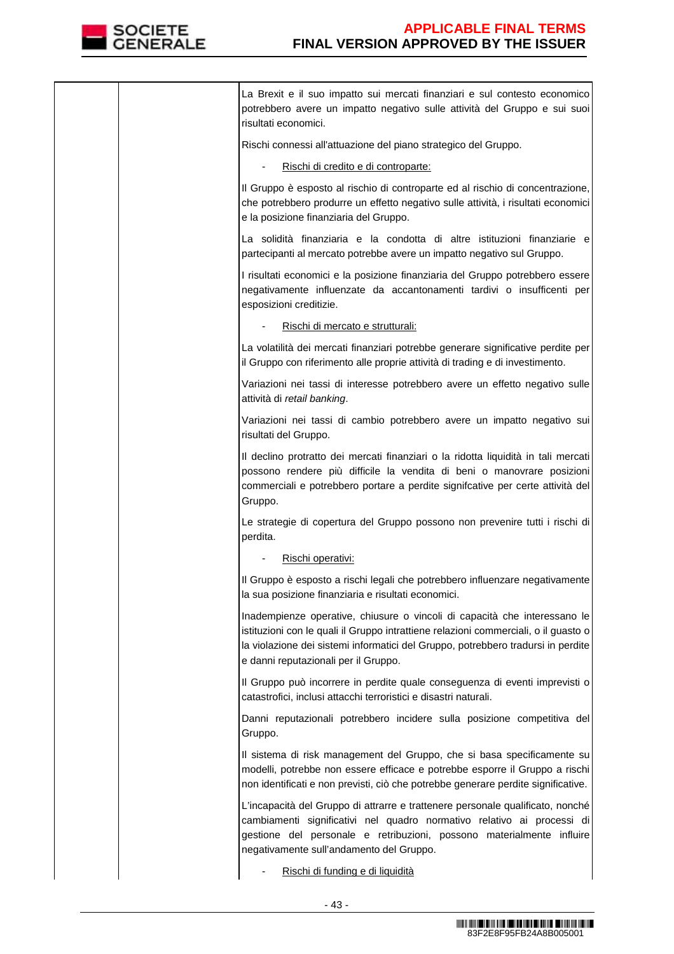

|  | La Brexit e il suo impatto sui mercati finanziari e sul contesto economico<br>potrebbero avere un impatto negativo sulle attività del Gruppo e sui suoi<br>risultati economici.                                                                                                              |
|--|----------------------------------------------------------------------------------------------------------------------------------------------------------------------------------------------------------------------------------------------------------------------------------------------|
|  | Rischi connessi all'attuazione del piano strategico del Gruppo.                                                                                                                                                                                                                              |
|  | Rischi di credito e di controparte:                                                                                                                                                                                                                                                          |
|  | Il Gruppo è esposto al rischio di controparte ed al rischio di concentrazione,<br>che potrebbero produrre un effetto negativo sulle attività, i risultati economici<br>e la posizione finanziaria del Gruppo.                                                                                |
|  | La solidità finanziaria e la condotta di altre istituzioni finanziarie e<br>partecipanti al mercato potrebbe avere un impatto negativo sul Gruppo.                                                                                                                                           |
|  | I risultati economici e la posizione finanziaria del Gruppo potrebbero essere<br>negativamente influenzate da accantonamenti tardivi o insufficenti per<br>esposizioni creditizie.                                                                                                           |
|  | Rischi di mercato e strutturali:                                                                                                                                                                                                                                                             |
|  | La volatilità dei mercati finanziari potrebbe generare significative perdite per<br>il Gruppo con riferimento alle proprie attività di trading e di investimento.                                                                                                                            |
|  | Variazioni nei tassi di interesse potrebbero avere un effetto negativo sulle<br>attività di retail banking.                                                                                                                                                                                  |
|  | Variazioni nei tassi di cambio potrebbero avere un impatto negativo sui<br>risultati del Gruppo.                                                                                                                                                                                             |
|  | Il declino protratto dei mercati finanziari o la ridotta liquidità in tali mercati<br>possono rendere più difficile la vendita di beni o manovrare posizioni<br>commerciali e potrebbero portare a perdite signifcative per certe attività del<br>Gruppo.                                    |
|  | Le strategie di copertura del Gruppo possono non prevenire tutti i rischi di<br>perdita.                                                                                                                                                                                                     |
|  | Rischi operativi:                                                                                                                                                                                                                                                                            |
|  | Il Gruppo è esposto a rischi legali che potrebbero influenzare negativamente<br>la sua posizione finanziaria e risultati economici.                                                                                                                                                          |
|  | Inadempienze operative, chiusure o vincoli di capacità che interessano le<br>istituzioni con le quali il Gruppo intrattiene relazioni commerciali, o il guasto o<br>la violazione dei sistemi informatici del Gruppo, potrebbero tradursi in perdite<br>e danni reputazionali per il Gruppo. |
|  | Il Gruppo può incorrere in perdite quale conseguenza di eventi imprevisti o<br>catastrofici, inclusi attacchi terroristici e disastri naturali.                                                                                                                                              |
|  | Danni reputazionali potrebbero incidere sulla posizione competitiva del<br>Gruppo.                                                                                                                                                                                                           |
|  | Il sistema di risk management del Gruppo, che si basa specificamente su<br>modelli, potrebbe non essere efficace e potrebbe esporre il Gruppo a rischi<br>non identificati e non previsti, ciò che potrebbe generare perdite significative.                                                  |
|  | L'incapacità del Gruppo di attrarre e trattenere personale qualificato, nonché<br>cambiamenti significativi nel quadro normativo relativo ai processi di<br>gestione del personale e retribuzioni, possono materialmente influire<br>negativamente sull'andamento del Gruppo.                |
|  | Rischi di funding e di liquidità                                                                                                                                                                                                                                                             |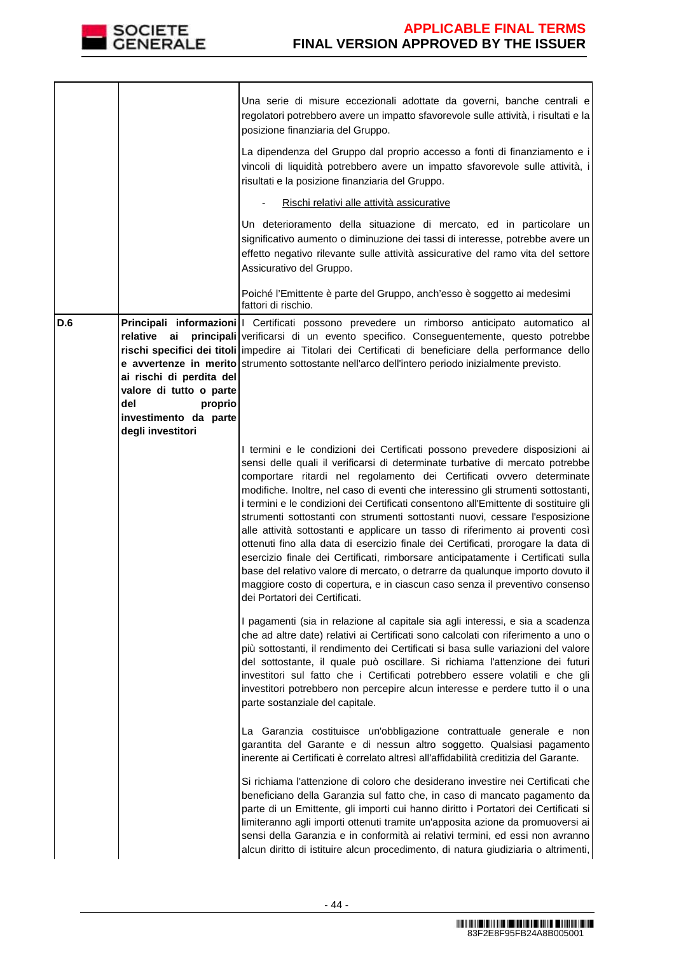

|     |                                                                                                                  | Una serie di misure eccezionali adottate da governi, banche centrali e<br>regolatori potrebbero avere un impatto sfavorevole sulle attività, i risultati e la<br>posizione finanziaria del Gruppo.<br>La dipendenza del Gruppo dal proprio accesso a fonti di finanziamento e i<br>vincoli di liquidità potrebbero avere un impatto sfavorevole sulle attività, i<br>risultati e la posizione finanziaria del Gruppo.<br>Rischi relativi alle attività assicurative<br>Un deterioramento della situazione di mercato, ed in particolare un<br>significativo aumento o diminuzione dei tassi di interesse, potrebbe avere un<br>effetto negativo rilevante sulle attività assicurative del ramo vita del settore<br>Assicurativo del Gruppo.<br>Poiché l'Emittente è parte del Gruppo, anch'esso è soggetto ai medesimi                                                                                                                                           |
|-----|------------------------------------------------------------------------------------------------------------------|------------------------------------------------------------------------------------------------------------------------------------------------------------------------------------------------------------------------------------------------------------------------------------------------------------------------------------------------------------------------------------------------------------------------------------------------------------------------------------------------------------------------------------------------------------------------------------------------------------------------------------------------------------------------------------------------------------------------------------------------------------------------------------------------------------------------------------------------------------------------------------------------------------------------------------------------------------------|
| D.6 | relative<br>ai<br>ai rischi di perdita del<br>valore di tutto o parte<br>del<br>proprio<br>investimento da parte | fattori di rischio.<br>Principali informazioni   Certificati possono prevedere un rimborso anticipato automatico al<br>principali verificarsi di un evento specifico. Conseguentemente, questo potrebbe<br>rischi specifici dei titoli impedire ai Titolari dei Certificati di beneficiare della performance dello<br>e avvertenze in merito strumento sottostante nell'arco dell'intero periodo inizialmente previsto.                                                                                                                                                                                                                                                                                                                                                                                                                                                                                                                                          |
|     | degli investitori                                                                                                | I termini e le condizioni dei Certificati possono prevedere disposizioni ai<br>sensi delle quali il verificarsi di determinate turbative di mercato potrebbe<br>comportare ritardi nel regolamento dei Certificati ovvero determinate<br>modifiche. Inoltre, nel caso di eventi che interessino gli strumenti sottostanti,<br>i termini e le condizioni dei Certificati consentono all'Emittente di sostituire gli<br>strumenti sottostanti con strumenti sottostanti nuovi, cessare l'esposizione<br>alle attività sottostanti e applicare un tasso di riferimento ai proventi così<br>ottenuti fino alla data di esercizio finale dei Certificati, prorogare la data di<br>esercizio finale dei Certificati, rimborsare anticipatamente i Certificati sulla<br>base del relativo valore di mercato, o detrarre da qualunque importo dovuto il<br>maggiore costo di copertura, e in ciascun caso senza il preventivo consenso<br>dei Portatori dei Certificati. |
|     |                                                                                                                  | I pagamenti (sia in relazione al capitale sia agli interessi, e sia a scadenza<br>che ad altre date) relativi ai Certificati sono calcolati con riferimento a uno o<br>più sottostanti, il rendimento dei Certificati si basa sulle variazioni del valore<br>del sottostante, il quale può oscillare. Si richiama l'attenzione dei futuri<br>investitori sul fatto che i Certificati potrebbero essere volatili e che gli<br>investitori potrebbero non percepire alcun interesse e perdere tutto il o una<br>parte sostanziale del capitale.                                                                                                                                                                                                                                                                                                                                                                                                                    |
|     |                                                                                                                  | La Garanzia costituisce un'obbligazione contrattuale generale e non<br>garantita del Garante e di nessun altro soggetto. Qualsiasi pagamento<br>inerente ai Certificati è correlato altresì all'affidabilità creditizia del Garante.                                                                                                                                                                                                                                                                                                                                                                                                                                                                                                                                                                                                                                                                                                                             |
|     |                                                                                                                  | Si richiama l'attenzione di coloro che desiderano investire nei Certificati che<br>beneficiano della Garanzia sul fatto che, in caso di mancato pagamento da<br>parte di un Emittente, gli importi cui hanno diritto i Portatori dei Certificati si<br>limiteranno agli importi ottenuti tramite un'apposita azione da promuoversi ai<br>sensi della Garanzia e in conformità ai relativi termini, ed essi non avranno<br>alcun diritto di istituire alcun procedimento, di natura giudiziaria o altrimenti,                                                                                                                                                                                                                                                                                                                                                                                                                                                     |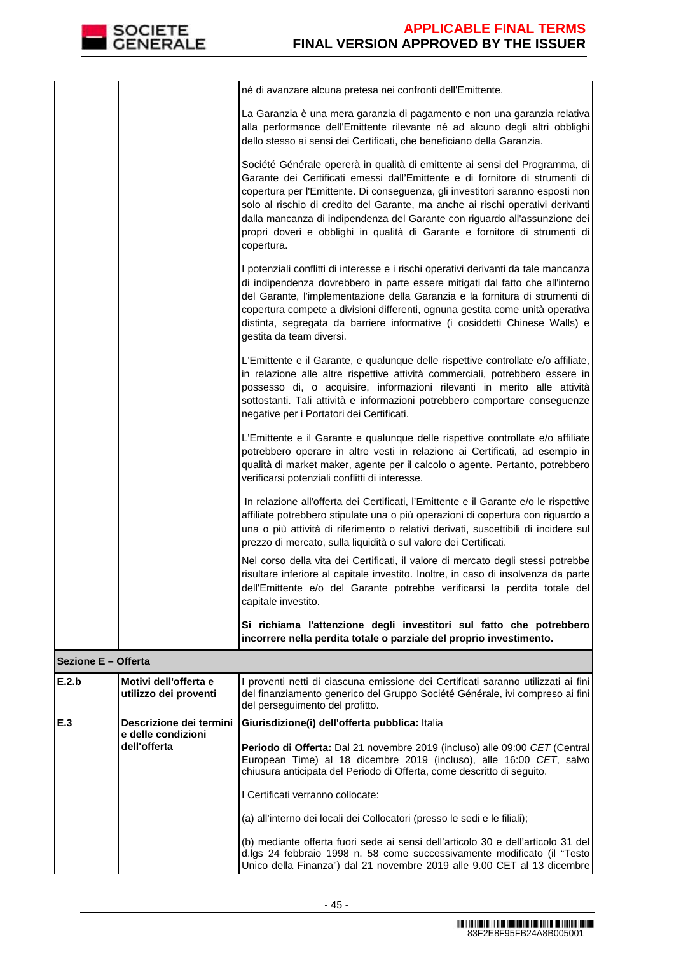| né di avanzare alcuna pretesa nei confronti dell'Emittente.                                                                                                                                                                                                                                                                                                                                                                                                                                               |
|-----------------------------------------------------------------------------------------------------------------------------------------------------------------------------------------------------------------------------------------------------------------------------------------------------------------------------------------------------------------------------------------------------------------------------------------------------------------------------------------------------------|
| La Garanzia è una mera garanzia di pagamento e non una garanzia relativa<br>alla performance dell'Emittente rilevante né ad alcuno degli altri obblighi<br>dello stesso ai sensi dei Certificati, che beneficiano della Garanzia.                                                                                                                                                                                                                                                                         |
| Société Générale opererà in qualità di emittente ai sensi del Programma, di<br>Garante dei Certificati emessi dall'Emittente e di fornitore di strumenti di<br>copertura per l'Emittente. Di conseguenza, gli investitori saranno esposti non<br>solo al rischio di credito del Garante, ma anche ai rischi operativi derivanti<br>dalla mancanza di indipendenza del Garante con riguardo all'assunzione dei<br>propri doveri e obblighi in qualità di Garante e fornitore di strumenti di<br>copertura. |
| I potenziali conflitti di interesse e i rischi operativi derivanti da tale mancanza<br>di indipendenza dovrebbero in parte essere mitigati dal fatto che all'interno<br>del Garante, l'implementazione della Garanzia e la fornitura di strumenti di<br>copertura compete a divisioni differenti, ognuna gestita come unità operativa<br>distinta, segregata da barriere informative (i cosiddetti Chinese Walls) e<br>gestita da team diversi.                                                           |
| L'Emittente e il Garante, e qualunque delle rispettive controllate e/o affiliate,<br>in relazione alle altre rispettive attività commerciali, potrebbero essere in<br>possesso di, o acquisire, informazioni rilevanti in merito alle attività<br>sottostanti. Tali attività e informazioni potrebbero comportare conseguenze<br>negative per i Portatori dei Certificati.                                                                                                                                |
| L'Emittente e il Garante e qualunque delle rispettive controllate e/o affiliate<br>potrebbero operare in altre vesti in relazione ai Certificati, ad esempio in<br>qualità di market maker, agente per il calcolo o agente. Pertanto, potrebbero<br>verificarsi potenziali conflitti di interesse.                                                                                                                                                                                                        |
| In relazione all'offerta dei Certificati, l'Emittente e il Garante e/o le rispettive<br>affiliate potrebbero stipulate una o più operazioni di copertura con riguardo a<br>una o più attività di riferimento o relativi derivati, suscettibili di incidere sul<br>prezzo di mercato, sulla liquidità o sul valore dei Certificati.                                                                                                                                                                        |
| Nel corso della vita dei Certificati, il valore di mercato degli stessi potrebbe<br>risultare inferiore al capitale investito. Inoltre, in caso di insolvenza da parte<br>dell'Emittente e/o del Garante potrebbe verificarsi la perdita totale del<br>capitale investito.                                                                                                                                                                                                                                |
| Si richiama l'attenzione degli investitori sul fatto che potrebbero<br>incorrere nella perdita totale o parziale del proprio investimento.                                                                                                                                                                                                                                                                                                                                                                |

## **Sezione E – Offerta**

| E.2.b | l Motivi dell'offerta e<br>utilizzo dei proventi              | I proventi netti di ciascuna emissione dei Certificati saranno utilizzati ai fini<br>del finanziamento generico del Gruppo Société Générale, ivi compreso ai fini<br>del perseguimento del profitto.                                                                                                                                                                                                                                                                                                                                                                                                                                               |
|-------|---------------------------------------------------------------|----------------------------------------------------------------------------------------------------------------------------------------------------------------------------------------------------------------------------------------------------------------------------------------------------------------------------------------------------------------------------------------------------------------------------------------------------------------------------------------------------------------------------------------------------------------------------------------------------------------------------------------------------|
| E.3   | Descrizione dei termini<br>e delle condizioni<br>dell'offerta | Giurisdizione(i) dell'offerta pubblica: Italia<br><b>Periodo di Offerta:</b> Dal 21 novembre 2019 (incluso) alle 09:00 CET (Central)<br>European Time) al 18 dicembre 2019 (incluso), alle 16:00 CET, salvo<br>chiusura anticipata del Periodo di Offerta, come descritto di seguito.<br>I Certificati verranno collocate:<br>(a) all'interno dei locali dei Collocatori (presso le sedi e le filiali);<br>(b) mediante offerta fuori sede ai sensi dell'articolo 30 e dell'articolo 31 del<br>d.lgs 24 febbraio 1998 n. 58 come successivamente modificato (il "Testo)<br>Unico della Finanza") dal 21 novembre 2019 alle 9.00 CET al 13 dicembre |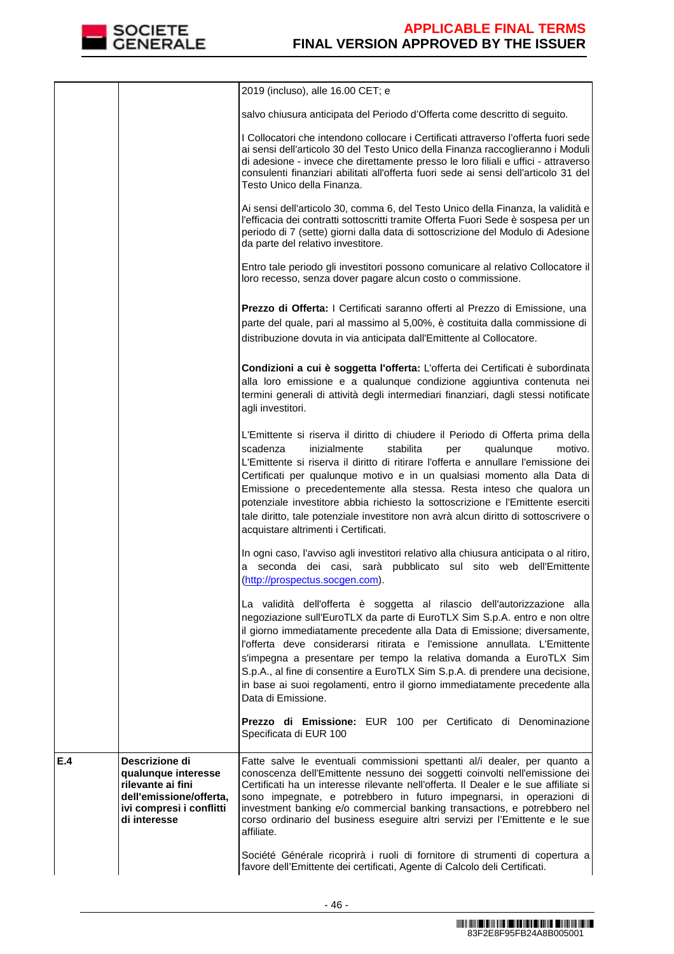

|     |                                                                                                                                   | 2019 (incluso), alle 16.00 CET; e                                                                                                                                                                                                                                                                                                                                                                                                                                                                                                                                                                                   |
|-----|-----------------------------------------------------------------------------------------------------------------------------------|---------------------------------------------------------------------------------------------------------------------------------------------------------------------------------------------------------------------------------------------------------------------------------------------------------------------------------------------------------------------------------------------------------------------------------------------------------------------------------------------------------------------------------------------------------------------------------------------------------------------|
|     |                                                                                                                                   | salvo chiusura anticipata del Periodo d'Offerta come descritto di seguito.                                                                                                                                                                                                                                                                                                                                                                                                                                                                                                                                          |
|     |                                                                                                                                   | I Collocatori che intendono collocare i Certificati attraverso l'offerta fuori sede<br>ai sensi dell'articolo 30 del Testo Unico della Finanza raccoglieranno i Moduli<br>di adesione - invece che direttamente presso le loro filiali e uffici - attraverso<br>consulenti finanziari abilitati all'offerta fuori sede ai sensi dell'articolo 31 del<br>Testo Unico della Finanza.                                                                                                                                                                                                                                  |
|     |                                                                                                                                   | Ai sensi dell'articolo 30, comma 6, del Testo Unico della Finanza, la validità e<br>l'efficacia dei contratti sottoscritti tramite Offerta Fuori Sede è sospesa per un<br>periodo di 7 (sette) giorni dalla data di sottoscrizione del Modulo di Adesione<br>da parte del relativo investitore.                                                                                                                                                                                                                                                                                                                     |
|     |                                                                                                                                   | Entro tale periodo gli investitori possono comunicare al relativo Collocatore il<br>loro recesso, senza dover pagare alcun costo o commissione.                                                                                                                                                                                                                                                                                                                                                                                                                                                                     |
|     |                                                                                                                                   | Prezzo di Offerta: I Certificati saranno offerti al Prezzo di Emissione, una<br>parte del quale, pari al massimo al 5,00%, è costituita dalla commissione di<br>distribuzione dovuta in via anticipata dall'Emittente al Collocatore.                                                                                                                                                                                                                                                                                                                                                                               |
|     |                                                                                                                                   | Condizioni a cui è soggetta l'offerta: L'offerta dei Certificati è subordinata<br>alla loro emissione e a qualunque condizione aggiuntiva contenuta nei<br>termini generali di attività degli intermediari finanziari, dagli stessi notificate<br>agli investitori.                                                                                                                                                                                                                                                                                                                                                 |
|     |                                                                                                                                   | L'Emittente si riserva il diritto di chiudere il Periodo di Offerta prima della<br>scadenza<br>inizialmente<br>stabilita<br>qualunque<br>motivo.<br>per<br>L'Emittente si riserva il diritto di ritirare l'offerta e annullare l'emissione dei<br>Certificati per qualunque motivo e in un qualsiasi momento alla Data di<br>Emissione o precedentemente alla stessa. Resta inteso che qualora un<br>potenziale investitore abbia richiesto la sottoscrizione e l'Emittente eserciti<br>tale diritto, tale potenziale investitore non avrà alcun diritto di sottoscrivere o<br>acquistare altrimenti i Certificati. |
|     |                                                                                                                                   | In ogni caso, l'avviso agli investitori relativo alla chiusura anticipata o al ritiro,<br>a seconda dei casi, sarà pubblicato sul sito web dell'Emittente<br>(http://prospectus.socgen.com).                                                                                                                                                                                                                                                                                                                                                                                                                        |
|     |                                                                                                                                   | La validità dell'offerta è soggetta al rilascio dell'autorizzazione alla<br>negoziazione sull'EuroTLX da parte di EuroTLX Sim S.p.A. entro e non oltre<br>il giorno immediatamente precedente alla Data di Emissione; diversamente,<br>l'offerta deve considerarsi ritirata e l'emissione annullata. L'Emittente<br>s'impegna a presentare per tempo la relativa domanda a EuroTLX Sim<br>S.p.A., al fine di consentire a EuroTLX Sim S.p.A. di prendere una decisione,<br>in base ai suoi regolamenti, entro il giorno immediatamente precedente alla<br>Data di Emissione.                                        |
|     |                                                                                                                                   | Prezzo di Emissione: EUR 100 per Certificato di Denominazione<br>Specificata di EUR 100                                                                                                                                                                                                                                                                                                                                                                                                                                                                                                                             |
| E.4 | Descrizione di<br>qualunque interesse<br>rilevante ai fini<br>dell'emissione/offerta,<br>ivi compresi i conflitti<br>di interesse | Fatte salve le eventuali commissioni spettanti al/i dealer, per quanto a<br>conoscenza dell'Emittente nessuno dei soggetti coinvolti nell'emissione dei<br>Certificati ha un interesse rilevante nell'offerta. Il Dealer e le sue affiliate si<br>sono impegnate, e potrebbero in futuro impegnarsi, in operazioni di<br>investment banking e/o commercial banking transactions, e potrebbero nel<br>corso ordinario del business eseguire altri servizi per l'Emittente e le sue<br>affiliate.                                                                                                                     |
|     |                                                                                                                                   | Société Générale ricoprirà i ruoli di fornitore di strumenti di copertura a<br>favore dell'Emittente dei certificati, Agente di Calcolo deli Certificati.                                                                                                                                                                                                                                                                                                                                                                                                                                                           |